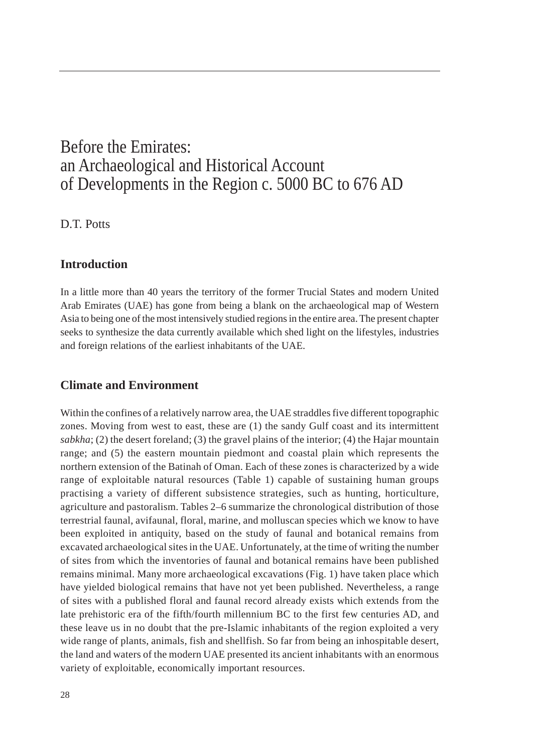# Before the Emirates: an Archaeological and Historical Account of Developments in the Region c. 5000 BC to 676 AD

D.T. Potts

## **Introduction**

In a little more than 40 years the territory of the former Trucial States and modern United Arab Emirates (UAE) has gone from being a blank on the archaeological map of Western Asia to being one of the most intensively studied regions in the entire area. The present chapter seeks to synthesize the data currently available which shed light on the lifestyles, industries and foreign relations of the earliest inhabitants of the UAE.

## **Climate and Environment**

Within the confines of a relatively narrow area, the UAE straddles five different topographic zones. Moving from west to east, these are (1) the sandy Gulf coast and its intermittent sabkha;  $(2)$  the desert foreland;  $(3)$  the gravel plains of the interior;  $(4)$  the Hajar mountain range; and (5) the eastern mountain piedmont and coastal plain which represents the northern extension of the Batinah of Oman. Each of these zones is characterized by a wide range of exploitable natural resources (Table 1) capable of sustaining human groups practising a variety of different subsistence strategies, such as hunting, horticulture, agriculture and pastoralism. Tables 2–6 summarize the chronological distribution of those terrestrial faunal, avifaunal, floral, marine, and molluscan species which we know to have been exploited in antiquity, based on the study of faunal and botanical remains from excavated archaeological sites in the UAE. Unfortunately, at the time of writing the number of sites from which the inventories of faunal and botanical remains have been published remains minimal. Many more archaeological excavations (Fig. 1) have taken place which have yielded biological remains that have not yet been published. Nevertheless, a range of sites with a published floral and faunal record already exists which extends from the late prehistoric era of the fifth/fourth millennium BC to the first few centuries AD, and these leave us in no doubt that the pre-Islamic inhabitants of the region exploited a very wide range of plants, animals, fish and shellfish. So far from being an inhospitable desert, the land and waters of the modern UAE presented its ancient inhabitants with an enormous variety of exploitable, economically important resources.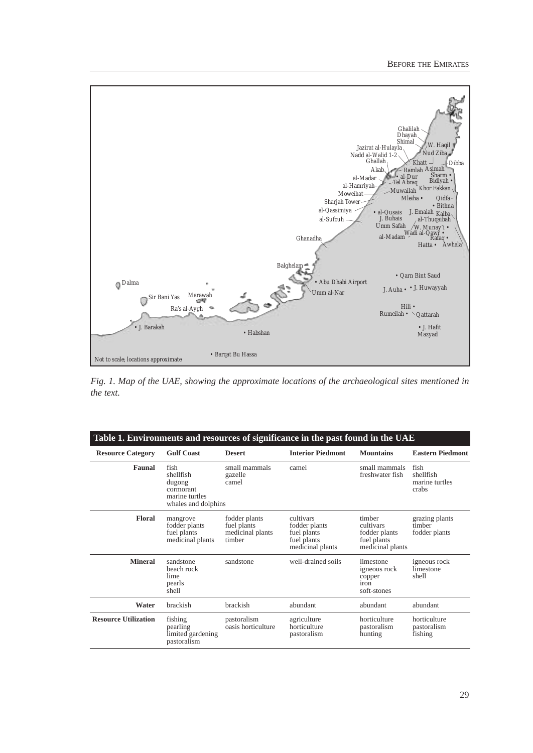

*Fig. 1. Map of the UAE, showing the approximate locations of the archaeological sites mentioned in the text.*

| Table 1. Environments and resources of significance in the past found in the UAE |                                                                                   |                                                            |                                                                              |                                                                         |                                              |
|----------------------------------------------------------------------------------|-----------------------------------------------------------------------------------|------------------------------------------------------------|------------------------------------------------------------------------------|-------------------------------------------------------------------------|----------------------------------------------|
| <b>Resource Category</b>                                                         | <b>Gulf Coast</b>                                                                 | <b>Desert</b>                                              | <b>Interior Piedmont</b>                                                     | <b>Mountains</b>                                                        | <b>Eastern Piedmont</b>                      |
| Faunal                                                                           | fish<br>shellfish<br>dugong<br>cormorant<br>marine turtles<br>whales and dolphins | small mammals<br>gazelle<br>camel                          | camel                                                                        | small mammals<br>freshwater fish                                        | fish<br>shellfish<br>marine turtles<br>crabs |
| Floral                                                                           | mangrove<br>fodder plants<br>fuel plants<br>medicinal plants                      | fodder plants<br>fuel plants<br>medicinal plants<br>timber | cultivars<br>fodder plants<br>fuel plants<br>fuel plants<br>medicinal plants | timber<br>cultivars<br>fodder plants<br>fuel plants<br>medicinal plants | grazing plants<br>timber<br>fodder plants    |
| <b>Mineral</b>                                                                   | sandstone<br>beach rock<br>lime<br>pearls<br>shell                                | sandstone                                                  | well-drained soils                                                           | limestone<br>igneous rock<br>copper<br>iron<br>soft-stones              | igneous rock<br>limestone<br>shell           |
| Water                                                                            | brackish                                                                          | brackish                                                   | abundant                                                                     | abundant                                                                | abundant                                     |
| <b>Resource Utilization</b>                                                      | fishing<br>pearling<br>limited gardening<br>pastoralism                           | pastoralism<br>oasis horticulture                          | agriculture<br>horticulture<br>pastoralism                                   | horticulture<br>pastoralism<br>hunting                                  | horticulture<br>pastoralism<br>fishing       |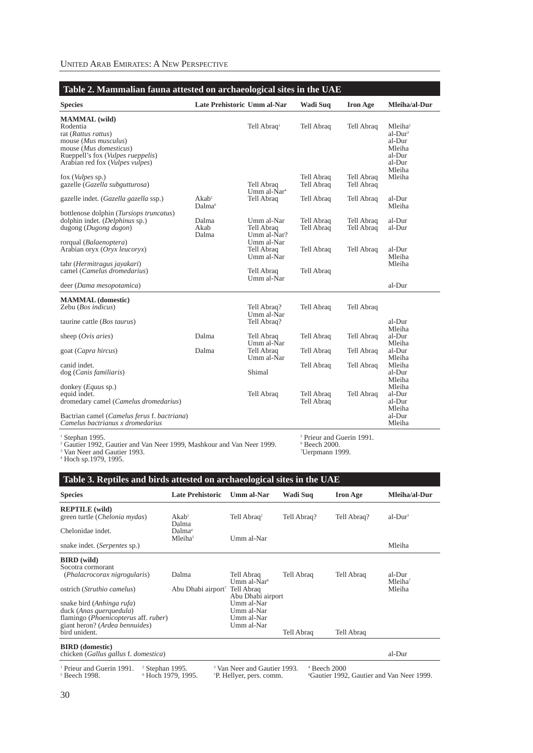| Table 2. Mammalian fauna attested on archaeological sites in the UAE                                                                                                              |                                            |                                          |                          |                          |                                                                          |
|-----------------------------------------------------------------------------------------------------------------------------------------------------------------------------------|--------------------------------------------|------------------------------------------|--------------------------|--------------------------|--------------------------------------------------------------------------|
| <b>Species</b>                                                                                                                                                                    | Late Prehistoric Umm al-Nar                |                                          | Wadi Suq                 | <b>Iron Age</b>          | Mleiha/al-Dur                                                            |
| <b>MAMMAL</b> (wild)<br>Rodentia<br>rat (Rattus rattus)<br>mouse (Mus musculus)<br>mouse (Mus domesticus)<br>Rueppell's fox (Vulpes rueppelis)<br>Arabian red fox (Vulpes vulpes) |                                            | Tell Abraq <sup>1</sup>                  | Tell Abraq               | Tell Abraq               | Mleiha <sup>2</sup><br>$al-Dur3$<br>al-Dur<br>Mleiha<br>al-Dur<br>al-Dur |
| fox (Vulpes sp.)<br>gazelle (Gazella subgutturosa)                                                                                                                                |                                            | Tell Abraa<br>Umm al-Nar <sup>4</sup>    | Tell Abraq<br>Tell Abraq | Tell Abraq<br>Tell Abraq | Mleiha<br>Mleiha                                                         |
| gazelle indet. (Gazella gazella ssp.)                                                                                                                                             | $A$ kab <sup>5</sup><br>Dalma <sup>6</sup> | Tell Abraq                               | Tell Abraq               | Tell Abraq               | al-Dur<br>Mleiha                                                         |
| bottlenose dolphin (Tursiops truncatus)<br>dolphin indet. (Delphinus sp.)<br>dugong (Dugong dugon)                                                                                | Dalma<br>Akab<br>Dalma                     | Umm al-Nar<br>Tell Abraa<br>Umm al-Nar?  | Tell Abraq<br>Tell Abraq | Tell Abraq<br>Tell Abraq | al-Dur<br>al-Dur                                                         |
| rorqual (Balaenoptera)<br>Arabian oryx (Oryx leucoryx)                                                                                                                            |                                            | Umm al-Nar<br>Tell Abraq<br>Umm al-Nar   | Tell Abraq               | Tell Abraq               | al-Dur<br>Mleiha                                                         |
| tahr (Hermitragus jayakari)<br>camel (Camelus dromedarius)                                                                                                                        |                                            | Tell Abraq<br>Umm al-Nar                 | Tell Abraq               |                          | Mleiha                                                                   |
| deer (Dama mesopotamica)                                                                                                                                                          |                                            |                                          |                          |                          | al-Dur                                                                   |
| <b>MAMMAL</b> (domestic)<br>Zebu (Bos indicus)<br>taurine cattle ( <i>Bos taurus</i> )                                                                                            |                                            | Tell Abraq?<br>Umm al-Nar<br>Tell Abraq? | Tell Abraq               | Tell Abraq               | al-Dur                                                                   |
| sheep $(Ovis\ aries)$                                                                                                                                                             | Dalma                                      | Tell Abraa                               | Tell Abraq               | Tell Abraq               | Mleiha<br>al-Dur                                                         |
| goat (Capra hircus)                                                                                                                                                               | Dalma                                      | Umm al-Nar<br>Tell Abraq<br>Umm al-Nar   | Tell Abraq               | Tell Abraq               | Mleiha<br>al-Dur<br>Mleiha                                               |
| canid indet.<br>dog (Canis familiaris)                                                                                                                                            |                                            | Shimal                                   | Tell Abraq               | Tell Abraq               | Mleiha<br>al-Dur<br>Mleiha                                               |
| donkey ( <i>Equus</i> sp.)<br>equid indet.<br>dromedary camel (Camelus dromedarius)                                                                                               |                                            | Tell Abraq                               | Tell Abraq<br>Tell Abraq | Tell Abraq               | Mleiha<br>al-Dur<br>al-Dur<br>Mleiha                                     |
| Bactrian camel (Camelus ferus f. bactriana)<br>Camelus bactrianus x dromedarius                                                                                                   |                                            |                                          |                          |                          | al-Dur<br>Mleiha                                                         |

1 Stephan 1995.<br><sup>2</sup> Gautier 1992, Gautier and Van Neer 1999, Mashkour and Van Neer 1999. <sup>5</sup> Prieur and Guerin 1991.<br><sup>3</sup> Van Neer and Gautier 1993. <sup>3 Van</sup> Neer and Bautier 1999. <sup>7</sup> Derpmann 1999.<br><sup>4</sup> Hoch sp.1979, 1995.

**Table 3. Reptiles and birds attested on archaeological sites in the UAE**

| <b>Species</b>                                       | <b>Late Prehistoric</b>                            | Umm al-Nar                      | Wadi Suq    | <b>Iron Age</b> | Mleiha/al-Dur                 |
|------------------------------------------------------|----------------------------------------------------|---------------------------------|-------------|-----------------|-------------------------------|
| <b>REPTILE</b> (wild)                                |                                                    |                                 |             |                 |                               |
| green turtle (Chelonia mydas)                        | $A$ kab <sup>1</sup>                               | Tell Abraq <sup>2</sup>         | Tell Abraq? | Tell Abraq?     | $aI-Dur3$                     |
| Chelonidae indet.                                    | Dalma<br>Dalma <sup>4</sup><br>Mleiha <sup>5</sup> | Umm al-Nar                      |             |                 |                               |
| snake indet. (Serpentes sp.)                         |                                                    |                                 |             |                 | Mleiha                        |
| <b>BIRD</b> (wild)                                   |                                                    |                                 |             |                 |                               |
| Socotra cormorant                                    |                                                    |                                 |             |                 |                               |
| (Phalacrocorax nigrogularis)                         | Dalma                                              | Tell Abraq<br>Umm al-Nar $6$    | Tell Abraq  | Tell Abraq      | al-Dur<br>Mleiha <sup>7</sup> |
| ostrich (Struthio camelus)                           | Abu Dhabi airport <sup>7</sup>                     | Tell Abraq<br>Abu Dhabi airport |             |                 | Mleiha                        |
| snake bird (Anhinga rufa)                            |                                                    | Umm al-Nar                      |             |                 |                               |
| duck (Anas querquedula)                              |                                                    | Umm al-Nar                      |             |                 |                               |
| flamingo ( <i>Phoenicopterus</i> aff. <i>ruber</i> ) |                                                    | Umm al-Nar                      |             |                 |                               |
| giant heron? (Ardea bennuides)                       |                                                    | Umm al-Nar                      |             |                 |                               |
| bird unident.                                        |                                                    |                                 | Tell Abraq  | Tell Abraq      |                               |
| <b>BIRD</b> (domestic)                               |                                                    |                                 |             |                 |                               |
| chicken (Gallus gallus f. domestica)                 |                                                    |                                 |             |                 | al-Dur                        |

1 Prieur and Guerin 1991. <sup>2</sup> Stephan 1995. <sup>3</sup> Van Neer and Gautier 1993. 4 Beech 2000 <sup>6</sup> Hoch 1979, 1995. <sup>3</sup> P. Hellyer, pers. comm. <sup>3</sup> Gautier 1992

<sup>7</sup>P. Hellyer, pers. comm.

Gautier 1992, Gautier and Van Neer 1999.

<sup>5</sup> Prieur and Guerin 1991.<br>
<sup>6</sup> Beech 2000.<br>
TUerpmann 1999.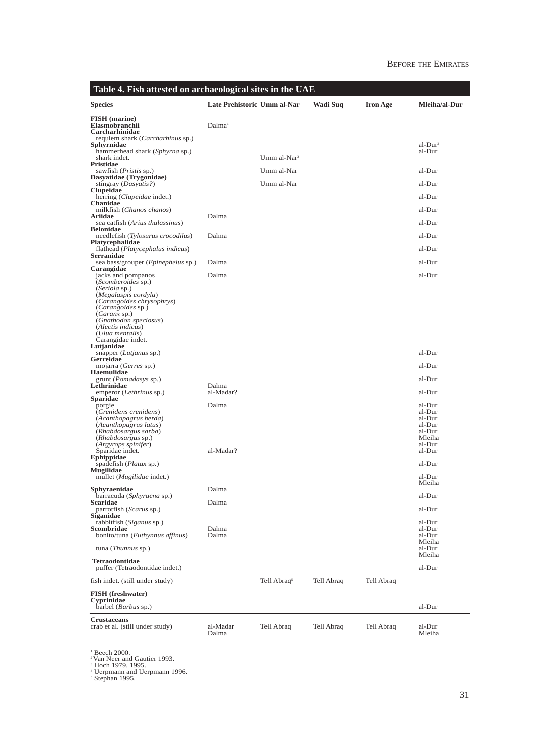#### BEFORE THE EMIRATES

| Table 4. Fish attested on archaeological sites in the UAE                                                                                                                                                                             |                             |                         |            |                 |                                                                    |
|---------------------------------------------------------------------------------------------------------------------------------------------------------------------------------------------------------------------------------------|-----------------------------|-------------------------|------------|-----------------|--------------------------------------------------------------------|
| <b>Species</b>                                                                                                                                                                                                                        | Late Prehistoric Umm al-Nar |                         | Wadi Suq   | <b>Iron Age</b> | Mleiha/al-Dur                                                      |
| <b>FISH</b> (marine)<br>Elasmobranchii<br>Carcharhinidae<br>requiem shark (Carcharhinus sp.)                                                                                                                                          | Dalma <sup>1</sup>          |                         |            |                 | $al-Dur2$                                                          |
| Sphyrnidae<br>hammerhead shark (Sphyrna sp.)<br>shark indet.                                                                                                                                                                          |                             | Umm al-Nar <sup>3</sup> |            |                 | al-Dur                                                             |
| Pristidae<br>sawfish ( <i>Pristis</i> sp.)<br>Dasyatidae (Trygonidae)                                                                                                                                                                 |                             | Umm al-Nar              |            |                 | al-Dur                                                             |
| stingray ( <i>Dasyatis?</i> )<br><b>Clupeidae</b>                                                                                                                                                                                     |                             | Umm al-Nar              |            |                 | al-Dur                                                             |
| herring (Clupeidae indet.)<br>Chanidae                                                                                                                                                                                                |                             |                         |            |                 | al-Dur                                                             |
| milkfish (Chanos chanos)<br>Ariidae                                                                                                                                                                                                   | Dalma                       |                         |            |                 | al-Dur                                                             |
| sea catfish (Arius thalassinus)<br><b>Belonidae</b><br>needlefish (Tylosurus crocodilus)                                                                                                                                              | Dalma                       |                         |            |                 | al-Dur<br>al-Dur                                                   |
| Platycephalidae<br>flathead (Platycephalus indicus)                                                                                                                                                                                   |                             |                         |            |                 | al-Dur                                                             |
| Serranidae<br>sea bass/grouper (Epinephelus sp.)                                                                                                                                                                                      | Dalma                       |                         |            |                 | al-Dur                                                             |
| Carangidae<br>jacks and pompanos                                                                                                                                                                                                      | Dalma                       |                         |            |                 | al-Dur                                                             |
| ( <i>Scomberoides sp.</i> )<br>(Seriola sp.)<br>(Megalaspis cordyla)<br>(Carangoides chrysophrys)<br>(Carangoides sp.)<br>( <i>Caranx sp.</i> )<br>(Gnathodon speciosus)<br>(Alectis indicus)<br>(Ulua mentalis)<br>Carangidae indet. |                             |                         |            |                 |                                                                    |
| Lutjanidae<br>snapper (Lutjanus sp.)                                                                                                                                                                                                  |                             |                         |            |                 | al-Dur                                                             |
| Gerreidae<br>mojarra (Gerres sp.)                                                                                                                                                                                                     |                             |                         |            |                 | al-Dur                                                             |
| Haemulidae<br>grunt (Pomadasys sp.)<br>Lethrinidae                                                                                                                                                                                    | Dalma                       |                         |            |                 | al-Dur                                                             |
| emperor (Lethrinus sp.)<br>Sparidae                                                                                                                                                                                                   | al-Madar?                   |                         |            |                 | al-Dur                                                             |
| porgie<br>(Crenidens crenidens)<br>(Acanthopagrus berda)<br>(Acanthopagrus latus)<br>(Rhabdosargus sarba)<br>(Rhabdosargus sp.)<br>(Argyrops spinifer)                                                                                | Dalma                       |                         |            |                 | al-Dur<br>al-Dur<br>al-Dur<br>al-Dur<br>al-Dur<br>Mleiha<br>al-Dur |
| Sparidae indet.<br><b>Ephippidae</b>                                                                                                                                                                                                  | al-Madar?                   |                         |            |                 | al-Dur                                                             |
| spadefish ( <i>Platax</i> sp.)<br>Mugilidae<br>mullet ( <i>Mugilidae</i> indet.)                                                                                                                                                      |                             |                         |            |                 | al-Dur<br>al-Dur                                                   |
| Sphyraenidae                                                                                                                                                                                                                          | Dalma                       |                         |            |                 | Mleiha                                                             |
| barracuda (Sphyraena sp.)<br>Scaridae                                                                                                                                                                                                 | Dalma                       |                         |            |                 | al-Dur                                                             |
| parrotfish (Scarus sp.)<br>Siganidae<br>rabbitfish (Siganus sp.)                                                                                                                                                                      |                             |                         |            |                 | al-Dur<br>al-Dur                                                   |
| Scombridae<br>bonito/tuna (Euthynnus affinus)                                                                                                                                                                                         | Dalma<br>Dalma              |                         |            |                 | al-Dur<br>al-Dur<br>Mleiha                                         |
| tuna (Thunnus sp.)                                                                                                                                                                                                                    |                             |                         |            |                 | al-Dur<br>Mleiha                                                   |
| Tetraodontidae<br>puffer (Tetraodontidae indet.)                                                                                                                                                                                      |                             |                         |            |                 | al-Dur                                                             |
| fish indet. (still under study)                                                                                                                                                                                                       |                             | Tell Abraq <sup>5</sup> | Tell Abraq | Tell Abraq      |                                                                    |
| <b>FISH</b> (freshwater)<br>Cyprinidae<br>barbel (Barbus sp.)                                                                                                                                                                         |                             |                         |            |                 | al-Dur                                                             |
| <b>Crustaceans</b><br>crab et al. (still under study)                                                                                                                                                                                 | al-Madar<br>Dalma           | Tell Abraq              | Tell Abraq | Tell Abraq      | al-Dur<br>Mleiha                                                   |

<sup>1</sup> Beech 2000.<br><sup>2</sup> Van Neer and Gautier 1993.<br><sup>3</sup> Hoch 1979, 1995.<br><sup>4</sup> Uerpmann and Uerpmann 1996.<br><sup>5</sup> Stephan 1995.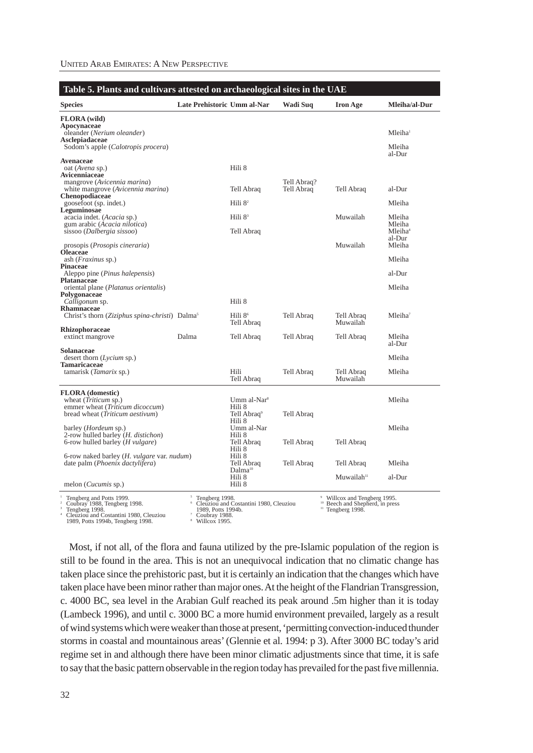| <b>Species</b>                                                                  | Late Prehistoric Umm al-Nar |                                                    | Wadi Suq    | <b>Iron Age</b>                                                                       | Mleiha/al-Dur       |
|---------------------------------------------------------------------------------|-----------------------------|----------------------------------------------------|-------------|---------------------------------------------------------------------------------------|---------------------|
| <b>FLORA</b> (wild)                                                             |                             |                                                    |             |                                                                                       |                     |
| Apocynaceae                                                                     |                             |                                                    |             |                                                                                       |                     |
| oleander (Nerium oleander)                                                      |                             |                                                    |             |                                                                                       | Mleiha <sup>1</sup> |
| Asclepiadaceae                                                                  |                             |                                                    |             |                                                                                       |                     |
| Sodom's apple (Calotropis procera)                                              |                             |                                                    |             |                                                                                       | Mleiha<br>al-Dur    |
| Avenaceae                                                                       |                             | Hili <sub>8</sub>                                  |             |                                                                                       |                     |
| oat (Avena sp.)<br>Avicenniaceae                                                |                             |                                                    |             |                                                                                       |                     |
| mangrove (Avicennia marina)                                                     |                             |                                                    | Tell Abraq? |                                                                                       |                     |
| white mangrove (Avicennia marina)                                               |                             | Tell Abraq                                         | Tell Abraq  | Tell Abraq                                                                            | al-Dur              |
| Chenopodiaceae                                                                  |                             |                                                    |             |                                                                                       |                     |
| goosefoot (sp. indet.)                                                          |                             | Hili 8 <sup>2</sup>                                |             |                                                                                       | Mleiha              |
| Leguminosae<br>acacia indet. (Acacia sp.)                                       |                             | Hili $83$                                          |             | Muwailah                                                                              | Mleiha              |
| gum arabic (Acacia nilotica)                                                    |                             |                                                    |             |                                                                                       | Mleiha              |
| sissoo (Dalbergia sissoo)                                                       |                             | Tell Abraq                                         |             |                                                                                       | Mleiha <sup>4</sup> |
|                                                                                 |                             |                                                    |             |                                                                                       | al-Dur              |
| prosopis (Prosopis cineraria)                                                   |                             |                                                    |             | Muwailah                                                                              | Mleiha              |
| <b>Oleaceae</b>                                                                 |                             |                                                    |             |                                                                                       |                     |
| ash $(Fraxinus$ sp.)<br>Pinaceae                                                |                             |                                                    |             |                                                                                       | Mleiha              |
| Aleppo pine (Pinus halepensis)                                                  |                             |                                                    |             |                                                                                       | al-Dur              |
| Platanaceae                                                                     |                             |                                                    |             |                                                                                       |                     |
| oriental plane (Platanus orientalis)                                            |                             |                                                    |             |                                                                                       | Mleiha              |
| Polygonaceae                                                                    |                             |                                                    |             |                                                                                       |                     |
| Calligonum sp.                                                                  |                             | Hili 8                                             |             |                                                                                       |                     |
| <b>Rhamnaceae</b><br>Christ's thorn (Ziziphus spina-christi) Dalma <sup>5</sup> |                             | Hili 8 <sup>6</sup>                                | Tell Abraq  | Tell Abraq                                                                            | $Mlein^7$           |
|                                                                                 |                             | Tell Abraq                                         |             | Muwailah                                                                              |                     |
| <b>Rhizophoraceae</b>                                                           |                             |                                                    |             |                                                                                       |                     |
| extinct mangrove                                                                | Dalma                       | Tell Abraq                                         | Tell Abraq  | Tell Abraq                                                                            | Mleiha              |
|                                                                                 |                             |                                                    |             |                                                                                       | al-Dur              |
| Solanaceae<br>desert thorn ( <i>Lycium</i> sp.)                                 |                             |                                                    |             |                                                                                       | Mleiha              |
| Tamaricaceae                                                                    |                             |                                                    |             |                                                                                       |                     |
| tamarisk (Tamarix sp.)                                                          |                             | Hili                                               | Tell Abraq  | Tell Abraq                                                                            | Mleiha              |
|                                                                                 |                             | Tell Abraq                                         |             | Muwailah                                                                              |                     |
| <b>FLORA</b> (domestic)                                                         |                             |                                                    |             |                                                                                       |                     |
| wheat (Triticum sp.)                                                            |                             | Umm al-Nar $s$                                     |             |                                                                                       | Mleiha              |
| emmer wheat (Triticum dicoccum)                                                 |                             | Hili 8                                             |             |                                                                                       |                     |
| bread wheat (Triticum aestivum)                                                 |                             | Tell Abraq <sup>9</sup><br>Hili 8                  | Tell Abraq  |                                                                                       |                     |
| barley ( <i>Hordeum</i> sp.)                                                    |                             | Umm al-Nar                                         |             |                                                                                       | Mleiha              |
| 2-row hulled barley ( <i>H. distichon</i> )                                     |                             | Hili 8                                             |             |                                                                                       |                     |
| 6-row hulled barley $(H \text{ vulgare})$                                       |                             | Tell Abraq                                         | Tell Abraq  | Tell Abraq                                                                            |                     |
|                                                                                 |                             | Hili 8                                             |             |                                                                                       |                     |
| 6-row naked barley (H. vulgare var. nudum)                                      |                             | Hili 8                                             |             |                                                                                       |                     |
| date palm (Phoenix dactylifera)                                                 |                             | Tell Abraq<br>Dalma <sup>10</sup>                  | Tell Abraq  | Tell Abraq                                                                            | Mleiha              |
|                                                                                 |                             | Hili 8                                             |             | Muwailah <sup>11</sup>                                                                | al-Dur              |
| melon ( <i>Cucumis</i> sp.)                                                     |                             | Hili 8                                             |             |                                                                                       |                     |
|                                                                                 |                             |                                                    |             |                                                                                       |                     |
| Tengberg and Potts 1999.<br>Coubray 1988 Tengherg 1998                          | <sup>5</sup> Tengberg 1998. | <sup>6</sup> Cleuziou and Costantini 1980 Cleuziou |             | <sup>9</sup> Willcox and Tengberg 1995.<br><sup>10</sup> Beech and Shepherd in press. |                     |

1 Tengberg and Potts 1998.<br>1 Tengberg 1998, Tengberg 1998.<br>3 Tengberg 1998. 4 Cleuziou and Costantini 1980, Cleuziou 1989, Potts 1994b, Tengberg 1998.

1989, Potts 1994b.<br>1989, Potts 1994b.<br>Willcox 1995.

<sup>10</sup> Beech and Shepherd, in press<br><sup>10</sup> Beech and Shepherd, in press<br><sup>11</sup> Tengberg 1998.

Most, if not all, of the flora and fauna utilized by the pre-Islamic population of the region is still to be found in the area. This is not an unequivocal indication that no climatic change has taken place since the prehistoric past, but it is certainly an indication that the changes which have taken place have been minor rather than major ones. At the height of the Flandrian Transgression, c. 4000 BC, sea level in the Arabian Gulf reached its peak around .5m higher than it is today (Lambeck 1996), and until c. 3000 BC a more humid environment prevailed, largely as a result of wind systems which were weaker than those at present, 'permitting convection-induced thunder storms in coastal and mountainous areas' (Glennie et al. 1994: p 3). After 3000 BC today's arid regime set in and although there have been minor climatic adjustments since that time, it is safe to say that the basic pattern observable in the region today has prevailed for the past five millennia.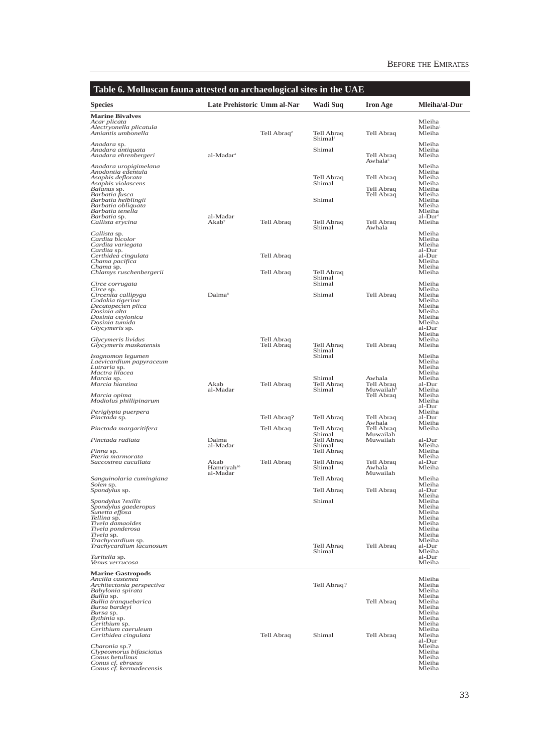## **Table 6. Molluscan fauna attested on archaeological sites in the UAE**

| .<br><b>Species</b>                                                                                                                                                                                                                                       | resica on archaeon<br>Late Prehistoric Umm al-Nar |                                        | <u>I DIUDI III</u><br>Wadi Suq                                                         | <b>Iron Age</b>                                                          | <b>Mleiha/al-Dur</b>                                                                                          |
|-----------------------------------------------------------------------------------------------------------------------------------------------------------------------------------------------------------------------------------------------------------|---------------------------------------------------|----------------------------------------|----------------------------------------------------------------------------------------|--------------------------------------------------------------------------|---------------------------------------------------------------------------------------------------------------|
| <b>Marine Bivalves</b><br>Acar plicata<br>Alectryonella plicatula<br>Amiantis umbonella                                                                                                                                                                   |                                                   | Tell Abraq <sup>2</sup>                | Tell Abraq                                                                             | Tell Abraq                                                               | Mleiha<br>Mleiha<br>Mleiha                                                                                    |
| Anadara sp.<br>Anadara antiquata<br>Anadara ehrenbergeri                                                                                                                                                                                                  | al-Madar <sup>4</sup>                             |                                        | Shimal <sup>3</sup><br>Shimal                                                          | Tell Abraq<br>Awhala <sup>5</sup>                                        | Mleiha<br>Mleiha<br>Mleiha                                                                                    |
| Anadara uropigimelana<br>Anodontia edentula<br>Asaphis deflorata<br>Asaphis violascens<br>Balanus sp.<br>Barbatia fusca<br>Barbatia helblingii<br>Barbatia obliquata<br>Barbatia tenella<br><i>Barbatia</i> sp.                                           | al-Madar                                          |                                        | Tell Abraq<br>Shimal<br>Shimal                                                         | Tell Abraq<br>Tell Abraq<br>Tell Abraq                                   | Mleiha<br>Mleiha<br>Mleiha<br>Mleiha<br>Mleiha<br>Mleiha<br>Mleiha<br>Mleiha<br>Mleiha<br>al-Dur <sup>6</sup> |
| Callista erycina<br>Callista sp.<br>Cardita bicolor<br>Cardita variegata<br>Cardita sp.<br>Certhidea cingulata<br>Chama pacifica<br>Chama sp.<br>Chlamys ruschenbergerii                                                                                  | $A$ kab <sup>7</sup>                              | Tell Abraq<br>Tell Abraq<br>Tell Abraq | Tell Abraq<br>Shimal<br>Tell Abraq<br>Shimal                                           | Tell Abraq<br>Awhala                                                     | Mleiha<br>Mleiha<br>Mleiha<br>Mleiha<br>al-Dur<br>al-Dur<br>Mleiha<br>Mleiha<br>Mleiha                        |
| Circe corrugata<br>Circe sp.<br>Circenita callipyga<br>Codakia tigerina<br>Decatopecten plica<br>Dosinia alta<br>Dosinia ceylonica<br>Dosinia tumida<br><i>Glycymeris</i> sp.                                                                             | Dalma <sup>8</sup>                                |                                        | Shimal<br>Shimal                                                                       | Tell Abraq                                                               | Mleiha<br>Mleiha<br>Mleiha<br>Mleiha<br>Mleiha<br>Mleiha<br>Mleiha<br>Mleiha<br>al-Dur<br>Mleiha              |
| Glycymeris lividus<br>Glycymeris maskatensis                                                                                                                                                                                                              |                                                   | Tell Abraq<br>Tell Abraq               | Tell Abraq<br>Shimal                                                                   | Tell Abraq                                                               | Mleiha<br>Mleiha                                                                                              |
| Isognomon legumen<br>Laevicardium papyraceum<br>Lutraria sp.<br>Mactra lilacea<br><i>Marcia</i> sp.<br>Marcia hiantina<br>Marcia opima                                                                                                                    | Akab<br>al-Madar                                  | Tell Abraq                             | Shimal<br>Shimal<br>Tell Abraq<br>Shimal                                               | Awhala<br>Tell Abraq<br>Muwailah <sup>9</sup><br>Tell Abraq              | Mleiha<br>Mleiha<br>Mleiha<br>Mleiha<br>Mleiha<br>al-Dur<br>Mleiha<br>Mleiha                                  |
| Modiolus phillipinarum<br>Periglypta puerpera                                                                                                                                                                                                             |                                                   |                                        |                                                                                        |                                                                          | Mleiha<br>al-Dur<br>Mleiha                                                                                    |
| Pinctada sp.<br>Pinctada margaritifera<br>Pinctada radiata<br>Pinna sp.<br>Pteria marmorata<br>Saccostrea cucullata                                                                                                                                       | Dalma<br>al-Madar<br>Akab                         | Tell Abraq?<br>Tell Abraq              | Tell Abraq<br>Tell Abraq<br>Shimal<br>Tell Abraq<br>Shimal<br>Tell Abraq<br>Tell Abraq | Tell Abraq<br>Awhala<br>Tell Abraq<br>Muwailah<br>Muwailah<br>Tell Abraq | al-Dur<br>Mleiha<br>Mleiha<br>al-Dur<br>Mleiha<br>Mleiha<br>Mleiha<br>al-Dur                                  |
| Sanguinolaria cumingiana<br>Solen sp.<br>Spondylus sp.                                                                                                                                                                                                    | Hamriyah <sup>10</sup><br>al-Madar                | Tell Abraq                             | Shimal<br>Tell Abraq<br>Tell Abraq                                                     | Awhala<br>Muwailah<br>Tell Abraq                                         | Mleiha<br>Mleiha<br>Mleiha<br>al-Dur                                                                          |
| Spondylus ?exilis<br>Spondylus gaederopus<br>Sunetta effosa<br><i>Tellina</i> sp.<br>Tivela damaoïdes<br>Tivela ponderosa<br>Tivela sp.<br>Trachycardium sp.<br>Trachycardium lacunosum                                                                   |                                                   |                                        | Shimal<br>Tell Abraq<br>Shimal                                                         | Tell Abraq                                                               | Mleiha<br>Mleiha<br>Mleiha<br>Mleiha<br>Mleiha<br>Mleiha<br>Mleiha<br>Mleiha<br>Mleiha<br>al-Dur<br>Mleiha    |
| <i>Turitella</i> sp.<br>Venus verrucosa                                                                                                                                                                                                                   |                                                   |                                        |                                                                                        |                                                                          | al-Dur<br>Mleiha                                                                                              |
| <b>Marine Gastropods</b><br>Ancilla castenea<br>Architectonia perspectiva<br>Babylonia spirata<br><i>Bullia</i> sp.<br>Bullia tranquebarica<br>Bursa bardeyi<br>Bursa sp.<br>Bythinia sp.<br>Cerithium sp.<br>Cerithium caeruleum<br>Cerithidea cingulata |                                                   | Tell Abraq                             | Tell Abraq?<br>Shimal                                                                  | Tell Abraq<br>Tell Abraq                                                 | Mleiha<br>Mleiha<br>Mleiha<br>Mleiha<br>Mleiha<br>Mleiha<br>Mleiha<br>Mleiha<br>Mleiha<br>Mleiha<br>Mleiha    |
| Charonia sp.?<br>Clypeomorus bifasciatus<br>Conus betulinus<br>Conus cf. ebraeus<br>Conus cf. kermadecensis                                                                                                                                               |                                                   |                                        |                                                                                        |                                                                          | al-Dur<br>Mleiha<br>Mleiha<br>Mleiha<br>Mleiha<br>Mleiha                                                      |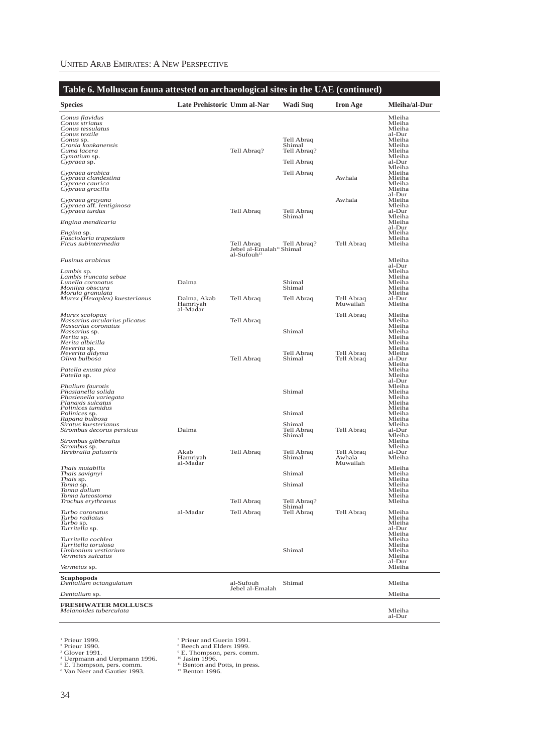#### **Table 6. Molluscan fauna attested on archaeological sites in the UAE (continued)**

| <b>Species</b>                                                                                                                                               | Late Prehistoric Umm al-Nar         |                                                                  | Wadi Suq                                          | <b>Iron Age</b>                  | Mleiha/al-Dur                                                                          |
|--------------------------------------------------------------------------------------------------------------------------------------------------------------|-------------------------------------|------------------------------------------------------------------|---------------------------------------------------|----------------------------------|----------------------------------------------------------------------------------------|
| Conus flavidus<br>Conus striatus<br>Conus tessulatus<br>Conus textile<br>Conus sp.<br>Cronia konkanensis<br>Cuma lacera<br>Cymatium sp.<br>Cypraea sp.       |                                     | Tell Abraq?                                                      | Tell Abraq<br>Shimal<br>Tell Abraq?<br>Tell Abraq |                                  | Mleiha<br>Mleiha<br>Mleiha<br>al-Dur<br>Mleiha<br>Mleiha<br>Mleiha<br>Mleiha<br>al-Dur |
| Cypraea arabica<br>Cypraea clandestina<br>Cypraea caurica<br>Cypraea gracilis                                                                                |                                     |                                                                  | Tell Abraq                                        | Awhala                           | Mleiha<br>Mleiha<br>Mleiha<br>Mleiha<br>Mleiha<br>al-Dur                               |
| Cypraea grayana<br>Cypraea aff. lentiginosa<br>Cypraea turdus                                                                                                |                                     | Tell Abraq                                                       | Tell Abraq                                        | Awhala                           | Mleiha<br>Mleiha<br>al-Dur                                                             |
| Engina mendicaria                                                                                                                                            |                                     |                                                                  | Shimal                                            |                                  | Mleiha<br>Mleiha<br>al-Dur                                                             |
| Engina sp.<br>Fasciolaria trapezium<br>Ficus subintermedia                                                                                                   |                                     | Tell Abraq<br>Jebel al-Emalah" Shimal<br>al-Sufouh <sup>12</sup> | Tell Abraq?                                       | Tell Abraq                       | Mleiha<br>Mleiha<br>Mleiha                                                             |
| Fusinus arabicus                                                                                                                                             |                                     |                                                                  |                                                   |                                  | Mleiha<br>al-Dur                                                                       |
| Lambis sp.<br>Lambis truncata sebae<br>Lunella coronatus<br>Monilea obscura                                                                                  | Dalma                               |                                                                  | Shimal<br>Shimal                                  |                                  | Mleiha<br>Mleiha<br>Mleiha<br>Mleiha<br>Mleiha                                         |
| Morula granulata<br>Murex (Hexaplex) kuesterianus                                                                                                            | Dalma, Akab<br>Hamrivah<br>al-Madar | Tell Abraq                                                       | Tell Abraq                                        | Tell Abraq<br>Muwailah           | al-Dur<br>Mleiha                                                                       |
| Murex scolopax<br>Nassarius arcularius plicatus<br>Nassarius coronatus<br>Nassarius sp.<br>Nerita sp.<br>Nerita albicilla<br>Neverita sp.<br>Neverita didyma |                                     | Tell Abraq                                                       | Shimal<br>Tell Abraq                              | Tell Abraq<br>Tell Abraq         | Mleiha<br>Mleiha<br>Mleiha<br>Mleiha<br>Mleiha<br>Mleiha<br>Mleiha<br>Mleiha           |
| Oliva bulbosa<br>Patella exusta pica                                                                                                                         |                                     | Tell Abraq                                                       | Shimal                                            | Tell Abraq                       | al-Dur<br>Mleiha<br>Mleiha                                                             |
| Patella sp.<br>Phalium faurotis<br>Phasianella solida<br>Phasienella variegata<br>Planaxis sulcatus<br>Polinices tumidus<br>Polinices sp.                    |                                     |                                                                  | Shimal<br>Shimal                                  |                                  | Mleiha<br>al-Dur<br>Mleiha<br>Mleiha<br>Mleiha<br>Mleiha<br>Mleiha<br>Mleiha           |
| Rapana bulbosa<br>Siratus kuesterianus                                                                                                                       |                                     |                                                                  | Shimal                                            |                                  | Mleiha<br>Mleiha                                                                       |
| Strombus decorus persicus<br>Strombus gibberulus                                                                                                             | Dalma                               |                                                                  | Tell Abraq<br>Shimal                              | Tell Abraq                       | al-Dur<br>Mleiha<br>Mleiha                                                             |
| Strombus sp.<br>Terebralia palustris                                                                                                                         | Akab<br>Hamriyah<br>al-Madar        | Tell Abraq                                                       | Tell Abraq<br>Shimal                              | Tell Abraq<br>Awhala<br>Muwailah | Mleiha<br>al-Dur<br>Mleiha                                                             |
| Thais mutabilis<br>Thais savignyi                                                                                                                            |                                     |                                                                  | Shimal                                            |                                  | Mleiha<br>Mleiha                                                                       |
| Thais sp.<br>Tonna sp.<br>Tonna dolium                                                                                                                       |                                     |                                                                  | Shimal                                            |                                  | Mleiha<br>Mleiha                                                                       |
| Tonna luteostoma                                                                                                                                             |                                     |                                                                  |                                                   |                                  | Mleiha<br>Mleiha                                                                       |
| Trochus erythraeus                                                                                                                                           |                                     | Tell Abraq                                                       | Tell Abraq?<br>Shimal                             |                                  | Mleiha                                                                                 |
| Turbo coronatus<br>Turbo radiatus<br>Turbo sp.<br>Turritella sp.                                                                                             | al-Madar                            | Tell Abraq                                                       | Tell Abraq                                        | Tell Abraq                       | Mleiha<br>Mleiha<br>Mleiha<br>al-Dur                                                   |
| Turritella cochlea<br>Turritella torulosa<br>Umbonium vestiarium<br>Vermetes sulcatus                                                                        |                                     |                                                                  | Shimal                                            |                                  | Mleiha<br>Mleiha<br>Mleiha<br>Mleiha<br>Mleiha<br>al-Dur                               |
| Vermetus sp.                                                                                                                                                 |                                     |                                                                  |                                                   |                                  | Mleiha                                                                                 |
| <b>Scaphopods</b><br>Dentalium octangulatum                                                                                                                  |                                     | al-Sufouh                                                        | Shimal                                            |                                  | Mleiha                                                                                 |
| <i>Dentalium</i> sp.                                                                                                                                         |                                     | Jebel al-Emalah                                                  |                                                   |                                  | Mleiha                                                                                 |
| <b>FRESHWATER MOLLUSCS</b><br>Melanoides tuberculata                                                                                                         |                                     |                                                                  |                                                   |                                  | Mleiha<br>al-Dur                                                                       |

- Prieur 1999.<br>
Prieur 1990.<br>
Prieur 1990.<br>
Seech and Elders 1999.<br>
Score 1991.<br>
Score 1991.<br>
SE. Thompson, pers. comm.<br>
SE. Thompson, pers. comm.<br>
PS6.<br>
Param 1996.<br>
Param 1996.<br>
Param 1996.<br>
Param 1996.<br>
Param 1996.<br>
Para
- 
- 
- 
- -
	-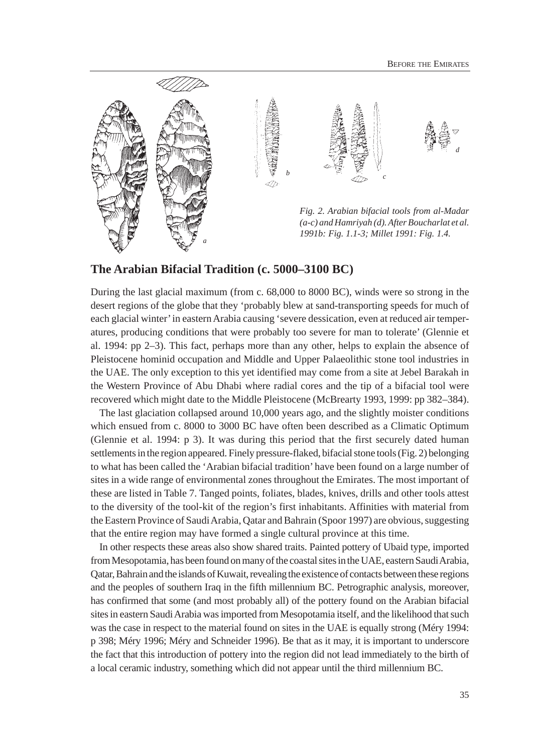

#### **The Arabian Bifacial Tradition (c. 5000–3100 BC)**

During the last glacial maximum (from c. 68,000 to 8000 BC), winds were so strong in the desert regions of the globe that they 'probably blew at sand-transporting speeds for much of each glacial winter'in eastern Arabia causing 'severe dessication, even at reduced air temperatures, producing conditions that were probably too severe for man to tolerate' (Glennie et al. 1994: pp 2–3). This fact, perhaps more than any other, helps to explain the absence of Pleistocene hominid occupation and Middle and Upper Palaeolithic stone tool industries in the UAE. The only exception to this yet identified may come from a site at Jebel Barakah in the Western Province of Abu Dhabi where radial cores and the tip of a bifacial tool were recovered which might date to the Middle Pleistocene (McBrearty 1993, 1999: pp 382–384).

The last glaciation collapsed around 10,000 years ago, and the slightly moister conditions which ensued from c. 8000 to 3000 BC have often been described as a Climatic Optimum (Glennie et al. 1994: p 3). It was during this period that the first securely dated human settlements in the region appeared. Finely pressure-flaked, bifacial stone tools (Fig. 2) belonging to what has been called the 'Arabian bifacial tradition' have been found on a large number of sites in a wide range of environmental zones throughout the Emirates. The most important of these are listed in Table 7. Tanged points, foliates, blades, knives, drills and other tools attest to the diversity of the tool-kit of the region's first inhabitants. Affinities with material from the Eastern Province of Saudi Arabia, Qatar and Bahrain (Spoor 1997) are obvious, suggesting that the entire region may have formed a single cultural province at this time.

In other respects these areas also show shared traits. Painted pottery of Ubaid type, imported from Mesopotamia, has been found on many of the coastal sites in the UAE, eastern Saudi Arabia, Qatar, Bahrain and the islands of Kuwait, revealing the existence of contacts between these regions and the peoples of southern Iraq in the fifth millennium BC. Petrographic analysis, moreover, has confirmed that some (and most probably all) of the pottery found on the Arabian bifacial sites in eastern Saudi Arabia was imported from Mesopotamia itself, and the likelihood that such was the case in respect to the material found on sites in the UAE is equally strong (Méry 1994: p 398; Méry 1996; Méry and Schneider 1996). Be that as it may, it is important to underscore the fact that this introduction of pottery into the region did not lead immediately to the birth of a local ceramic industry, something which did not appear until the third millennium BC.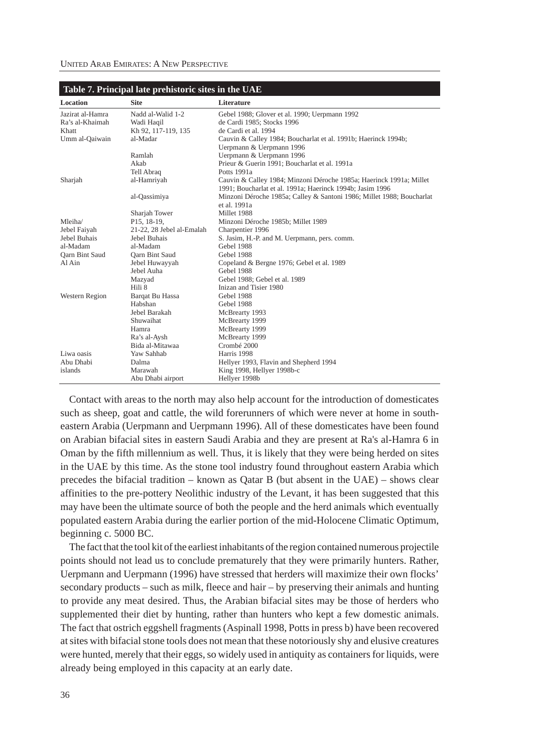| Location         | <b>Site</b>               | Literature                                                            |
|------------------|---------------------------|-----------------------------------------------------------------------|
| Jazirat al-Hamra | Nadd al-Walid 1-2         | Gebel 1988; Glover et al. 1990; Uerpmann 1992                         |
| Ra's al-Khaimah  | Wadi Haqil                | de Cardi 1985; Stocks 1996                                            |
| Khatt            | Kh 92, 117-119, 135       | de Cardi et al. 1994                                                  |
| Umm al-Qaiwain   | al-Madar                  | Cauvin & Calley 1984; Boucharlat et al. 1991b; Haerinck 1994b;        |
|                  |                           | Uerpmann & Uerpmann 1996                                              |
|                  | Ramlah                    | Uerpmann & Uerpmann 1996                                              |
|                  | Akab                      | Prieur & Guerin 1991; Boucharlat et al. 1991a                         |
|                  | Tell Abraq                | Potts 1991a                                                           |
| Sharjah          | al-Hamriyah               | Cauvin & Calley 1984; Minzoni Déroche 1985a; Haerinck 1991a; Millet   |
|                  |                           | 1991; Boucharlat et al. 1991a; Haerinck 1994b; Jasim 1996             |
|                  | al-Qassimiya              | Minzoni Déroche 1985a; Calley & Santoni 1986; Millet 1988; Boucharlat |
|                  |                           | et al. 1991a                                                          |
|                  | Sharjah Tower             | Millet 1988                                                           |
| Mleiha/          | P15, 18-19,               | Minzoni Déroche 1985b; Millet 1989                                    |
| Jebel Faiyah     | 21-22, 28 Jebel al-Emalah | Charpentier 1996                                                      |
| Jebel Buhais     | Jebel Buhais              | S. Jasim, H.-P. and M. Uerpmann, pers. comm.                          |
| al-Madam         | al-Madam                  | Gebel 1988                                                            |
| Oarn Bint Saud   | Oarn Bint Saud            | Gebel 1988                                                            |
| Al Ain           | Jebel Huwayyah            | Copeland & Bergne 1976; Gebel et al. 1989                             |
|                  | Jebel Auha                | Gebel 1988                                                            |
|                  | Mazyad                    | Gebel 1988; Gebel et al. 1989                                         |
|                  | Hili 8                    | Inizan and Tisier 1980                                                |
| Western Region   | Bargat Bu Hassa           | Gebel 1988                                                            |
|                  | Habshan                   | Gebel 1988                                                            |
|                  | Jebel Barakah             | McBrearty 1993                                                        |
|                  | Shuwaihat                 | McBrearty 1999                                                        |
|                  | Hamra                     | McBrearty 1999                                                        |
|                  | Ra's al-Aysh              | McBrearty 1999                                                        |
|                  | Bida al-Mitawaa           | Crombé 2000                                                           |
| Liwa oasis       | Yaw Sahhab                | Harris 1998                                                           |
| Abu Dhabi        | Dalma                     | Hellyer 1993, Flavin and Shepherd 1994                                |
| islands          | Marawah                   | King 1998, Hellyer 1998b-c                                            |
|                  | Abu Dhabi airport         | Hellyer 1998b                                                         |

#### **Table 7. Principal late prehistoric sites in the UAE**

Contact with areas to the north may also help account for the introduction of domesticates such as sheep, goat and cattle, the wild forerunners of which were never at home in southeastern Arabia (Uerpmann and Uerpmann 1996). All of these domesticates have been found on Arabian bifacial sites in eastern Saudi Arabia and they are present at Ra's al-Hamra 6 in Oman by the fifth millennium as well. Thus, it is likely that they were being herded on sites in the UAE by this time. As the stone tool industry found throughout eastern Arabia which precedes the bifacial tradition – known as Oatar B (but absent in the UAE) – shows clear affinities to the pre-pottery Neolithic industry of the Levant, it has been suggested that this may have been the ultimate source of both the people and the herd animals which eventually populated eastern Arabia during the earlier portion of the mid-Holocene Climatic Optimum, beginning c. 5000 BC.

The fact that the tool kit of the earliest inhabitants of the region contained numerous projectile points should not lead us to conclude prematurely that they were primarily hunters. Rather, Uerpmann and Uerpmann (1996) have stressed that herders will maximize their own flocks' secondary products – such as milk, fleece and hair – by preserving their animals and hunting to provide any meat desired. Thus, the Arabian bifacial sites may be those of herders who supplemented their diet by hunting, rather than hunters who kept a few domestic animals. The fact that ostrich eggshell fragments (Aspinall 1998, Potts in press b) have been recovered at sites with bifacial stone tools does not mean that these notoriously shy and elusive creatures were hunted, merely that their eggs, so widely used in antiquity as containers for liquids, were already being employed in this capacity at an early date.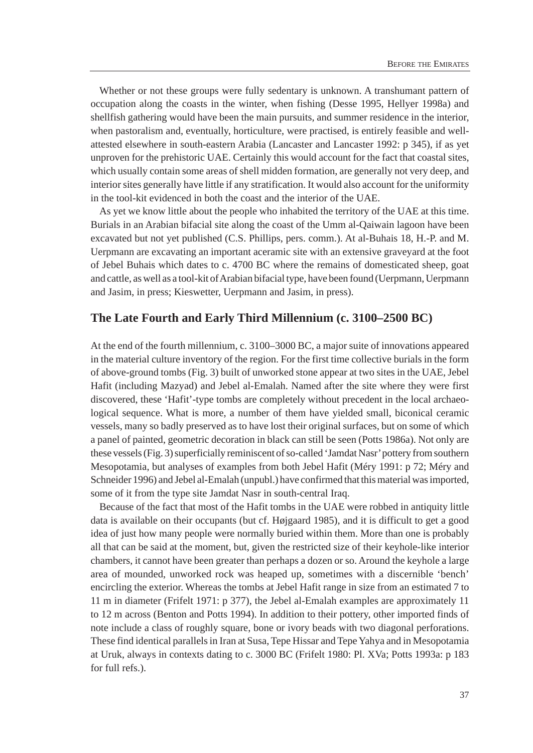Whether or not these groups were fully sedentary is unknown. A transhumant pattern of occupation along the coasts in the winter, when fishing (Desse 1995, Hellyer 1998a) and shellfish gathering would have been the main pursuits, and summer residence in the interior, when pastoralism and, eventually, horticulture, were practised, is entirely feasible and wellattested elsewhere in south-eastern Arabia (Lancaster and Lancaster 1992: p 345), if as yet unproven for the prehistoric UAE. Certainly this would account for the fact that coastal sites, which usually contain some areas of shell midden formation, are generally not very deep, and interior sites generally have little if any stratification. It would also account for the uniformity in the tool-kit evidenced in both the coast and the interior of the UAE.

As yet we know little about the people who inhabited the territory of the UAE at this time. Burials in an Arabian bifacial site along the coast of the Umm al-Qaiwain lagoon have been excavated but not yet published (C.S. Phillips, pers. comm.). At al-Buhais 18, H.-P. and M. Uerpmann are excavating an important aceramic site with an extensive graveyard at the foot of Jebel Buhais which dates to c. 4700 BC where the remains of domesticated sheep, goat and cattle, as well as a tool-kit of Arabian bifacial type, have been found (Uerpmann, Uerpmann and Jasim, in press; Kieswetter, Uerpmann and Jasim, in press).

#### **The Late Fourth and Early Third Millennium (c. 3100–2500 BC)**

At the end of the fourth millennium, c. 3100–3000 BC, a major suite of innovations appeared in the material culture inventory of the region. For the first time collective burials in the form of above-ground tombs (Fig. 3) built of unworked stone appear at two sites in the UAE, Jebel Hafit (including Mazyad) and Jebel al-Emalah. Named after the site where they were first discovered, these 'Hafit'-type tombs are completely without precedent in the local archaeological sequence. What is more, a number of them have yielded small, biconical ceramic vessels, many so badly preserved as to have lost their original surfaces, but on some of which a panel of painted, geometric decoration in black can still be seen (Potts 1986a). Not only are these vessels (Fig. 3) superficially reminiscent of so-called 'Jamdat Nasr'pottery from southern Mesopotamia, but analyses of examples from both Jebel Hafit (Méry 1991: p 72; Méry and Schneider 1996) and Jebel al-Emalah (unpubl.) have confirmed that this material was imported, some of it from the type site Jamdat Nasr in south-central Iraq.

Because of the fact that most of the Hafit tombs in the UAE were robbed in antiquity little data is available on their occupants (but cf. Højgaard 1985), and it is difficult to get a good idea of just how many people were normally buried within them. More than one is probably all that can be said at the moment, but, given the restricted size of their keyhole-like interior chambers, it cannot have been greater than perhaps a dozen or so. Around the keyhole a large area of mounded, unworked rock was heaped up, sometimes with a discernible 'bench' encircling the exterior. Whereas the tombs at Jebel Hafit range in size from an estimated 7 to 11 m in diameter (Frifelt 1971: p 377), the Jebel al-Emalah examples are approximately 11 to 12 m across (Benton and Potts 1994). In addition to their pottery, other imported finds of note include a class of roughly square, bone or ivory beads with two diagonal perforations. These find identical parallels in Iran at Susa, Tepe Hissar and Tepe Yahya and in Mesopotamia at Uruk, always in contexts dating to c. 3000 BC (Frifelt 1980: Pl. XVa; Potts 1993a: p 183 for full refs.).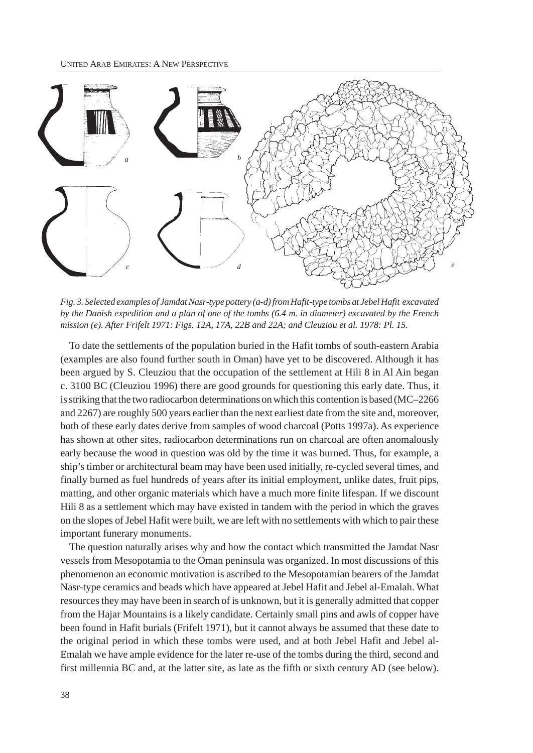UNITED ARAB EMIRATES: A NEW PERSPECTIVE



*Fig. 3. Selected examples of Jamdat Nasr-type pottery (a-d) from Hafit-type tombs at Jebel Hafit excavated by the Danish expedition and a plan of one of the tombs (6.4 m. in diameter) excavated by the French mission (e). After Frifelt 1971: Figs. 12A, 17A, 22B and 22A; and Cleuziou et al. 1978: Pl. 15.*

To date the settlements of the population buried in the Hafit tombs of south-eastern Arabia (examples are also found further south in Oman) have yet to be discovered. Although it has been argued by S. Cleuziou that the occupation of the settlement at Hili 8 in Al Ain began c. 3100 BC (Cleuziou 1996) there are good grounds for questioning this early date. Thus, it is striking that the two radiocarbon determinations on which this contention is based (MC–2266 and 2267) are roughly 500 years earlier than the next earliest date from the site and, moreover, both of these early dates derive from samples of wood charcoal (Potts 1997a). As experience has shown at other sites, radiocarbon determinations run on charcoal are often anomalously early because the wood in question was old by the time it was burned. Thus, for example, a ship's timber or architectural beam may have been used initially, re-cycled several times, and finally burned as fuel hundreds of years after its initial employment, unlike dates, fruit pips, matting, and other organic materials which have a much more finite lifespan. If we discount Hili 8 as a settlement which may have existed in tandem with the period in which the graves on the slopes of Jebel Hafit were built, we are left with no settlements with which to pair these important funerary monuments.

The question naturally arises why and how the contact which transmitted the Jamdat Nasr vessels from Mesopotamia to the Oman peninsula was organized. In most discussions of this phenomenon an economic motivation is ascribed to the Mesopotamian bearers of the Jamdat Nasr-type ceramics and beads which have appeared at Jebel Hafit and Jebel al-Emalah. What resources they may have been in search of is unknown, but it is generally admitted that copper from the Hajar Mountains is a likely candidate. Certainly small pins and awls of copper have been found in Hafit burials (Frifelt 1971), but it cannot always be assumed that these date to the original period in which these tombs were used, and at both Jebel Hafit and Jebel al-Emalah we have ample evidence for the later re-use of the tombs during the third, second and first millennia BC and, at the latter site, as late as the fifth or sixth century AD (see below).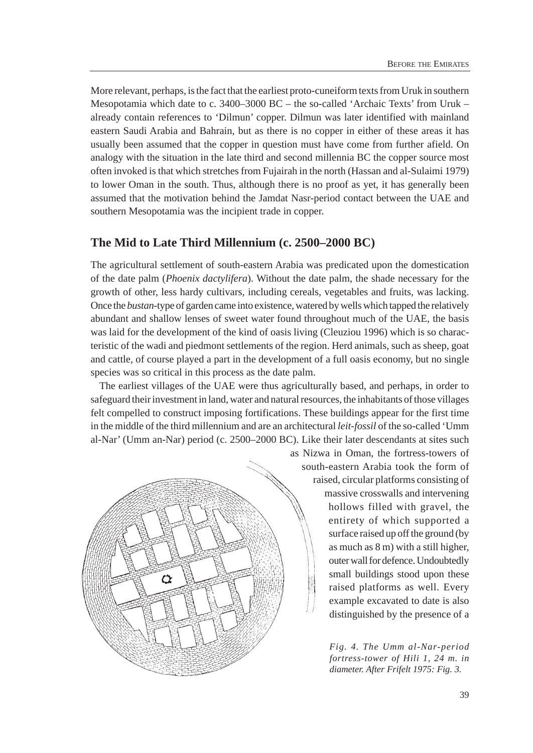More relevant, perhaps, is the fact that the earliest proto-cuneiform texts from Uruk in southern Mesopotamia which date to c. 3400–3000 BC – the so-called 'Archaic Texts' from Uruk – already contain references to 'Dilmun' copper. Dilmun was later identified with mainland eastern Saudi Arabia and Bahrain, but as there is no copper in either of these areas it has usually been assumed that the copper in question must have come from further afield. On analogy with the situation in the late third and second millennia BC the copper source most often invoked is that which stretches from Fujairah in the north (Hassan and al-Sulaimi 1979) to lower Oman in the south. Thus, although there is no proof as yet, it has generally been assumed that the motivation behind the Jamdat Nasr-period contact between the UAE and southern Mesopotamia was the incipient trade in copper.

## **The Mid to Late Third Millennium (c. 2500–2000 BC)**

The agricultural settlement of south-eastern Arabia was predicated upon the domestication of the date palm (*Phoenix dactylifera*). Without the date palm, the shade necessary for the growth of other, less hardy cultivars, including cereals, vegetables and fruits, was lacking. Once the *bustan*-type of garden came into existence, watered by wells which tapped the relatively abundant and shallow lenses of sweet water found throughout much of the UAE, the basis was laid for the development of the kind of oasis living (Cleuziou 1996) which is so characteristic of the wadi and piedmont settlements of the region. Herd animals, such as sheep, goat and cattle, of course played a part in the development of a full oasis economy, but no single species was so critical in this process as the date palm.

The earliest villages of the UAE were thus agriculturally based, and perhaps, in order to safeguard their investment in land, water and natural resources, the inhabitants of those villages felt compelled to construct imposing fortifications. These buildings appear for the first time in the middle of the third millennium and are an architectural *leit-fossil* of the so-called 'Umm al-Nar' (Umm an-Nar) period (c. 2500–2000 BC). Like their later descendants at sites such



as Nizwa in Oman, the fortress-towers of south-eastern Arabia took the form of raised, circular platforms consisting of massive crosswalls and intervening hollows filled with gravel, the entirety of which supported a surface raised up off the ground (by as much as 8 m) with a still higher, outer wall for defence. Undoubtedly small buildings stood upon these raised platforms as well. Every example excavated to date is also distinguished by the presence of a

> *Fig. 4. The Umm al-Nar-period fortress-tower of Hili 1, 24 m. in diameter. After Frifelt 1975: Fig. 3.*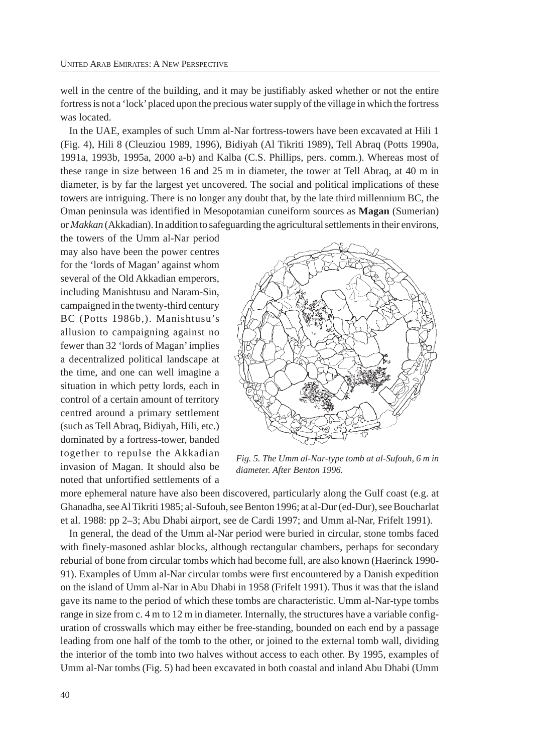well in the centre of the building, and it may be justifiably asked whether or not the entire fortress is not a 'lock'placed upon the precious water supply of the village in which the fortress was located.

In the UAE, examples of such Umm al-Nar fortress-towers have been excavated at Hili 1 (Fig. 4), Hili 8 (Cleuziou 1989, 1996), Bidiyah (Al Tikriti 1989), Tell Abraq (Potts 1990a, 1991a, 1993b, 1995a, 2000 a-b) and Kalba (C.S. Phillips, pers. comm.). Whereas most of these range in size between 16 and 25 m in diameter, the tower at Tell Abraq, at 40 m in diameter, is by far the largest yet uncovered. The social and political implications of these towers are intriguing. There is no longer any doubt that, by the late third millennium BC, the Oman peninsula was identified in Mesopotamian cuneiform sources as **Magan** (Sumerian) or *Makkan* (Akkadian). In addition to safeguarding the agricultural settlements in their environs,

the towers of the Umm al-Nar period may also have been the power centres for the 'lords of Magan' against whom several of the Old Akkadian emperors, including Manishtusu and Naram-Sin, campaigned in the twenty-third century BC (Potts 1986b,). Manishtusu's allusion to campaigning against no fewer than 32 'lords of Magan' implies a decentralized political landscape at the time, and one can well imagine a situation in which petty lords, each in control of a certain amount of territory centred around a primary settlement (such as Tell Abraq, Bidiyah, Hili, etc.) dominated by a fortress-tower, banded together to repulse the Akkadian invasion of Magan. It should also be noted that unfortified settlements of a



*Fig. 5. The Umm al-Nar-type tomb at al-Sufouh, 6 m in diameter. After Benton 1996.*

more ephemeral nature have also been discovered, particularly along the Gulf coast (e.g. at Ghanadha, see Al Tikriti 1985; al-Sufouh, see Benton 1996; at al-Dur (ed-Dur), see Boucharlat et al. 1988: pp 2–3; Abu Dhabi airport, see de Cardi 1997; and Umm al-Nar, Frifelt 1991).

In general, the dead of the Umm al-Nar period were buried in circular, stone tombs faced with finely-masoned ashlar blocks, although rectangular chambers, perhaps for secondary reburial of bone from circular tombs which had become full, are also known (Haerinck 1990- 91). Examples of Umm al-Nar circular tombs were first encountered by a Danish expedition on the island of Umm al-Nar in Abu Dhabi in 1958 (Frifelt 1991). Thus it was that the island gave its name to the period of which these tombs are characteristic. Umm al-Nar-type tombs range in size from c. 4 m to 12 m in diameter. Internally, the structures have a variable configuration of crosswalls which may either be free-standing, bounded on each end by a passage leading from one half of the tomb to the other, or joined to the external tomb wall, dividing the interior of the tomb into two halves without access to each other. By 1995, examples of Umm al-Nar tombs (Fig. 5) had been excavated in both coastal and inland Abu Dhabi (Umm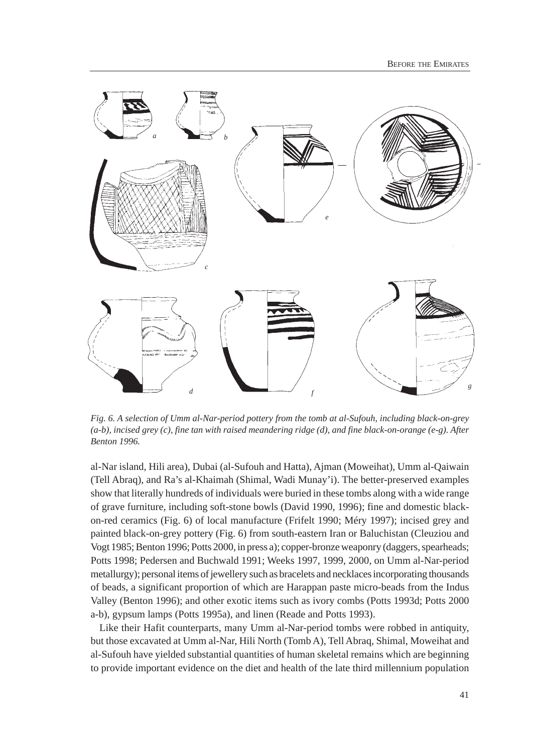

*Fig. 6. A selection of Umm al-Nar-period pottery from the tomb at al-Sufouh, including black-on-grey (a-b), incised grey (c), fine tan with raised meandering ridge (d), and fine black-on-orange (e-g). After Benton 1996.*

al-Nar island, Hili area), Dubai (al-Sufouh and Hatta), Ajman (Moweihat), Umm al-Qaiwain (Tell Abraq), and Ra's al-Khaimah (Shimal, Wadi Munay'i). The better-preserved examples show that literally hundreds of individuals were buried in these tombs along with a wide range of grave furniture, including soft-stone bowls (David 1990, 1996); fine and domestic blackon-red ceramics (Fig. 6) of local manufacture (Frifelt 1990; Méry 1997); incised grey and painted black-on-grey pottery (Fig. 6) from south-eastern Iran or Baluchistan (Cleuziou and Vogt 1985; Benton 1996; Potts 2000, in press a); copper-bronze weaponry (daggers, spearheads; Potts 1998; Pedersen and Buchwald 1991; Weeks 1997, 1999, 2000, on Umm al-Nar-period metallurgy); personal items of jewellery such as bracelets and necklaces incorporating thousands of beads, a significant proportion of which are Harappan paste micro-beads from the Indus Valley (Benton 1996); and other exotic items such as ivory combs (Potts 1993d; Potts 2000 a-b), gypsum lamps (Potts 1995a), and linen (Reade and Potts 1993).

Like their Hafit counterparts, many Umm al-Nar-period tombs were robbed in antiquity, but those excavated at Umm al-Nar, Hili North (Tomb A), Tell Abraq, Shimal, Moweihat and al-Sufouh have yielded substantial quantities of human skeletal remains which are beginning to provide important evidence on the diet and health of the late third millennium population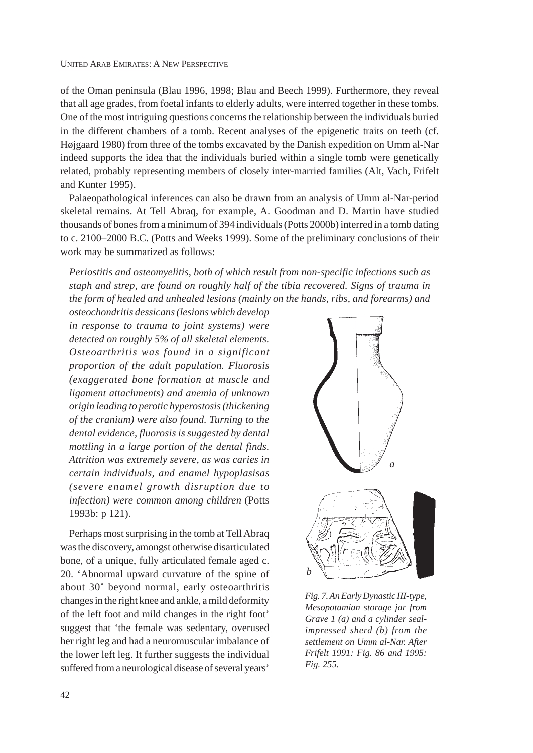of the Oman peninsula (Blau 1996, 1998; Blau and Beech 1999). Furthermore, they reveal that all age grades, from foetal infants to elderly adults, were interred together in these tombs. One of the most intriguing questions concerns the relationship between the individuals buried in the different chambers of a tomb. Recent analyses of the epigenetic traits on teeth (cf. Højgaard 1980) from three of the tombs excavated by the Danish expedition on Umm al-Nar indeed supports the idea that the individuals buried within a single tomb were genetically related, probably representing members of closely inter-married families (Alt, Vach, Frifelt and Kunter 1995).

Palaeopathological inferences can also be drawn from an analysis of Umm al-Nar-period skeletal remains. At Tell Abraq, for example, A. Goodman and D. Martin have studied thousands of bones from a minimum of 394 individuals (Potts 2000b) interred in a tomb dating to c. 2100–2000 B.C. (Potts and Weeks 1999). Some of the preliminary conclusions of their work may be summarized as follows:

*Periostitis and osteomyelitis, both of which result from non-specific infections such as staph and strep, are found on roughly half of the tibia recovered. Signs of trauma in the form of healed and unhealed lesions (mainly on the hands, ribs, and forearms) and*

*osteochondritis dessicans (lesions which develop in response to trauma to joint systems) were detected on roughly 5% of all skeletal elements. Osteoarthritis was found in a significant proportion of the adult population. Fluorosis (exaggerated bone formation at muscle and ligament attachments) and anemia of unknown origin leading to perotic hyperostosis (thickening of the cranium) were also found. Turning to the dental evidence, fluorosis is suggested by dental mottling in a large portion of the dental finds. Attrition was extremely severe, as was caries in certain individuals, and enamel hypoplasisas (severe enamel growth disruption due to infection) were common among children* (Potts 1993b: p 121).

Perhaps most surprising in the tomb at Tell Abraq was the discovery, amongst otherwise disarticulated bone, of a unique, fully articulated female aged c. 20. 'Abnormal upward curvature of the spine of about 30˚ beyond normal, early osteoarthritis changes in the right knee and ankle, a mild deformity of the left foot and mild changes in the right foot' suggest that 'the female was sedentary, overused her right leg and had a neuromuscular imbalance of the lower left leg. It further suggests the individual suffered from a neurological disease of several years'



*Fig. 7. An Early Dynastic III-type, Mesopotamian storage jar from Grave 1 (a) and a cylinder sealimpressed sherd (b) from the settlement on Umm al-Nar. After Frifelt 1991: Fig. 86 and 1995: Fig. 255.*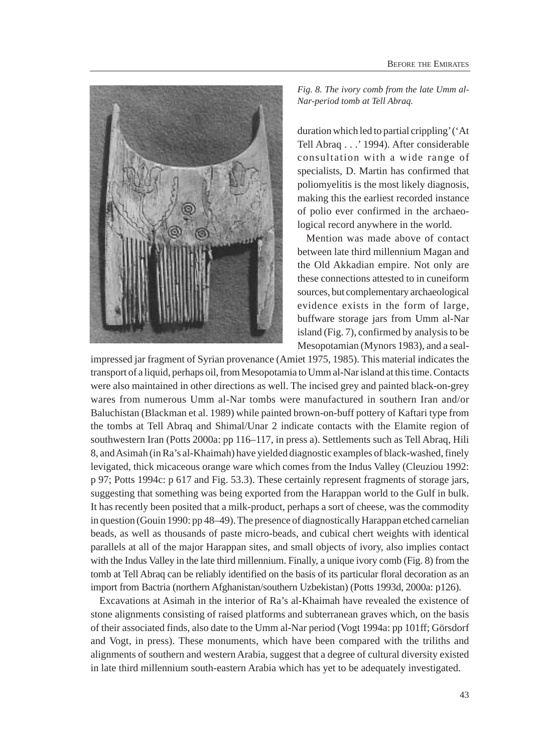

*Fig. 8. The ivory comb from the late Umm al-Nar-period tomb at Tell Abraq.*

duration which led to partial crippling'('At Tell Abraq . . .' 1994). After considerable consultation with a wide range of specialists, D. Martin has confirmed that poliomyelitis is the most likely diagnosis, making this the earliest recorded instance of polio ever confirmed in the archaeological record anywhere in the world.

Mention was made above of contact between late third millennium Magan and the Old Akkadian empire. Not only are these connections attested to in cuneiform sources, but complementary archaeological evidence exists in the form of large, buffware storage jars from Umm al-Nar island (Fig. 7), confirmed by analysis to be Mesopotamian (Mynors 1983), and a seal-

impressed jar fragment of Syrian provenance (Amiet 1975, 1985). This material indicates the transport of a liquid, perhaps oil, from Mesopotamia to Umm al-Nar island at this time. Contacts were also maintained in other directions as well. The incised grey and painted black-on-grey wares from numerous Umm al-Nar tombs were manufactured in southern Iran and/or Baluchistan (Blackman et al. 1989) while painted brown-on-buff pottery of Kaftari type from the tombs at Tell Abraq and Shimal/Unar 2 indicate contacts with the Elamite region of southwestern Iran (Potts 2000a: pp 116–117, in press a). Settlements such as Tell Abraq, Hili 8, and Asimah (in Ra's al-Khaimah) have yielded diagnostic examples of black-washed, finely levigated, thick micaceous orange ware which comes from the Indus Valley (Cleuziou 1992: p 97; Potts 1994c: p 617 and Fig. 53.3). These certainly represent fragments of storage jars, suggesting that something was being exported from the Harappan world to the Gulf in bulk. It has recently been posited that a milk-product, perhaps a sort of cheese, was the commodity in question (Gouin 1990: pp 48–49). The presence of diagnostically Harappan etched carnelian beads, as well as thousands of paste micro-beads, and cubical chert weights with identical parallels at all of the major Harappan sites, and small objects of ivory, also implies contact with the Indus Valley in the late third millennium. Finally, a unique ivory comb (Fig. 8) from the tomb at Tell Abraq can be reliably identified on the basis of its particular floral decoration as an import from Bactria (northern Afghanistan/southern Uzbekistan) (Potts 1993d, 2000a: p126).

Excavations at Asimah in the interior of Ra's al-Khaimah have revealed the existence of stone alignments consisting of raised platforms and subterranean graves which, on the basis of their associated finds, also date to the Umm al-Nar period (Vogt 1994a: pp 101ff; Görsdorf and Vogt, in press). These monuments, which have been compared with the triliths and alignments of southern and western Arabia, suggest that a degree of cultural diversity existed in late third millennium south-eastern Arabia which has yet to be adequately investigated.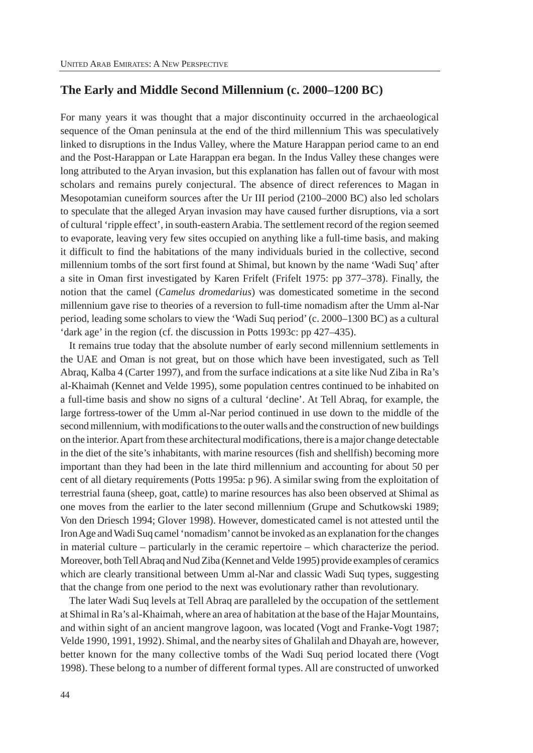#### **The Early and Middle Second Millennium (c. 2000–1200 BC)**

For many years it was thought that a major discontinuity occurred in the archaeological sequence of the Oman peninsula at the end of the third millennium This was speculatively linked to disruptions in the Indus Valley, where the Mature Harappan period came to an end and the Post-Harappan or Late Harappan era began. In the Indus Valley these changes were long attributed to the Aryan invasion, but this explanation has fallen out of favour with most scholars and remains purely conjectural. The absence of direct references to Magan in Mesopotamian cuneiform sources after the Ur III period (2100–2000 BC) also led scholars to speculate that the alleged Aryan invasion may have caused further disruptions, via a sort of cultural 'ripple effect', in south-eastern Arabia. The settlement record of the region seemed to evaporate, leaving very few sites occupied on anything like a full-time basis, and making it difficult to find the habitations of the many individuals buried in the collective, second millennium tombs of the sort first found at Shimal, but known by the name 'Wadi Suq' after a site in Oman first investigated by Karen Frifelt (Frifelt 1975: pp 377–378). Finally, the notion that the camel (*Camelus dromedarius*) was domesticated sometime in the second millennium gave rise to theories of a reversion to full-time nomadism after the Umm al-Nar period, leading some scholars to view the 'Wadi Suq period' (c. 2000–1300 BC) as a cultural 'dark age' in the region (cf. the discussion in Potts 1993c: pp 427–435).

It remains true today that the absolute number of early second millennium settlements in the UAE and Oman is not great, but on those which have been investigated, such as Tell Abraq, Kalba 4 (Carter 1997), and from the surface indications at a site like Nud Ziba in Ra's al-Khaimah (Kennet and Velde 1995), some population centres continued to be inhabited on a full-time basis and show no signs of a cultural 'decline'. At Tell Abraq, for example, the large fortress-tower of the Umm al-Nar period continued in use down to the middle of the second millennium, with modifications to the outer walls and the construction of new buildings on the interior. Apart from these architectural modifications, there is a major change detectable in the diet of the site's inhabitants, with marine resources (fish and shellfish) becoming more important than they had been in the late third millennium and accounting for about 50 per cent of all dietary requirements (Potts 1995a: p 96). A similar swing from the exploitation of terrestrial fauna (sheep, goat, cattle) to marine resources has also been observed at Shimal as one moves from the earlier to the later second millennium (Grupe and Schutkowski 1989; Von den Driesch 1994; Glover 1998). However, domesticated camel is not attested until the Iron Age and Wadi Suq camel 'nomadism'cannot be invoked as an explanation for the changes in material culture – particularly in the ceramic repertoire – which characterize the period. Moreover, both Tell Abraq and Nud Ziba (Kennet and Velde 1995) provide examples of ceramics which are clearly transitional between Umm al-Nar and classic Wadi Suq types, suggesting that the change from one period to the next was evolutionary rather than revolutionary.

The later Wadi Suq levels at Tell Abraq are paralleled by the occupation of the settlement at Shimal in Ra's al-Khaimah, where an area of habitation at the base of the Hajar Mountains, and within sight of an ancient mangrove lagoon, was located (Vogt and Franke-Vogt 1987; Velde 1990, 1991, 1992). Shimal, and the nearby sites of Ghalilah and Dhayah are, however, better known for the many collective tombs of the Wadi Suq period located there (Vogt 1998). These belong to a number of different formal types. All are constructed of unworked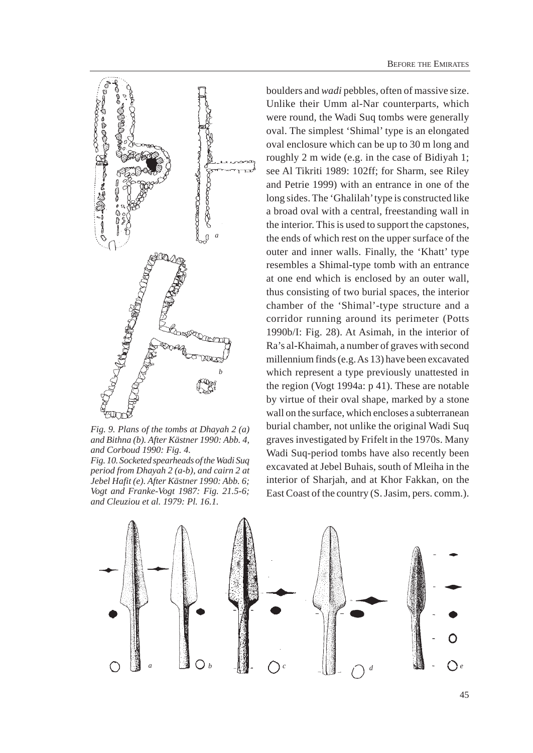

*Fig. 9. Plans of the tombs at Dhayah 2 (a) and Bithna (b). After Kästner 1990: Abb. 4, and Corboud 1990: Fig. 4. Fig. 10. Socketed spearheads of the Wadi Suq*

*period from Dhayah 2 (a-b), and cairn 2 at Jebel Hafit (e). After Kästner 1990: Abb. 6; Vogt and Franke-Vogt 1987: Fig. 21.5-6; and Cleuziou et al. 1979: Pl. 16.1.*

boulders and *wadi* pebbles, often of massive size. Unlike their Umm al-Nar counterparts, which were round, the Wadi Suq tombs were generally oval. The simplest 'Shimal' type is an elongated oval enclosure which can be up to 30 m long and roughly 2 m wide (e.g. in the case of Bidiyah 1; see Al Tikriti 1989: 102ff; for Sharm, see Riley and Petrie 1999) with an entrance in one of the long sides. The 'Ghalilah'type is constructed like a broad oval with a central, freestanding wall in the interior. This is used to support the capstones, the ends of which rest on the upper surface of the outer and inner walls. Finally, the 'Khatt' type resembles a Shimal-type tomb with an entrance at one end which is enclosed by an outer wall, thus consisting of two burial spaces, the interior chamber of the 'Shimal'-type structure and a corridor running around its perimeter (Potts 1990b/I: Fig. 28). At Asimah, in the interior of Ra's al-Khaimah, a number of graves with second millennium finds (e.g. As 13) have been excavated which represent a type previously unattested in the region (Vogt 1994a: p 41). These are notable by virtue of their oval shape, marked by a stone wall on the surface, which encloses a subterranean burial chamber, not unlike the original Wadi Suq graves investigated by Frifelt in the 1970s. Many Wadi Suq-period tombs have also recently been excavated at Jebel Buhais, south of Mleiha in the interior of Sharjah, and at Khor Fakkan, on the East Coast of the country (S. Jasim, pers. comm.).

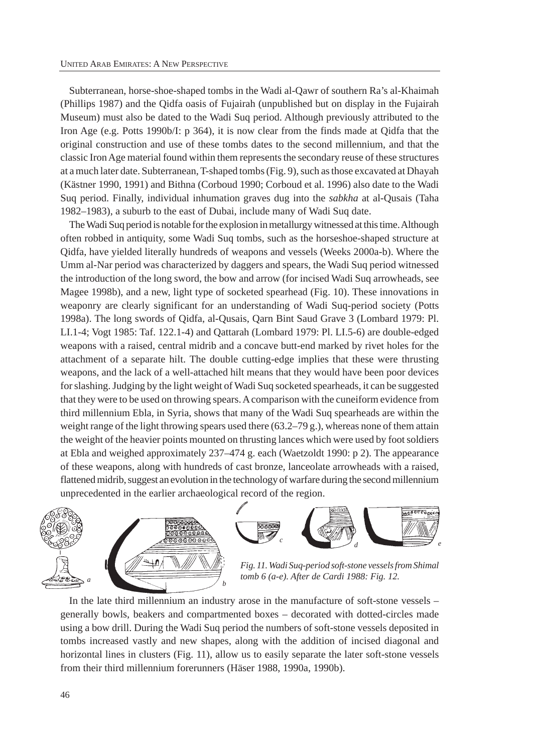Subterranean, horse-shoe-shaped tombs in the Wadi al-Qawr of southern Ra's al-Khaimah (Phillips 1987) and the Qidfa oasis of Fujairah (unpublished but on display in the Fujairah Museum) must also be dated to the Wadi Suq period. Although previously attributed to the Iron Age (e.g. Potts 1990b/I: p 364), it is now clear from the finds made at Qidfa that the original construction and use of these tombs dates to the second millennium, and that the classic Iron Age material found within them represents the secondary reuse of these structures at a much later date. Subterranean, T-shaped tombs (Fig. 9), such as those excavated at Dhayah (Kästner 1990, 1991) and Bithna (Corboud 1990; Corboud et al. 1996) also date to the Wadi Suq period. Finally, individual inhumation graves dug into the *sabkha* at al-Qusais (Taha 1982–1983), a suburb to the east of Dubai, include many of Wadi Suq date.

The Wadi Suq period is notable for the explosion in metallurgy witnessed at this time. Although often robbed in antiquity, some Wadi Suq tombs, such as the horseshoe-shaped structure at Qidfa, have yielded literally hundreds of weapons and vessels (Weeks 2000a-b). Where the Umm al-Nar period was characterized by daggers and spears, the Wadi Suq period witnessed the introduction of the long sword, the bow and arrow (for incised Wadi Suq arrowheads, see Magee 1998b), and a new, light type of socketed spearhead (Fig. 10). These innovations in weaponry are clearly significant for an understanding of Wadi Suq-period society (Potts 1998a). The long swords of Qidfa, al-Qusais, Qarn Bint Saud Grave 3 (Lombard 1979: Pl. LI.1-4; Vogt 1985: Taf. 122.1-4) and Qattarah (Lombard 1979: Pl. LI.5-6) are double-edged weapons with a raised, central midrib and a concave butt-end marked by rivet holes for the attachment of a separate hilt. The double cutting-edge implies that these were thrusting weapons, and the lack of a well-attached hilt means that they would have been poor devices for slashing. Judging by the light weight of Wadi Suq socketed spearheads, it can be suggested that they were to be used on throwing spears. Acomparison with the cuneiform evidence from third millennium Ebla, in Syria, shows that many of the Wadi Suq spearheads are within the weight range of the light throwing spears used there (63.2–79 g.), whereas none of them attain the weight of the heavier points mounted on thrusting lances which were used by foot soldiers at Ebla and weighed approximately 237–474 g. each (Waetzoldt 1990: p 2). The appearance of these weapons, along with hundreds of cast bronze, lanceolate arrowheads with a raised, flattened midrib, suggest an evolution in the technology of warfare during the second millennium unprecedented in the earlier archaeological record of the region.





*Fig. 11. Wadi Suq-period soft-stone vessels from Shimal tomb 6 (a-e). After de Cardi 1988: Fig. 12.*

In the late third millennium an industry arose in the manufacture of soft-stone vessels – generally bowls, beakers and compartmented boxes – decorated with dotted-circles made using a bow drill. During the Wadi Suq period the numbers of soft-stone vessels deposited in tombs increased vastly and new shapes, along with the addition of incised diagonal and horizontal lines in clusters (Fig. 11), allow us to easily separate the later soft-stone vessels from their third millennium forerunners (Häser 1988, 1990a, 1990b).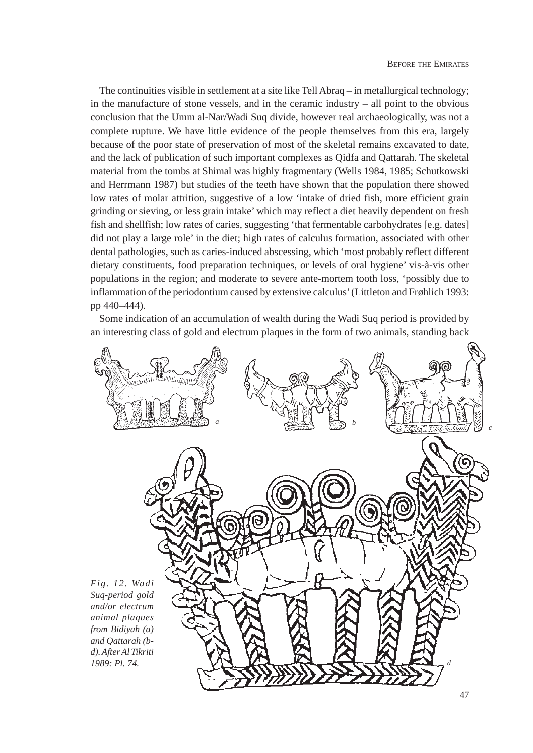The continuities visible in settlement at a site like Tell Abraq – in metallurgical technology; in the manufacture of stone vessels, and in the ceramic industry – all point to the obvious conclusion that the Umm al-Nar/Wadi Suq divide, however real archaeologically, was not a complete rupture. We have little evidence of the people themselves from this era, largely because of the poor state of preservation of most of the skeletal remains excavated to date, and the lack of publication of such important complexes as Qidfa and Qattarah. The skeletal material from the tombs at Shimal was highly fragmentary (Wells 1984, 1985; Schutkowski and Herrmann 1987) but studies of the teeth have shown that the population there showed low rates of molar attrition, suggestive of a low 'intake of dried fish, more efficient grain grinding or sieving, or less grain intake' which may reflect a diet heavily dependent on fresh fish and shellfish; low rates of caries, suggesting 'that fermentable carbohydrates [e.g. dates] did not play a large role' in the diet; high rates of calculus formation, associated with other dental pathologies, such as caries-induced abscessing, which 'most probably reflect different dietary constituents, food preparation techniques, or levels of oral hygiene' vis-à-vis other populations in the region; and moderate to severe ante-mortem tooth loss, 'possibly due to inflammation of the periodontium caused by extensive calculus'(Littleton and Frøhlich 1993: pp 440–444).

Some indication of an accumulation of wealth during the Wadi Suq period is provided by an interesting class of gold and electrum plaques in the form of two animals, standing back



*Suq-period gold and/or electrum animal plaques from Bidiyah (a) and Qattarah (bd). After Al Tikriti*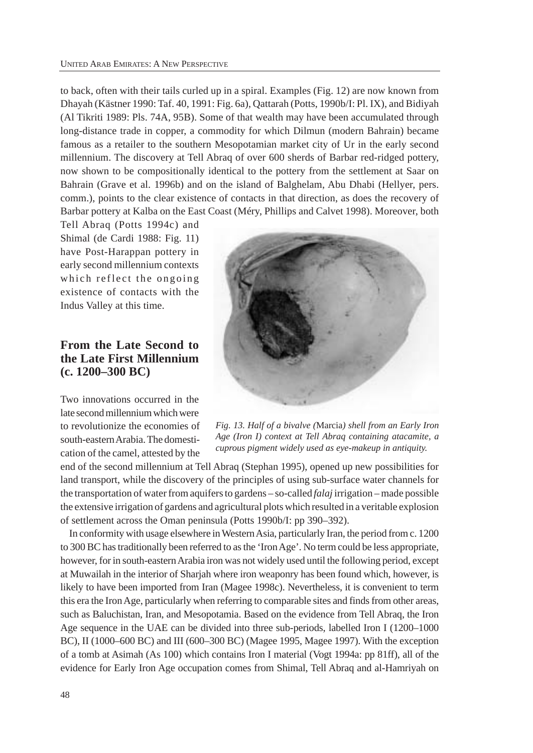to back, often with their tails curled up in a spiral. Examples (Fig. 12) are now known from Dhayah (Kästner 1990: Taf. 40, 1991: Fig. 6a), Qattarah (Potts, 1990b/I: Pl. IX), and Bidiyah (Al Tikriti 1989: Pls. 74A, 95B). Some of that wealth may have been accumulated through long-distance trade in copper, a commodity for which Dilmun (modern Bahrain) became famous as a retailer to the southern Mesopotamian market city of Ur in the early second millennium. The discovery at Tell Abraq of over 600 sherds of Barbar red-ridged pottery, now shown to be compositionally identical to the pottery from the settlement at Saar on Bahrain (Grave et al. 1996b) and on the island of Balghelam, Abu Dhabi (Hellyer, pers. comm.), points to the clear existence of contacts in that direction, as does the recovery of Barbar pottery at Kalba on the East Coast (Méry, Phillips and Calvet 1998). Moreover, both

Tell Abraq (Potts 1994c) and Shimal (de Cardi 1988: Fig. 11) have Post-Harappan pottery in early second millennium contexts which reflect the ongoing existence of contacts with the Indus Valley at this time.

## **From the Late Second to the Late First Millennium (c. 1200–300 BC)**

Two innovations occurred in the late second millennium which were to revolutionize the economies of south-eastern Arabia. The domestication of the camel, attested by the



*Fig. 13. Half of a bivalve (*Marcia*) shell from an Early Iron Age (Iron I) context at Tell Abraq containing atacamite, a cuprous pigment widely used as eye-makeup in antiquity.*

end of the second millennium at Tell Abraq (Stephan 1995), opened up new possibilities for land transport, while the discovery of the principles of using sub-surface water channels for the transportation of water from aquifers to gardens – so-called *falaj* irrigation – made possible the extensive irrigation of gardens and agricultural plots which resulted in a veritable explosion of settlement across the Oman peninsula (Potts 1990b/I: pp 390–392).

In conformity with usage elsewhere in Western Asia, particularly Iran, the period from c. 1200 to 300 BC has traditionally been referred to as the 'Iron Age'. No term could be less appropriate, however, for in south-eastern Arabia iron was not widely used until the following period, except at Muwailah in the interior of Sharjah where iron weaponry has been found which, however, is likely to have been imported from Iran (Magee 1998c). Nevertheless, it is convenient to term this era the Iron Age, particularly when referring to comparable sites and finds from other areas, such as Baluchistan, Iran, and Mesopotamia. Based on the evidence from Tell Abraq, the Iron Age sequence in the UAE can be divided into three sub-periods, labelled Iron I (1200–1000 BC), II (1000–600 BC) and III (600–300 BC) (Magee 1995, Magee 1997). With the exception of a tomb at Asimah (As 100) which contains Iron I material (Vogt 1994a: pp 81ff), all of the evidence for Early Iron Age occupation comes from Shimal, Tell Abraq and al-Hamriyah on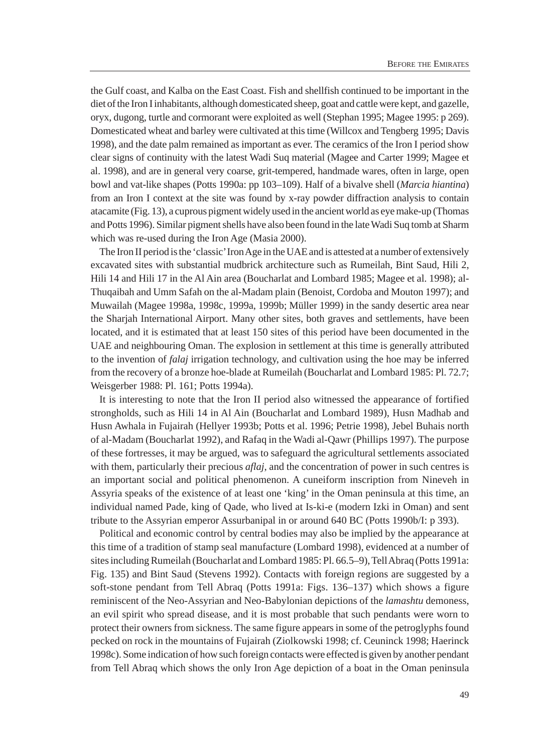the Gulf coast, and Kalba on the East Coast. Fish and shellfish continued to be important in the diet of the Iron I inhabitants, although domesticated sheep, goat and cattle were kept, and gazelle, oryx, dugong, turtle and cormorant were exploited as well (Stephan 1995; Magee 1995: p 269). Domesticated wheat and barley were cultivated at this time (Willcox and Tengberg 1995; Davis 1998), and the date palm remained as important as ever. The ceramics of the Iron I period show clear signs of continuity with the latest Wadi Suq material (Magee and Carter 1999; Magee et al. 1998), and are in general very coarse, grit-tempered, handmade wares, often in large, open bowl and vat-like shapes (Potts 1990a: pp 103–109). Half of a bivalve shell (*Marcia hiantina*) from an Iron I context at the site was found by x-ray powder diffraction analysis to contain atacamite (Fig. 13), a cuprous pigment widely used in the ancient world as eye make-up (Thomas and Potts 1996). Similar pigment shells have also been found in the late Wadi Suq tomb at Sharm which was re-used during the Iron Age (Masia 2000).

The Iron II period is the 'classic'Iron Age in the UAE and is attested at a number of extensively excavated sites with substantial mudbrick architecture such as Rumeilah, Bint Saud, Hili 2, Hili 14 and Hili 17 in the Al Ain area (Boucharlat and Lombard 1985; Magee et al. 1998); al-Thuqaibah and Umm Safah on the al-Madam plain (Benoist, Cordoba and Mouton 1997); and Muwailah (Magee 1998a, 1998c, 1999a, 1999b; Müller 1999) in the sandy desertic area near the Sharjah International Airport. Many other sites, both graves and settlements, have been located, and it is estimated that at least 150 sites of this period have been documented in the UAE and neighbouring Oman. The explosion in settlement at this time is generally attributed to the invention of *falaj* irrigation technology, and cultivation using the hoe may be inferred from the recovery of a bronze hoe-blade at Rumeilah (Boucharlat and Lombard 1985: Pl. 72.7; Weisgerber 1988: Pl. 161; Potts 1994a).

It is interesting to note that the Iron II period also witnessed the appearance of fortified strongholds, such as Hili 14 in Al Ain (Boucharlat and Lombard 1989), Husn Madhab and Husn Awhala in Fujairah (Hellyer 1993b; Potts et al. 1996; Petrie 1998), Jebel Buhais north of al-Madam (Boucharlat 1992), and Rafaq in the Wadi al-Qawr (Phillips 1997). The purpose of these fortresses, it may be argued, was to safeguard the agricultural settlements associated with them, particularly their precious *aflaj*, and the concentration of power in such centres is an important social and political phenomenon. A cuneiform inscription from Nineveh in Assyria speaks of the existence of at least one 'king' in the Oman peninsula at this time, an individual named Pade, king of Qade, who lived at Is-ki-e (modern Izki in Oman) and sent tribute to the Assyrian emperor Assurbanipal in or around 640 BC (Potts 1990b/I: p 393).

Political and economic control by central bodies may also be implied by the appearance at this time of a tradition of stamp seal manufacture (Lombard 1998), evidenced at a number of sites including Rumeilah (Boucharlat and Lombard 1985: Pl. 66.5–9), Tell Abraq (Potts 1991a: Fig. 135) and Bint Saud (Stevens 1992). Contacts with foreign regions are suggested by a soft-stone pendant from Tell Abraq (Potts 1991a: Figs. 136–137) which shows a figure reminiscent of the Neo-Assyrian and Neo-Babylonian depictions of the *lamashtu* demoness, an evil spirit who spread disease, and it is most probable that such pendants were worn to protect their owners from sickness. The same figure appears in some of the petroglyphs found pecked on rock in the mountains of Fujairah (Ziolkowski 1998; cf. Ceuninck 1998; Haerinck 1998c). Some indication of how such foreign contacts were effected is given by another pendant from Tell Abraq which shows the only Iron Age depiction of a boat in the Oman peninsula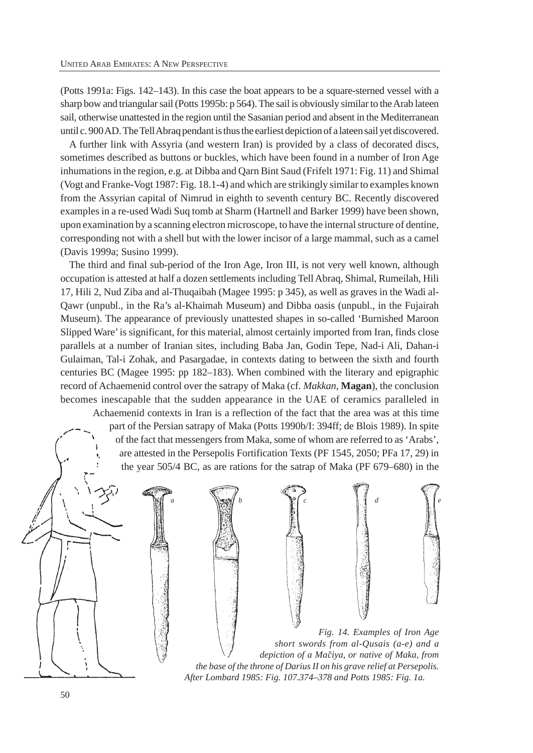(Potts 1991a: Figs. 142–143). In this case the boat appears to be a square-sterned vessel with a sharp bow and triangular sail (Potts 1995b: p 564). The sail is obviously similar to the Arab lateen sail, otherwise unattested in the region until the Sasanian period and absent in the Mediterranean until c. 900 AD. The Tell Abraq pendant is thus the earliest depiction of a lateen sail yet discovered.

A further link with Assyria (and western Iran) is provided by a class of decorated discs, sometimes described as buttons or buckles, which have been found in a number of Iron Age inhumations in the region, e.g. at Dibba and Qarn Bint Saud (Frifelt 1971: Fig. 11) and Shimal (Vogt and Franke-Vogt 1987: Fig. 18.1-4) and which are strikingly similar to examples known from the Assyrian capital of Nimrud in eighth to seventh century BC. Recently discovered examples in a re-used Wadi Suq tomb at Sharm (Hartnell and Barker 1999) have been shown, upon examination by a scanning electron microscope, to have the internal structure of dentine, corresponding not with a shell but with the lower incisor of a large mammal, such as a camel (Davis 1999a; Susino 1999).

The third and final sub-period of the Iron Age, Iron III, is not very well known, although occupation is attested at half a dozen settlements including Tell Abraq, Shimal, Rumeilah, Hili 17, Hili 2, Nud Ziba and al-Thuqaibah (Magee 1995: p 345), as well as graves in the Wadi al-Qawr (unpubl., in the Ra's al-Khaimah Museum) and Dibba oasis (unpubl., in the Fujairah Museum). The appearance of previously unattested shapes in so-called 'Burnished Maroon Slipped Ware' is significant, for this material, almost certainly imported from Iran, finds close parallels at a number of Iranian sites, including Baba Jan, Godin Tepe, Nad-i Ali, Dahan-i Gulaiman, Tal-i Zohak, and Pasargadae, in contexts dating to between the sixth and fourth centuries BC (Magee 1995: pp 182–183). When combined with the literary and epigraphic record of Achaemenid control over the satrapy of Maka (cf. *Makkan*, **Magan**), the conclusion becomes inescapable that the sudden appearance in the UAE of ceramics paralleled in

Achaemenid contexts in Iran is a reflection of the fact that the area was at this time part of the Persian satrapy of Maka (Potts 1990b/I: 394ff; de Blois 1989). In spite of the fact that messengers from Maka, some of whom are referred to as 'Arabs', are attested in the Persepolis Fortification Texts (PF 1545, 2050; PFa 17, 29) in the year 505/4 BC, as are rations for the satrap of Maka (PF 679–680) in the

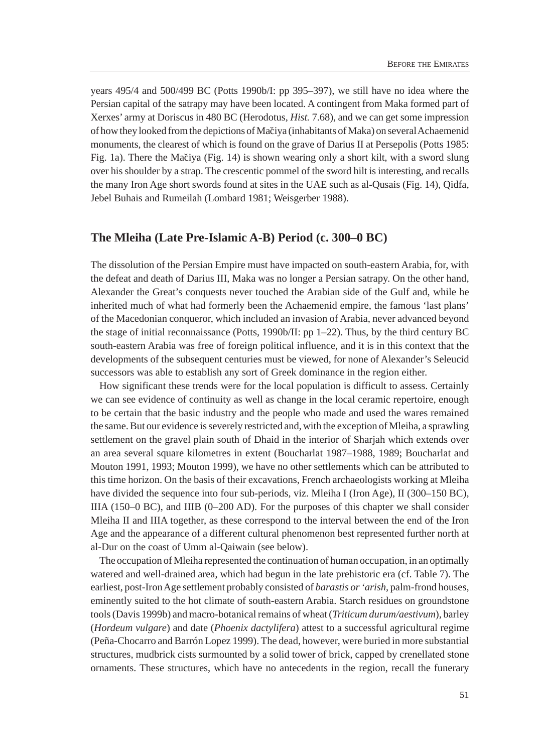years 495/4 and 500/499 BC (Potts 1990b/I: pp 395–397), we still have no idea where the Persian capital of the satrapy may have been located. A contingent from Maka formed part of Xerxes' army at Doriscus in 480 BC (Herodotus, *Hist.* 7.68), and we can get some impression of how they looked from the depictions of Ma˘ciya (inhabitants of Maka) on several Achaemenid monuments, the clearest of which is found on the grave of Darius II at Persepolis (Potts 1985: Fig. 1a). There the Mačiya (Fig. 14) is shown wearing only a short kilt, with a sword slung over his shoulder by a strap. The crescentic pommel of the sword hilt is interesting, and recalls the many Iron Age short swords found at sites in the UAE such as al-Qusais (Fig. 14), Qidfa, Jebel Buhais and Rumeilah (Lombard 1981; Weisgerber 1988).

#### **The Mleiha (Late Pre-Islamic A-B) Period (c. 300–0 BC)**

The dissolution of the Persian Empire must have impacted on south-eastern Arabia, for, with the defeat and death of Darius III, Maka was no longer a Persian satrapy. On the other hand, Alexander the Great's conquests never touched the Arabian side of the Gulf and, while he inherited much of what had formerly been the Achaemenid empire, the famous 'last plans' of the Macedonian conqueror, which included an invasion of Arabia, never advanced beyond the stage of initial reconnaissance (Potts, 1990b/II: pp 1–22). Thus, by the third century BC south-eastern Arabia was free of foreign political influence, and it is in this context that the developments of the subsequent centuries must be viewed, for none of Alexander's Seleucid successors was able to establish any sort of Greek dominance in the region either.

How significant these trends were for the local population is difficult to assess. Certainly we can see evidence of continuity as well as change in the local ceramic repertoire, enough to be certain that the basic industry and the people who made and used the wares remained the same. But our evidence is severely restricted and, with the exception of Mleiha, a sprawling settlement on the gravel plain south of Dhaid in the interior of Sharjah which extends over an area several square kilometres in extent (Boucharlat 1987–1988, 1989; Boucharlat and Mouton 1991, 1993; Mouton 1999), we have no other settlements which can be attributed to this time horizon. On the basis of their excavations, French archaeologists working at Mleiha have divided the sequence into four sub-periods, viz. Mleiha I (Iron Age), II (300–150 BC), IIIA (150–0 BC), and IIIB (0–200 AD). For the purposes of this chapter we shall consider Mleiha II and IIIA together, as these correspond to the interval between the end of the Iron Age and the appearance of a different cultural phenomenon best represented further north at al-Dur on the coast of Umm al-Qaiwain (see below).

The occupation of Mleiha represented the continuation of human occupation, in an optimally watered and well-drained area, which had begun in the late prehistoric era (cf. Table 7). The earliest, post-Iron Age settlement probably consisted of *barastis or 'arish*, palm-frond houses, eminently suited to the hot climate of south-eastern Arabia. Starch residues on groundstone tools (Davis 1999b) and macro-botanical remains of wheat (*Triticum durum/aestivum*), barley (*Hordeum vulgare*) and date (*Phoenix dactylifera*) attest to a successful agricultural regime (Peña-Chocarro and Barrón Lopez 1999). The dead, however, were buried in more substantial structures, mudbrick cists surmounted by a solid tower of brick, capped by crenellated stone ornaments. These structures, which have no antecedents in the region, recall the funerary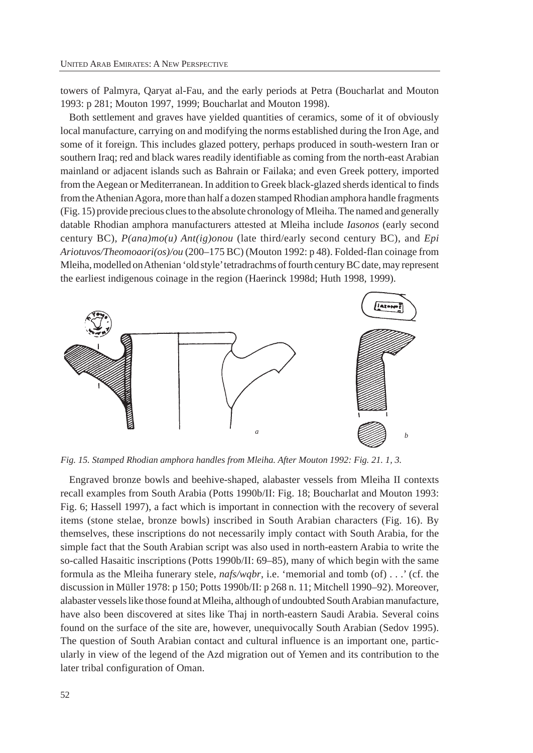towers of Palmyra, Qaryat al-Fau, and the early periods at Petra (Boucharlat and Mouton 1993: p 281; Mouton 1997, 1999; Boucharlat and Mouton 1998).

Both settlement and graves have yielded quantities of ceramics, some of it of obviously local manufacture, carrying on and modifying the norms established during the Iron Age, and some of it foreign. This includes glazed pottery, perhaps produced in south-western Iran or southern Iraq; red and black wares readily identifiable as coming from the north-east Arabian mainland or adjacent islands such as Bahrain or Failaka; and even Greek pottery, imported from the Aegean or Mediterranean. In addition to Greek black-glazed sherds identical to finds from the Athenian Agora, more than half a dozen stamped Rhodian amphora handle fragments (Fig. 15) provide precious clues to the absolute chronology of Mleiha. The named and generally datable Rhodian amphora manufacturers attested at Mleiha include *Iasonos* (early second century BC), *P(ana)mo(u) Ant(ig)onou* (late third/early second century BC), and *Epi Ariotuvos/Theomoaori(os)/ou* (200–175 BC) (Mouton 1992: p 48). Folded-flan coinage from Mleiha, modelled on Athenian 'old style'tetradrachms of fourth century BC date, may represent the earliest indigenous coinage in the region (Haerinck 1998d; Huth 1998, 1999).



*Fig. 15. Stamped Rhodian amphora handles from Mleiha. After Mouton 1992: Fig. 21. 1, 3.*

Engraved bronze bowls and beehive-shaped, alabaster vessels from Mleiha II contexts recall examples from South Arabia (Potts 1990b/II: Fig. 18; Boucharlat and Mouton 1993: Fig. 6; Hassell 1997), a fact which is important in connection with the recovery of several items (stone stelae, bronze bowls) inscribed in South Arabian characters (Fig. 16). By themselves, these inscriptions do not necessarily imply contact with South Arabia, for the simple fact that the South Arabian script was also used in north-eastern Arabia to write the so-called Hasaitic inscriptions (Potts 1990b/II: 69–85), many of which begin with the same formula as the Mleiha funerary stele, *nafs/wqbr*, i.e. 'memorial and tomb (of) . . .' (cf. the discussion in Müller 1978: p 150; Potts 1990b/II: p 268 n. 11; Mitchell 1990–92). Moreover, alabaster vessels like those found at Mleiha, although of undoubted South Arabian manufacture, have also been discovered at sites like Thaj in north-eastern Saudi Arabia. Several coins found on the surface of the site are, however, unequivocally South Arabian (Sedov 1995). The question of South Arabian contact and cultural influence is an important one, particularly in view of the legend of the Azd migration out of Yemen and its contribution to the later tribal configuration of Oman.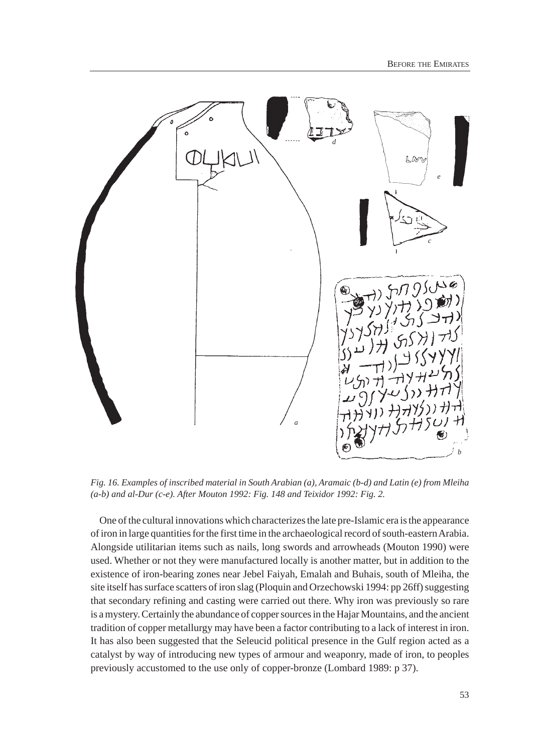

*Fig. 16. Examples of inscribed material in South Arabian (a), Aramaic (b-d) and Latin (e) from Mleiha (a-b) and al-Dur (c-e). After Mouton 1992: Fig. 148 and Teixidor 1992: Fig. 2.*

One of the cultural innovations which characterizes the late pre-Islamic era is the appearance of iron in large quantities for the first time in the archaeological record of south-eastern Arabia. Alongside utilitarian items such as nails, long swords and arrowheads (Mouton 1990) were used. Whether or not they were manufactured locally is another matter, but in addition to the existence of iron-bearing zones near Jebel Faiyah, Emalah and Buhais, south of Mleiha, the site itself has surface scatters of iron slag (Ploquin and Orzechowski 1994: pp 26ff) suggesting that secondary refining and casting were carried out there. Why iron was previously so rare is a mystery. Certainly the abundance of copper sources in the Hajar Mountains, and the ancient tradition of copper metallurgy may have been a factor contributing to a lack of interest in iron. It has also been suggested that the Seleucid political presence in the Gulf region acted as a catalyst by way of introducing new types of armour and weaponry, made of iron, to peoples previously accustomed to the use only of copper-bronze (Lombard 1989: p 37).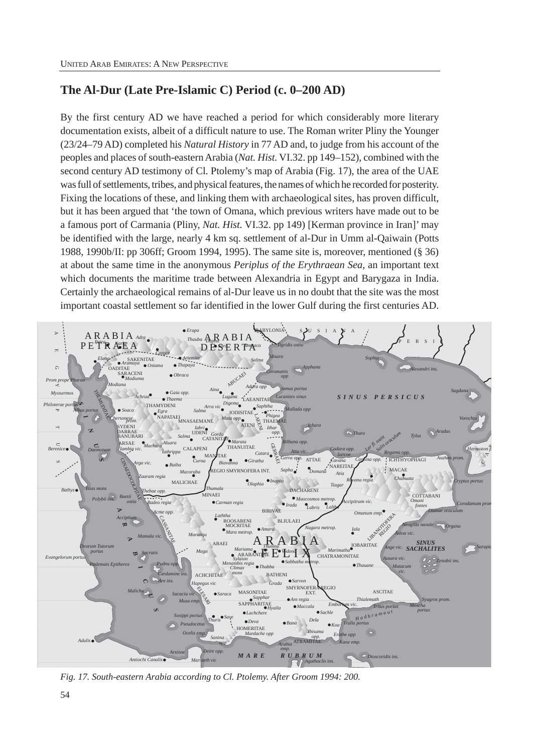## **The Al-Dur (Late Pre-Islamic C) Period (c. 0–200 AD)**

By the first century AD we have reached a period for which considerably more literary documentation exists, albeit of a difficult nature to use. The Roman writer Pliny the Younger (23/24–79 AD) completed his *Natural History* in 77 AD and, to judge from his account of the peoples and places of south-eastern Arabia (*Nat. Hist.* VI.32. pp 149–152), combined with the second century AD testimony of Cl. Ptolemy's map of Arabia (Fig. 17), the area of the UAE was full of settlements, tribes, and physical features, the names of which he recorded for posterity. Fixing the locations of these, and linking them with archaeological sites, has proven difficult, but it has been argued that 'the town of Omana, which previous writers have made out to be a famous port of Carmania (Pliny, *Nat. Hist.* VI.32. pp 149) [Kerman province in Iran]' may be identified with the large, nearly 4 km sq. settlement of al-Dur in Umm al-Qaiwain (Potts 1988, 1990b/II: pp 306ff; Groom 1994, 1995). The same site is, moreover, mentioned (§ 36) at about the same time in the anonymous *Periplus of the Erythraean Sea*, an important text which documents the maritime trade between Alexandria in Egypt and Barygaza in India. Certainly the archaeological remains of al-Dur leave us in no doubt that the site was the most important coastal settlement so far identified in the lower Gulf during the first centuries AD.



*Fig. 17. South-eastern Arabia according to Cl. Ptolemy. After Groom 1994: 200.*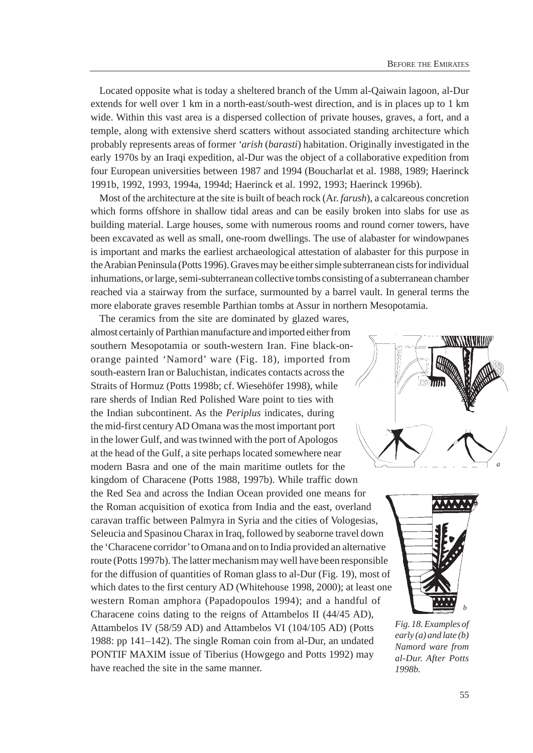Located opposite what is today a sheltered branch of the Umm al-Qaiwain lagoon, al-Dur extends for well over 1 km in a north-east/south-west direction, and is in places up to 1 km wide. Within this vast area is a dispersed collection of private houses, graves, a fort, and a temple, along with extensive sherd scatters without associated standing architecture which probably represents areas of former *'arish* (*barasti*) habitation. Originally investigated in the early 1970s by an Iraqi expedition, al-Dur was the object of a collaborative expedition from four European universities between 1987 and 1994 (Boucharlat et al. 1988, 1989; Haerinck 1991b, 1992, 1993, 1994a, 1994d; Haerinck et al. 1992, 1993; Haerinck 1996b).

Most of the architecture at the site is built of beach rock (Ar. *farush*), a calcareous concretion which forms offshore in shallow tidal areas and can be easily broken into slabs for use as building material. Large houses, some with numerous rooms and round corner towers, have been excavated as well as small, one-room dwellings. The use of alabaster for windowpanes is important and marks the earliest archaeological attestation of alabaster for this purpose in the Arabian Peninsula (Potts 1996). Graves may be either simple subterranean cists for individual inhumations, or large, semi-subterranean collective tombs consisting of a subterranean chamber reached via a stairway from the surface, surmounted by a barrel vault. In general terms the more elaborate graves resemble Parthian tombs at Assur in northern Mesopotamia.

The ceramics from the site are dominated by glazed wares, almost certainly of Parthian manufacture and imported either from southern Mesopotamia or south-western Iran. Fine black-onorange painted 'Namord' ware (Fig. 18), imported from south-eastern Iran or Baluchistan, indicates contacts across the Straits of Hormuz (Potts 1998b; cf. Wiesehöfer 1998), while rare sherds of Indian Red Polished Ware point to ties with the Indian subcontinent. As the *Periplus* indicates, during the mid-first century AD Omana was the most important port in the lower Gulf, and was twinned with the port of Apologos at the head of the Gulf, a site perhaps located somewhere near modern Basra and one of the main maritime outlets for the kingdom of Characene (Potts 1988, 1997b). While traffic down the Red Sea and across the Indian Ocean provided one means for the Roman acquisition of exotica from India and the east, overland caravan traffic between Palmyra in Syria and the cities of Vologesias, Seleucia and Spasinou Charax in Iraq, followed by seaborne travel down the 'Characene corridor'to Omana and on to India provided an alternative route (Potts 1997b). The latter mechanism may well have been responsible for the diffusion of quantities of Roman glass to al-Dur (Fig. 19), most of which dates to the first century AD (Whitehouse 1998, 2000); at least one western Roman amphora (Papadopoulos 1994); and a handful of Characene coins dating to the reigns of Attambelos II (44/45 AD), Attambelos IV (58/59 AD) and Attambelos VI (104/105 AD) (Potts 1988: pp 141–142). The single Roman coin from al-Dur, an undated PONTIF MAXIM issue of Tiberius (Howgego and Potts 1992) may have reached the site in the same manner.





*Fig. 18. Examples of early (a) and late (b) Namord ware from al-Dur. After Potts 1998b.*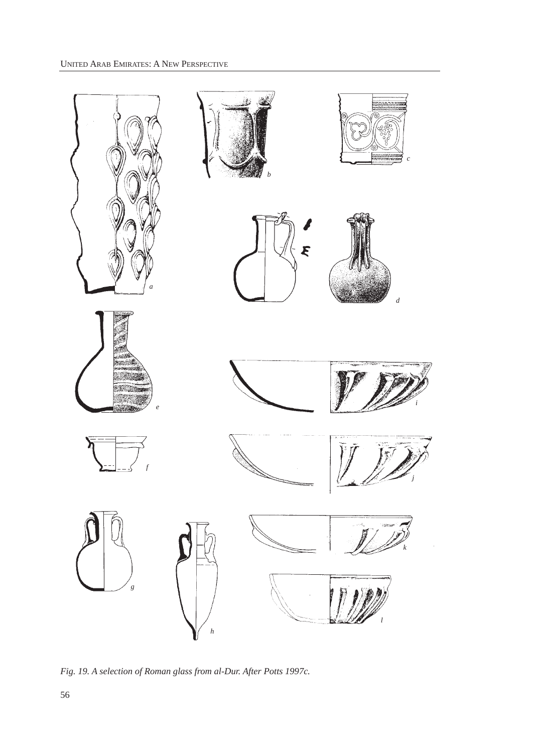#### UNITED ARAB EMIRATES: A NEW PERSPECTIVE



*Fig. 19. A selection of Roman glass from al-Dur. After Potts 1997c.*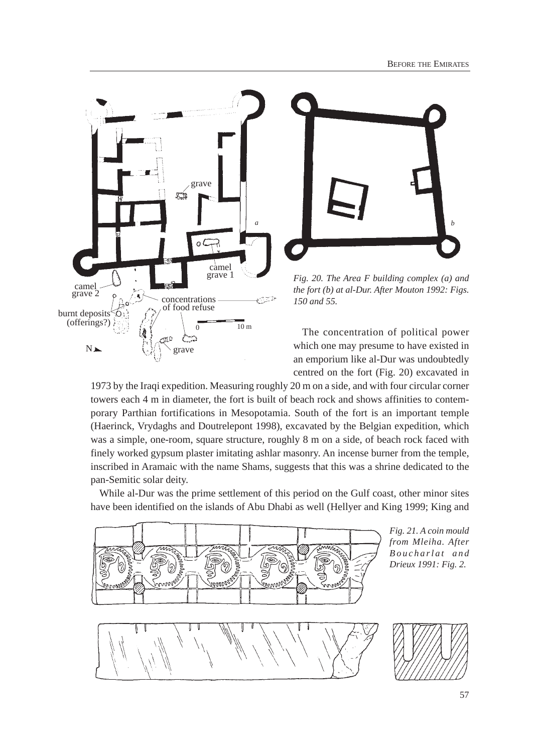



*Fig. 20. The Area F building complex (a) and the fort (b) at al-Dur. After Mouton 1992: Figs. 150 and 55.*

The concentration of political power which one may presume to have existed in an emporium like al-Dur was undoubtedly centred on the fort (Fig. 20) excavated in

1973 by the Iraqi expedition. Measuring roughly 20 m on a side, and with four circular corner towers each 4 m in diameter, the fort is built of beach rock and shows affinities to contemporary Parthian fortifications in Mesopotamia. South of the fort is an important temple (Haerinck, Vrydaghs and Doutrelepont 1998), excavated by the Belgian expedition, which was a simple, one-room, square structure, roughly 8 m on a side, of beach rock faced with finely worked gypsum plaster imitating ashlar masonry. An incense burner from the temple, inscribed in Aramaic with the name Shams, suggests that this was a shrine dedicated to the pan-Semitic solar deity.

While al-Dur was the prime settlement of this period on the Gulf coast, other minor sites have been identified on the islands of Abu Dhabi as well (Hellyer and King 1999; King and



*Fig. 21. A coin mould from Mleiha. After Boucharlat and Drieux 1991: Fig. 2.*



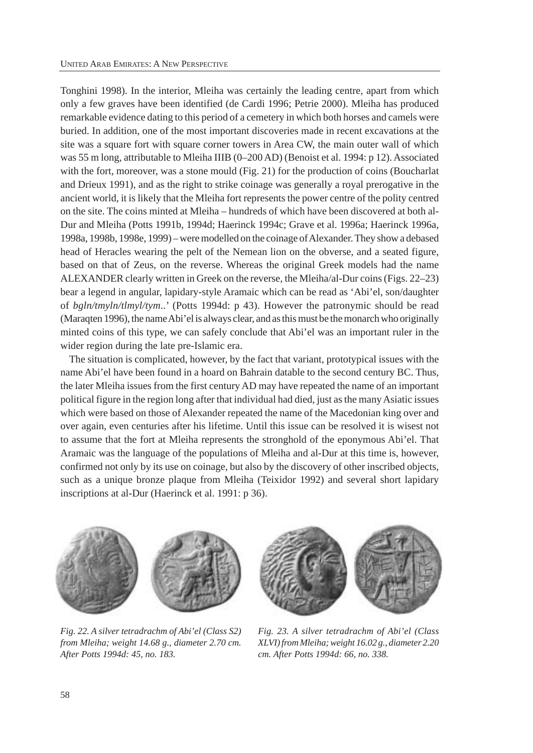Tonghini 1998). In the interior, Mleiha was certainly the leading centre, apart from which only a few graves have been identified (de Cardi 1996; Petrie 2000). Mleiha has produced remarkable evidence dating to this period of a cemetery in which both horses and camels were buried. In addition, one of the most important discoveries made in recent excavations at the site was a square fort with square corner towers in Area CW, the main outer wall of which was 55 m long, attributable to Mleiha IIIB (0–200 AD) (Benoist et al. 1994: p 12). Associated with the fort, moreover, was a stone mould (Fig. 21) for the production of coins (Boucharlat and Drieux 1991), and as the right to strike coinage was generally a royal prerogative in the ancient world, it is likely that the Mleiha fort represents the power centre of the polity centred on the site. The coins minted at Mleiha – hundreds of which have been discovered at both al-Dur and Mleiha (Potts 1991b, 1994d; Haerinck 1994c; Grave et al. 1996a; Haerinck 1996a, 1998a, 1998b, 1998e, 1999) – were modelled on the coinage of Alexander. They show a debased head of Heracles wearing the pelt of the Nemean lion on the obverse, and a seated figure, based on that of Zeus, on the reverse. Whereas the original Greek models had the name ALEXANDER clearly written in Greek on the reverse, the Mleiha/al-Dur coins (Figs. 22–23) bear a legend in angular, lapidary-style Aramaic which can be read as 'Abi'el, son/daughter of *bgln/tmyln/tlmyl/tym*..' (Potts 1994d: p 43). However the patronymic should be read (Maraqten 1996), the name Abi'el is always clear, and as this must be the monarch who originally minted coins of this type, we can safely conclude that Abi'el was an important ruler in the wider region during the late pre-Islamic era.

The situation is complicated, however, by the fact that variant, prototypical issues with the name Abi'el have been found in a hoard on Bahrain datable to the second century BC. Thus, the later Mleiha issues from the first century AD may have repeated the name of an important political figure in the region long after that individual had died, just as the many Asiatic issues which were based on those of Alexander repeated the name of the Macedonian king over and over again, even centuries after his lifetime. Until this issue can be resolved it is wisest not to assume that the fort at Mleiha represents the stronghold of the eponymous Abi'el. That Aramaic was the language of the populations of Mleiha and al-Dur at this time is, however, confirmed not only by its use on coinage, but also by the discovery of other inscribed objects, such as a unique bronze plaque from Mleiha (Teixidor 1992) and several short lapidary inscriptions at al-Dur (Haerinck et al. 1991: p 36).



*Fig. 22. A silver tetradrachm of Abi'el (Class S2) from Mleiha; weight 14.68 g., diameter 2.70 cm. After Potts 1994d: 45, no. 183.*



*Fig. 23. A silver tetradrachm of Abi'el (Class XLVI) from Mleiha; weight 16.02 g., diameter 2.20 cm. After Potts 1994d: 66, no. 338.*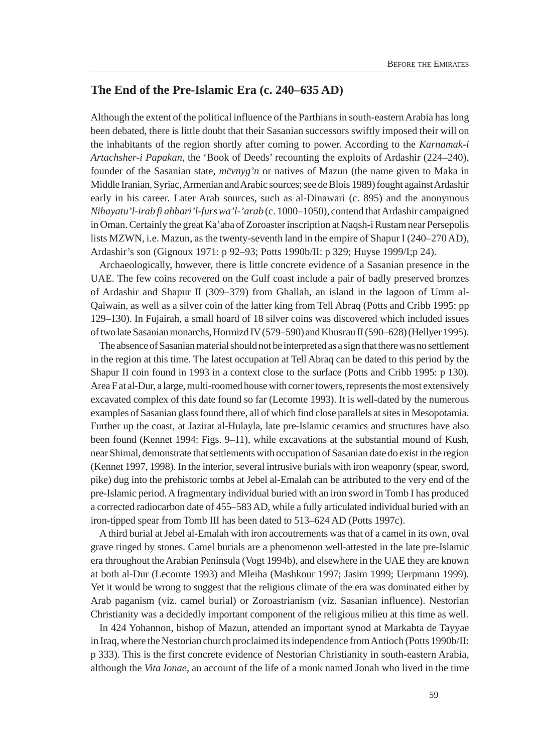#### **The End of the Pre-Islamic Era (c. 240–635 AD)**

Although the extent of the political influence of the Parthians in south-eastern Arabia has long been debated, there is little doubt that their Sasanian successors swiftly imposed their will on the inhabitants of the region shortly after coming to power. According to the *Karnamak-i Artachsher-i Papakan*, the 'Book of Deeds' recounting the exploits of Ardashir (224–240), founder of the Sasanian state, *m*c*vnyg'n* or natives of Mazun (the name given to Maka in Middle Iranian, Syriac, Armenian and Arabic sources; see de Blois 1989) fought against Ardashir early in his career. Later Arab sources, such as al-Dinawari (c. 895) and the anonymous *Nihayatu'l-irab fi ahbari'l-furs wa'l-'arab* (c. 1000–1050), contend that Ardashir campaigned in Oman. Certainly the great Ka'aba of Zoroaster inscription at Naqsh-i Rustam near Persepolis lists MZWN, i.e. Mazun, as the twenty-seventh land in the empire of Shapur I (240–270 AD), Ardashir's son (Gignoux 1971: p 92–93; Potts 1990b/II: p 329; Huyse 1999/I;p 24).

Archaeologically, however, there is little concrete evidence of a Sasanian presence in the UAE. The few coins recovered on the Gulf coast include a pair of badly preserved bronzes of Ardashir and Shapur II (309–379) from Ghallah, an island in the lagoon of Umm al-Qaiwain, as well as a silver coin of the latter king from Tell Abraq (Potts and Cribb 1995: pp 129–130). In Fujairah, a small hoard of 18 silver coins was discovered which included issues of two late Sasanian monarchs, Hormizd IV(579–590) and Khusrau II (590–628) (Hellyer 1995).

The absence of Sasanian material should not be interpreted as a sign that there was no settlement in the region at this time. The latest occupation at Tell Abraq can be dated to this period by the Shapur II coin found in 1993 in a context close to the surface (Potts and Cribb 1995: p 130). Area F at al-Dur, a large, multi-roomed house with corner towers, represents the most extensively excavated complex of this date found so far (Lecomte 1993). It is well-dated by the numerous examples of Sasanian glass found there, all of which find close parallels at sites in Mesopotamia. Further up the coast, at Jazirat al-Hulayla, late pre-Islamic ceramics and structures have also been found (Kennet 1994: Figs. 9–11), while excavations at the substantial mound of Kush, near Shimal, demonstrate that settlements with occupation of Sasanian date do exist in the region (Kennet 1997, 1998). In the interior, several intrusive burials with iron weaponry (spear, sword, pike) dug into the prehistoric tombs at Jebel al-Emalah can be attributed to the very end of the pre-Islamic period. A fragmentary individual buried with an iron sword in Tomb I has produced a corrected radiocarbon date of 455–583 AD, while a fully articulated individual buried with an iron-tipped spear from Tomb III has been dated to 513–624 AD (Potts 1997c).

Athird burial at Jebel al-Emalah with iron accoutrements was that of a camel in its own, oval grave ringed by stones. Camel burials are a phenomenon well-attested in the late pre-Islamic era throughout the Arabian Peninsula (Vogt 1994b), and elsewhere in the UAE they are known at both al-Dur (Lecomte 1993) and Mleiha (Mashkour 1997; Jasim 1999; Uerpmann 1999). Yet it would be wrong to suggest that the religious climate of the era was dominated either by Arab paganism (viz. camel burial) or Zoroastrianism (viz. Sasanian influence). Nestorian Christianity was a decidedly important component of the religious milieu at this time as well.

In 424 Yohannon, bishop of Mazun, attended an important synod at Markabta de Tayyae in Iraq, where the Nestorian church proclaimed its independence from Antioch (Potts 1990b/II: p 333). This is the first concrete evidence of Nestorian Christianity in south-eastern Arabia, although the *Vita Ionae*, an account of the life of a monk named Jonah who lived in the time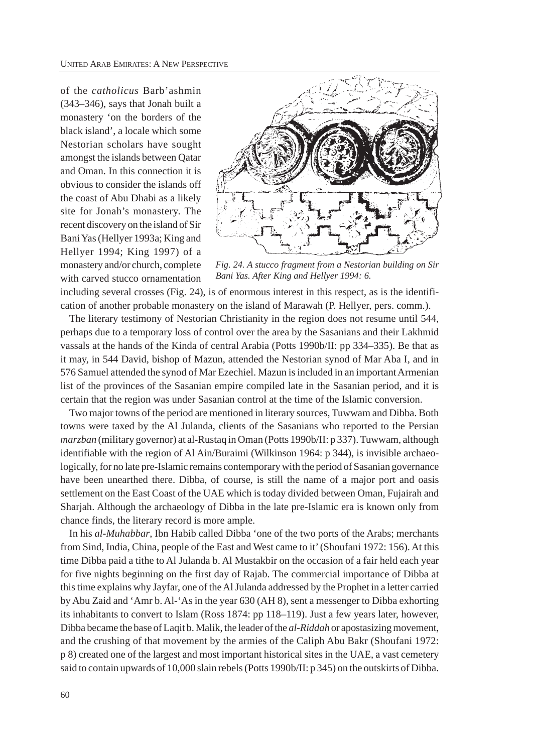of the *catholicus* Barb'ashmin (343–346), says that Jonah built a monastery 'on the borders of the black island', a locale which some Nestorian scholars have sought amongst the islands between Qatar and Oman. In this connection it is obvious to consider the islands off the coast of Abu Dhabi as a likely site for Jonah's monastery. The recent discovery on the island of Sir Bani Yas (Hellyer 1993a; King and Hellyer 1994; King 1997) of a monastery and/or church, complete with carved stucco ornamentation



*Fig. 24. A stucco fragment from a Nestorian building on Sir Bani Yas. After King and Hellyer 1994: 6.*

including several crosses (Fig. 24), is of enormous interest in this respect, as is the identification of another probable monastery on the island of Marawah (P. Hellyer, pers. comm.).

The literary testimony of Nestorian Christianity in the region does not resume until 544, perhaps due to a temporary loss of control over the area by the Sasanians and their Lakhmid vassals at the hands of the Kinda of central Arabia (Potts 1990b/II: pp 334–335). Be that as it may, in 544 David, bishop of Mazun, attended the Nestorian synod of Mar Aba I, and in 576 Samuel attended the synod of Mar Ezechiel. Mazun is included in an important Armenian list of the provinces of the Sasanian empire compiled late in the Sasanian period, and it is certain that the region was under Sasanian control at the time of the Islamic conversion.

Two major towns of the period are mentioned in literary sources, Tuwwam and Dibba. Both towns were taxed by the Al Julanda, clients of the Sasanians who reported to the Persian *marzban* (military governor) at al-Rustaq in Oman (Potts 1990b/II: p 337). Tuwwam, although identifiable with the region of Al Ain/Buraimi (Wilkinson 1964: p 344), is invisible archaeologically, for no late pre-Islamic remains contemporary with the period of Sasanian governance have been unearthed there. Dibba, of course, is still the name of a major port and oasis settlement on the East Coast of the UAE which is today divided between Oman, Fujairah and Sharjah. Although the archaeology of Dibba in the late pre-Islamic era is known only from chance finds, the literary record is more ample.

In his *al-Muhabbar*, Ibn Habib called Dibba 'one of the two ports of the Arabs; merchants from Sind, India, China, people of the East and West came to it' (Shoufani 1972: 156). At this time Dibba paid a tithe to Al Julanda b. Al Mustakbir on the occasion of a fair held each year for five nights beginning on the first day of Rajab. The commercial importance of Dibba at this time explains why Jayfar, one of the Al Julanda addressed by the Prophet in a letter carried by Abu Zaid and 'Amr b. Al-'As in the year 630 (AH 8), sent a messenger to Dibba exhorting its inhabitants to convert to Islam (Ross 1874: pp 118–119). Just a few years later, however, Dibba became the base of Laqit b. Malik, the leader of the *al-Riddah* or apostasizing movement, and the crushing of that movement by the armies of the Caliph Abu Bakr (Shoufani 1972: p 8) created one of the largest and most important historical sites in the UAE, a vast cemetery said to contain upwards of 10,000 slain rebels (Potts 1990b/II: p 345) on the outskirts of Dibba.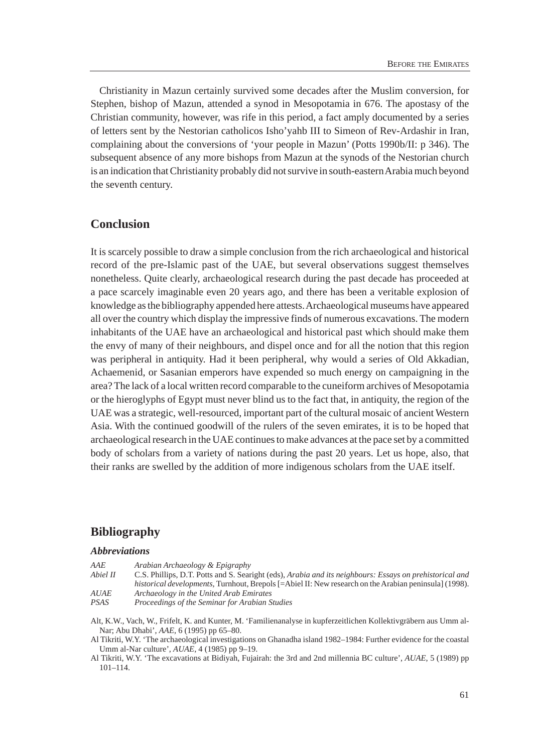Christianity in Mazun certainly survived some decades after the Muslim conversion, for Stephen, bishop of Mazun, attended a synod in Mesopotamia in 676. The apostasy of the Christian community, however, was rife in this period, a fact amply documented by a series of letters sent by the Nestorian catholicos Isho'yahb III to Simeon of Rev-Ardashir in Iran, complaining about the conversions of 'your people in Mazun' (Potts 1990b/II: p 346). The subsequent absence of any more bishops from Mazun at the synods of the Nestorian church is an indication that Christianity probably did not survive in south-eastern Arabia much beyond the seventh century.

### **Conclusion**

It is scarcely possible to draw a simple conclusion from the rich archaeological and historical record of the pre-Islamic past of the UAE, but several observations suggest themselves nonetheless. Quite clearly, archaeological research during the past decade has proceeded at a pace scarcely imaginable even 20 years ago, and there has been a veritable explosion of knowledge as the bibliography appended here attests. Archaeological museums have appeared all over the country which display the impressive finds of numerous excavations. The modern inhabitants of the UAE have an archaeological and historical past which should make them the envy of many of their neighbours, and dispel once and for all the notion that this region was peripheral in antiquity. Had it been peripheral, why would a series of Old Akkadian, Achaemenid, or Sasanian emperors have expended so much energy on campaigning in the area? The lack of a local written record comparable to the cuneiform archives of Mesopotamia or the hieroglyphs of Egypt must never blind us to the fact that, in antiquity, the region of the UAE was a strategic, well-resourced, important part of the cultural mosaic of ancient Western Asia. With the continued goodwill of the rulers of the seven emirates, it is to be hoped that archaeological research in the UAE continues to make advances at the pace set by a committed body of scholars from a variety of nations during the past 20 years. Let us hope, also, that their ranks are swelled by the addition of more indigenous scholars from the UAE itself.

### **Bibliography**

#### *Abbreviations*

| AAE         | Arabian Archaeology & Epigraphy                                                                               |
|-------------|---------------------------------------------------------------------------------------------------------------|
| Abiel II    | C.S. Phillips, D.T. Potts and S. Searight (eds), Arabia and its neighbours: Essays on prehistorical and       |
|             | <i>historical developments</i> , Turnhout, Brepols [=Abiel II: New research on the Arabian peninsula] (1998). |
| <i>AUAE</i> | Archaeology in the United Arab Emirates                                                                       |
| PSAS        | Proceedings of the Seminar for Arabian Studies                                                                |
|             |                                                                                                               |

Alt, K.W., Vach, W., Frifelt, K. and Kunter, M. 'Familienanalyse in kupferzeitlichen Kollektivgräbern aus Umm al-Nar; Abu Dhabi', *AAE*, 6 (1995) pp 65–80.

Al Tikriti, W.Y. 'The archaeological investigations on Ghanadha island 1982–1984: Further evidence for the coastal Umm al-Nar culture', *AUAE*, 4 (1985) pp 9–19.

Al Tikriti, W.Y. 'The excavations at Bidiyah, Fujairah: the 3rd and 2nd millennia BC culture', *AUAE*, 5 (1989) pp 101–114.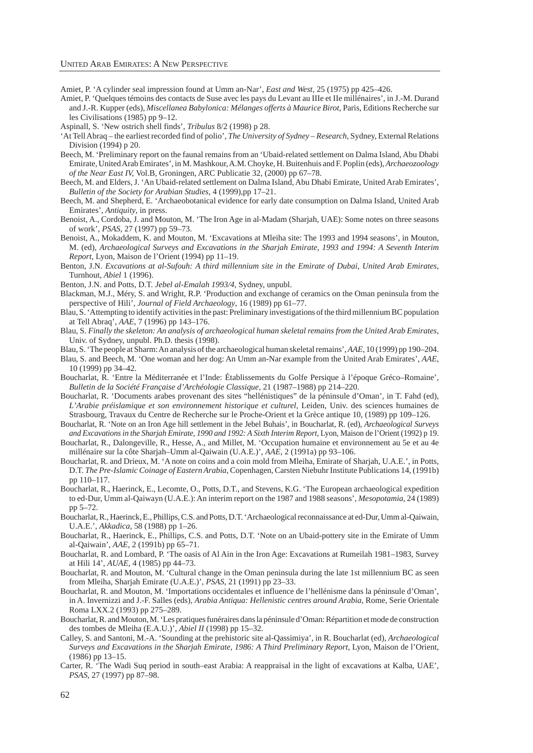Amiet, P. 'A cylinder seal impression found at Umm an-Nar', *East and West*, 25 (1975) pp 425–426.

- Amiet, P. 'Quelques témoins des contacts de Suse avec les pays du Levant au IIIe et IIe millénaires', in J.-M. Durand and J.-R. Kupper (eds), *Miscellanea Babylonica: Mélanges offerts à Maurice Birot*, Paris, Editions Recherche sur les Civilisations (1985) pp 9–12.
- Aspinall, S. 'New ostrich shell finds', *Tribulus* 8/2 (1998) p 28.
- 'At Tell Abraq the earliest recorded find of polio', *The University of Sydney Research*, Sydney, External Relations Division (1994) p 20.
- Beech, M. 'Preliminary report on the faunal remains from an 'Ubaid-related settlement on Dalma Island, Abu Dhabi Emirate, United Arab Emirates', in M. Mashkour, A.M. Choyke, H. Buitenhuis and F. Poplin (eds), *Archaeozoology of the Near East IV,* Vol.B, Groningen, ARC Publicatie 32, (2000) pp 67–78.
- Beech, M. and Elders, J. 'An Ubaid-related settlement on Dalma Island, Abu Dhabi Emirate, United Arab Emirates', *Bulletin of the Society for Arabian Studies*, 4 (1999),pp 17–21.
- Beech, M. and Shepherd, E. 'Archaeobotanical evidence for early date consumption on Dalma Island, United Arab Emirates', *Antiquity*, in press.
- Benoist, A., Cordoba, J. and Mouton, M. 'The Iron Age in al-Madam (Sharjah, UAE): Some notes on three seasons of work', *PSAS*, 27 (1997) pp 59–73.
- Benoist, A., Mokaddem, K. and Mouton, M. 'Excavations at Mleiha site: The 1993 and 1994 seasons', in Mouton, M. (ed), *Archaeological Surveys and Excavations in the Sharjah Emirate, 1993 and 1994: A Seventh Interim Report*, Lyon, Maison de l'Orient (1994) pp 11–19.
- Benton, J.N. *Excavations at al-Sufouh: A third millennium site in the Emirate of Dubai, United Arab Emirates*, Turnhout, *Abiel* 1 (1996).
- Benton, J.N. and Potts, D.T. *Jebel al-Emalah 1993/4*, Sydney, unpubl.
- Blackman, M.J., Méry, S. and Wright, R.P. 'Production and exchange of ceramics on the Oman peninsula from the perspective of Hili', *Journal of Field Archaeology*, 16 (1989) pp 61–77.
- Blau, S. 'Attempting to identify activities in the past: Preliminary investigations of the third millennium BC population at Tell Abraq', *AAE*, 7 (1996) pp 143–176.
- Blau, S. *Finally the skeleton: An analysis of archaeological human skeletal remains from the United Arab Emirates*, Univ. of Sydney, unpubl. Ph.D. thesis (1998).
- Blau, S. 'The people at Sharm: An analysis of the archaeological human skeletal remains', *AAE*, 10 (1999) pp 190–204.
- Blau, S. and Beech, M. 'One woman and her dog: An Umm an-Nar example from the United Arab Emirates', *AAE*, 10 (1999) pp 34–42.
- Boucharlat, R. 'Entre la Méditerranée et l'Inde: Établissements du Golfe Persique à l'époque Gréco–Romaine', *Bulletin de la Société Française d'Archéologie Classique*, 21 (1987–1988) pp 214–220.
- Boucharlat, R. 'Documents arabes provenant des sites "hellénistiques" de la péninsule d'Oman', in T. Fahd (ed), *L'Arabie préislamique et son environnement historique et culturel*, Leiden, Univ. des sciences humaines de Strasbourg, Travaux du Centre de Recherche sur le Proche-Orient et la Grèce antique 10, (1989) pp 109–126.
- Boucharlat, R. 'Note on an Iron Age hill settlement in the Jebel Buhais', in Boucharlat, R. (ed), *Archaeological Surveys and Excavations in the Sharjah Emirate, 1990 and 1992: A Sixth Interim Report*, Lyon, Maison de l'Orient (1992) p 19.
- Boucharlat, R., Dalongeville, R., Hesse, A., and Millet, M. 'Occupation humaine et environnement au 5e et au 4e millénaire sur la côte Sharjah–Umm al-Qaiwain (U.A.E.)', *AAE*, 2 (1991a) pp 93–106.
- Boucharlat, R. and Drieux, M. 'A note on coins and a coin mold from Mleiha, Emirate of Sharjah, U.A.E.', in Potts, D.T. *The Pre-Islamic Coinage of Eastern Arabia*, Copenhagen, Carsten Niebuhr Institute Publications 14, (1991b) pp 110–117.
- Boucharlat, R., Haerinck, E., Lecomte, O., Potts, D.T., and Stevens, K.G. 'The European archaeological expedition to ed-Dur, Umm al-Qaiwayn (U.A.E.): An interim report on the 1987 and 1988 seasons', *Mesopotamia*, 24 (1989) pp 5–72.
- Boucharlat, R., Haerinck, E., Phillips, C.S. and Potts, D.T. 'Archaeological reconnaissance at ed-Dur, Umm al-Qaiwain, U.A.E.', *Akkadica,* 58 (1988) pp 1–26.
- Boucharlat, R., Haerinck, E., Phillips, C.S. and Potts, D.T. 'Note on an Ubaid-pottery site in the Emirate of Umm al-Qaiwain', *AAE*, 2 (1991b) pp 65–71.
- Boucharlat, R. and Lombard, P. 'The oasis of Al Ain in the Iron Age: Excavations at Rumeilah 1981–1983, Survey at Hili 14', *AUAE*, 4 (1985) pp 44–73.
- Boucharlat, R. and Mouton, M. 'Cultural change in the Oman peninsula during the late 1st millennium BC as seen from Mleiha, Sharjah Emirate (U.A.E.)', *PSAS*, 21 (1991) pp 23–33.
- Boucharlat, R. and Mouton, M. 'Importations occidentales et influence de l'hellénisme dans la péninsule d'Oman', in A. Invernizzi and J.-F. Salles (eds), *Arabia Antiqua: Hellenistic centres around Arabia*, Rome, Serie Orientale Roma LXX.2 (1993) pp 275–289.
- Boucharlat, R. and Mouton, M. 'Les pratiques funéraires dans la péninsule d'Oman: Répartition et mode de construction des tombes de Mleiha (E.A.U.)', *Abiel II* (1998) pp 15–32.
- Calley, S. and Santoni, M.-A. 'Sounding at the prehistoric site al-Qassimiya', in R. Boucharlat (ed), *Archaeological Surveys and Excavations in the Sharjah Emirate, 1986: A Third Preliminary Report*, Lyon, Maison de l'Orient, (1986) pp 13–15.
- Carter, R. 'The Wadi Suq period in south–east Arabia: A reappraisal in the light of excavations at Kalba, UAE', *PSAS*, 27 (1997) pp 87–98.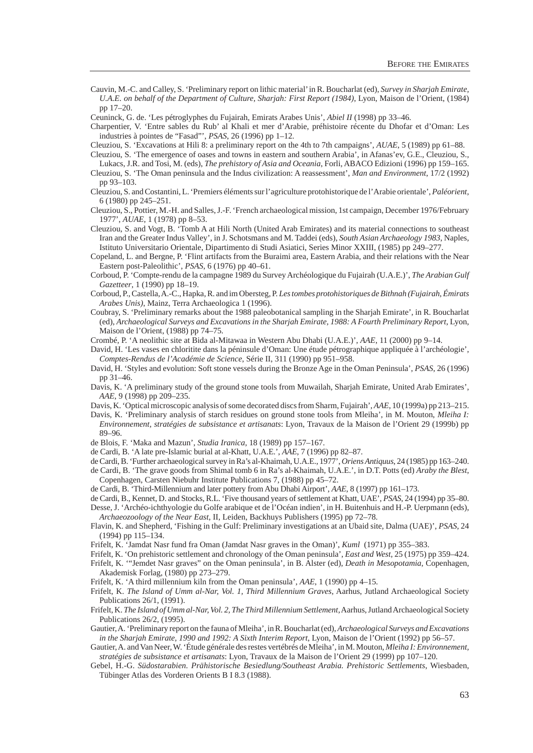- Cauvin, M.-C. and Calley, S. 'Preliminary report on lithic material'in R. Boucharlat (ed), *Survey in Sharjah Emirate, U.A.E. on behalf of the Department of Culture, Sharjah: First Report (1984)*, Lyon, Maison de l'Orient, (1984) pp 17–20.
- Ceuninck, G. de. 'Les pétroglyphes du Fujairah, Emirats Arabes Unis', *Abiel II* (1998) pp 33–46.
- Charpentier, V. 'Entre sables du Rub' al Khali et mer d'Arabie, préhistoire récente du Dhofar et d'Oman: Les industries à pointes de "Fasad"', *PSAS*, 26 (1996) pp 1–12.
- Cleuziou, S. 'Excavations at Hili 8: a preliminary report on the 4th to 7th campaigns', *AUAE*, 5 (1989) pp 61–88.
- Cleuziou, S. 'The emergence of oases and towns in eastern and southern Arabia', in Afanas'ev, G.E., Cleuziou, S.,
- Lukacs, J.R. and Tosi, M. (eds), *The prehistory of Asia and Oceania*, Forli, ABACO Edizioni (1996) pp 159–165. Cleuziou, S. 'The Oman peninsula and the Indus civilization: A reassessment', *Man and Environment*, 17/2 (1992) pp 93–103.
- Cleuziou, S. and Costantini, L. 'Premiers éléments sur l'agriculture protohistorique de l'Arabie orientale', *Paléorient*, 6 (1980) pp 245–251.
- Cleuziou, S., Pottier, M.-H. and Salles, J.-F. 'French archaeological mission, 1st campaign, December 1976/February 1977', *AUAE*, 1 (1978) pp 8–53.
- Cleuziou, S. and Vogt, B. 'Tomb A at Hili North (United Arab Emirates) and its material connections to southeast Iran and the Greater Indus Valley', in J. Schotsmans and M. Taddei (eds), *South Asian Archaeology 1983*, Naples, Istituto Universitario Orientale, Dipartimento di Studi Asiatici, Series Minor XXIII, (1985) pp 249–277.
- Copeland, L. and Bergne, P. 'Flint artifacts from the Buraimi area, Eastern Arabia, and their relations with the Near Eastern post-Paleolithic', *PSAS*, 6 (1976) pp 40–61.
- Corboud, P. 'Compte-rendu de la campagne 1989 du Survey Archéologique du Fujairah (U.A.E.)', *The Arabian Gulf Gazetteer*, 1 (1990) pp 18–19.
- Corboud, P., Castella, A.-C., Hapka, R. and im Obersteg, P. *Les tombes protohistoriques de Bithnah (Fujairah, Émirats Arabes Unis)*, Mainz, Terra Archaeologica 1 (1996).
- Coubray, S. 'Preliminary remarks about the 1988 paleobotanical sampling in the Sharjah Emirate', in R. Boucharlat (ed), *Archaeological Surveys and Excavations in the Sharjah Emirate, 1988: A Fourth Preliminary Report*, Lyon, Maison de l'Orient, (1988) pp 74–75.
- Crombé, P. 'A neolithic site at Bida al-Mitawaa in Western Abu Dhabi (U.A.E.)', *AAE*, 11 (2000) pp 9–14.
- David, H. 'Les vases en chloritite dans la péninsule d'Oman: Une étude pétrographique appliquée à l'archéologie', *Comptes-Rendus de l'Académie de Science*, Série II, 311 (1990) pp 951–958.
- David, H. 'Styles and evolution: Soft stone vessels during the Bronze Age in the Oman Peninsula', *PSAS*, 26 (1996) pp 31–46.
- Davis, K. 'A preliminary study of the ground stone tools from Muwailah, Sharjah Emirate, United Arab Emirates', *AAE*, 9 (1998) pp 209–235.
- Davis, K. 'Optical microscopic analysis of some decorated discs from Sharm, Fujairah', *AAE*, 10 (1999a) pp 213–215.
- Davis, K. 'Preliminary analysis of starch residues on ground stone tools from Mleiha', in M. Mouton, *Mleiha I: Environnement, stratégies de subsistance et artisanats*: Lyon, Travaux de la Maison de l'Orient 29 (1999b) pp 89–96.
- de Blois, F. 'Maka and Mazun', *Studia Iranica,* 18 (1989) pp 157–167.
- de Cardi, B. 'A late pre-Islamic burial at al-Khatt, U.A.E.', *AAE*, 7 (1996) pp 82–87.
- de Cardi, B. 'Further archaeological survey in Ra's al-Khaimah, U.A.E., 1977', *Oriens Antiquus*, 24 (1985) pp 163–240.
- de Cardi, B. 'The grave goods from Shimal tomb 6 in Ra's al-Khaimah, U.A.E.', in D.T. Potts (ed) *Araby the Blest*, Copenhagen, Carsten Niebuhr Institute Publications 7, (1988) pp 45–72.
- de Cardi, B. 'Third-Millennium and later pottery from Abu Dhabi Airport', *AAE*, 8 (1997) pp 161–173.
- de Cardi, B., Kennet, D. and Stocks, R.L. 'Five thousand years of settlement at Khatt, UAE', *PSAS*, 24 (1994) pp 35–80.
- Desse, J. 'Archéo-ichthyologie du Golfe arabique et de l'Océan indien', in H. Buitenhuis and H.-P. Uerpmann (eds), *Archaeozoology of the Near East*, II, Leiden, Backhuys Publishers (1995) pp 72–78.
- Flavin, K. and Shepherd, 'Fishing in the Gulf: Preliminary investigations at an Ubaid site, Dalma (UAE)', *PSAS*, 24 (1994) pp 115–134.
- Frifelt, K. 'Jamdat Nasr fund fra Oman (Jamdat Nasr graves in the Oman)', *Kuml* (1971) pp 355–383.
- Frifelt, K. 'On prehistoric settlement and chronology of the Oman peninsula', *East and West*, 25 (1975) pp 359–424.
- Frifelt, K. '"Jemdet Nasr graves" on the Oman peninsula', in B. Alster (ed), *Death in Mesopotamia*, Copenhagen, Akademisk Forlag, (1980) pp 273–279.
- Frifelt, K. 'A third millennium kiln from the Oman peninsula', *AAE*, 1 (1990) pp 4–15.
- Frifelt, K. *The Island of Umm al-Nar, Vol. 1, Third Millennium Graves*, Aarhus, Jutland Archaeological Society Publications 26/1, (1991).
- Frifelt, K. *The Island of Umm al-Nar, Vol. 2, The Third Millennium Settlement*, Aarhus, Jutland Archaeological Society Publications 26/2, (1995).
- Gautier, A. 'Preliminary report on the fauna of Mleiha', in R. Boucharlat (ed), *Archaeological Surveys and Excavations in the Sharjah Emirate, 1990 and 1992: A Sixth Interim Report*, Lyon, Maison de l'Orient (1992) pp 56–57.
- Gautier, A. and Van Neer, W. 'Étude générale des restes vertébrés de Mleiha', in M. Mouton, *Mleiha I: Environnement, stratégies de subsistance et artisanats*: Lyon, Travaux de la Maison de l'Orient 29 (1999) pp 107–120.
- Gebel, H.-G. *Südostarabien. Prähistorische Besiedlung/Southeast Arabia. Prehistoric Settlements*, Wiesbaden, Tübinger Atlas des Vorderen Orients B I 8.3 (1988).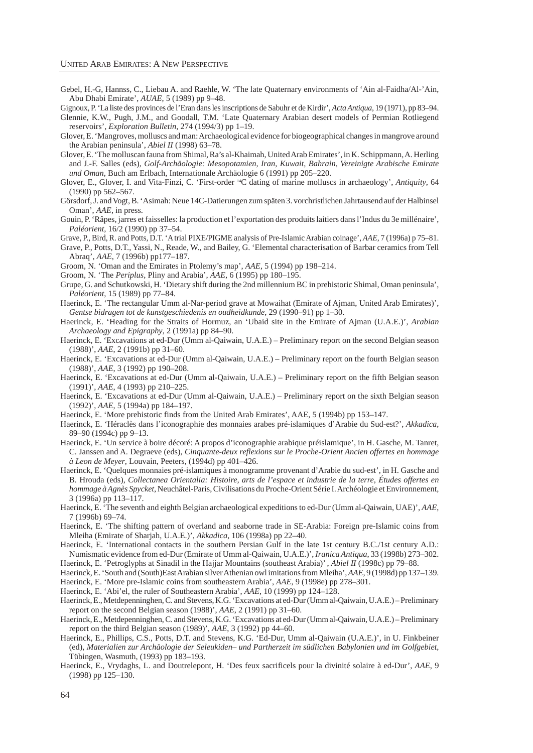- Gebel, H.-G, Hannss, C., Liebau A. and Raehle, W. 'The late Quaternary environments of 'Ain al-Faidha/Al-'Ain, Abu Dhabi Emirate', *AUAE*, 5 (1989) pp 9–48.
- Gignoux, P. 'La liste des provinces de l'Eran dans les inscriptions de Sabuhr et de Kirdir', *Acta Antiqua*, 19 (1971), pp 83–94.
- Glennie, K.W., Pugh, J.M., and Goodall, T.M. 'Late Quaternary Arabian desert models of Permian Rotliegend reservoirs', *Exploration Bulletin*, 274 (1994/3) pp 1–19.
- Glover, E. 'Mangroves, molluscs and man: Archaeological evidence for biogeographical changes in mangrove around the Arabian peninsula', *Abiel II* (1998) 63–78.
- Glover, E. 'The molluscan fauna from Shimal, Ra's al-Khaimah, United Arab Emirates', in K. Schippmann, A. Herling and J.-F. Salles (eds), *Golf-Archäologie: Mesopotamien, Iran, Kuwait, Bahrain, Vereinigte Arabische Emirate und Oman*, Buch am Erlbach, Internationale Archäologie 6 (1991) pp 205–220.
- Glover, E., Glover, I. and Vita-Finzi, C. 'First-order 14C dating of marine molluscs in archaeology', *Antiquity*, 64 (1990) pp 562–567.
- Görsdorf, J. and Vogt, B. 'Asimah: Neue 14C-Datierungen zum späten 3. vorchristlichen Jahrtausend auf der Halbinsel Oman', *AAE*, in press.
- Gouin, P. 'Râpes, jarres et faisselles: la production et l'exportation des produits laitiers dans l'Indus du 3e millénaire', *Paléorient*, 16/2 (1990) pp 37–54.

Grave, P., Bird, R. and Potts, D.T. 'A trial PIXE/PIGME analysis of Pre-Islamic Arabian coinage', *AAE*, 7 (1996a) p 75–81.

- Grave, P., Potts, D.T., Yassi, N., Reade, W., and Bailey, G. 'Elemental characterisation of Barbar ceramics from Tell Abraq', *AAE*, 7 (1996b) pp177–187.
- Groom, N. 'Oman and the Emirates in Ptolemy's map', *AAE,* 5 (1994) pp 198–214.
- Groom, N. 'The *Periplus*, Pliny and Arabia', *AAE*, 6 (1995) pp 180–195.
- Grupe, G. and Schutkowski, H. 'Dietary shift during the 2nd millennium BC in prehistoric Shimal, Oman peninsula', *Paléorient*, 15 (1989) pp 77–84.
- Haerinck, E. 'The rectangular Umm al-Nar-period grave at Mowaihat (Emirate of Ajman, United Arab Emirates)', *Gentse bidragen tot de kunstgeschiedenis en oudheidkunde*, 29 (1990–91) pp 1–30.
- Haerinck, E. 'Heading for the Straits of Hormuz, an 'Ubaid site in the Emirate of Ajman (U.A.E.)', *Arabian Archaeology and Epigraphy*, 2 (1991a) pp 84–90.
- Haerinck, E. 'Excavations at ed-Dur (Umm al-Qaiwain, U.A.E.) Preliminary report on the second Belgian season (1988)', *AAE*, 2 (1991b) pp 31–60.
- Haerinck, E. 'Excavations at ed-Dur (Umm al-Qaiwain, U.A.E.) Preliminary report on the fourth Belgian season (1988)', *AAE*, 3 (1992) pp 190–208.
- Haerinck, E. 'Excavations at ed-Dur (Umm al-Qaiwain, U.A.E.) Preliminary report on the fifth Belgian season (1991)', *AAE*, 4 (1993) pp 210–225.
- Haerinck, E. 'Excavations at ed-Dur (Umm al-Qaiwain, U.A.E.) Preliminary report on the sixth Belgian season (1992)', *AAE*, 5 (1994a) pp 184–197.
- Haerinck, E. 'More prehistoric finds from the United Arab Emirates', AAE, 5 (1994b) pp 153–147.
- Haerinck, E. 'Héraclès dans l'iconographie des monnaies arabes pré-islamiques d'Arabie du Sud-est?', *Akkadica*, 89–90 (1994c) pp 9–13.
- Haerinck, E. 'Un service à boire décoré: A propos d'iconographie arabique préislamique', in H. Gasche, M. Tanret, C. Janssen and A. Degraeve (eds), *Cinquante-deux reflexions sur le Proche-Orient Ancien offertes en hommage à Leon de Meyer*, Louvain, Peeters, (1994d) pp 401–426.
- Haerinck, E. 'Quelques monnaies pré-islamiques à monogramme provenant d'Arabie du sud-est', in H. Gasche and B. Hrouda (eds), *Collectanea Orientalia: Histoire, arts de l'espace et industrie de la terre, Études offertes en hommage à Agnès Spycket*, Neuchâtel-Paris, Civilisations du Proche-Orient Série I. Archéologie et Environnement, 3 (1996a) pp 113–117.
- Haerinck, E. 'The seventh and eighth Belgian archaeological expeditions to ed-Dur (Umm al-Qaiwain, UAE)', *AAE*, 7 (1996b) 69–74.
- Haerinck, E. 'The shifting pattern of overland and seaborne trade in SE-Arabia: Foreign pre-Islamic coins from Mleiha (Emirate of Sharjah, U.A.E.)', *Akkadica*, 106 (1998a) pp 22–40.
- Haerinck, E. 'International contacts in the southern Persian Gulf in the late 1st century B.C./1st century A.D.: Numismatic evidence from ed-Dur (Emirate of Umm al-Qaiwain, U.A.E.)', *Iranica Antiqua*, 33 (1998b) 273–302.
- Haerinck, E. 'Petroglyphs at Sinadil in the Hajjar Mountains (southeast Arabia)' , *Abiel II* (1998c) pp 79–88.
- Haerinck, E. 'South and (South)East Arabian silver Athenian owl imitations from Mleiha', *AAE*, 9 (1998d) pp 137–139.
- Haerinck, E. 'More pre-Islamic coins from southeastern Arabia', *AAE*, 9 (1998e) pp 278–301.
- Haerinck, E. 'Abi'el, the ruler of Southeastern Arabia', *AAE*, 10 (1999) pp 124–128.
- Haerinck, E., Metdepenninghen, C. and Stevens, K.G. 'Excavations at ed-Dur (Umm al-Qaiwain, U.A.E.) Preliminary report on the second Belgian season (1988)', *AAE*, 2 (1991) pp 31–60.
- Haerinck, E., Metdepenninghen, C. and Stevens, K.G. 'Excavations at ed-Dur (Umm al-Qaiwain, U.A.E.) Preliminary report on the third Belgian season (1989)', *AAE*, 3 (1992) pp 44–60.
- Haerinck, E., Phillips, C.S., Potts, D.T. and Stevens, K.G. 'Ed-Dur, Umm al-Qaiwain (U.A.E.)', in U. Finkbeiner (ed), *Materialien zur Archäologie der Seleukiden– und Partherzeit im südlichen Babylonien und im Golfgebiet*, Tübingen, Wasmuth, (1993) pp 183–193.
- Haerinck, E., Vrydaghs, L. and Doutrelepont, H. 'Des feux sacrificels pour la divinité solaire à ed-Dur', *AAE*, 9 (1998) pp 125–130.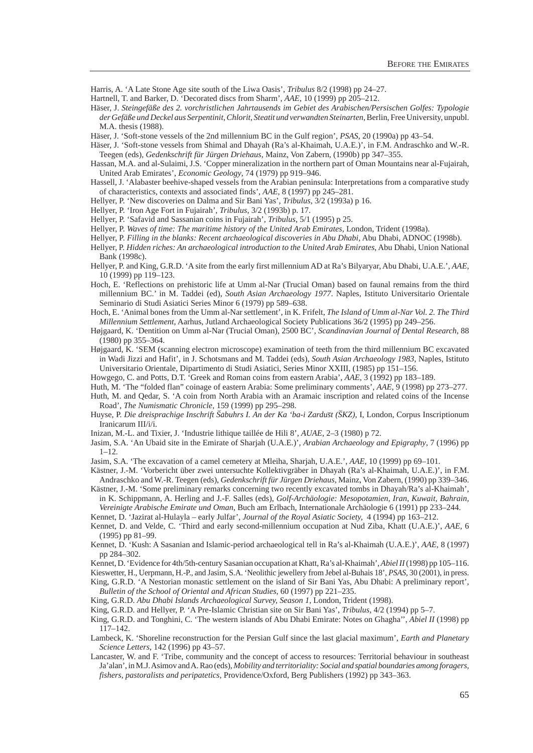Harris, A. 'A Late Stone Age site south of the Liwa Oasis', *Tribulus* 8/2 (1998) pp 24–27.

Hartnell, T. and Barker, D. 'Decorated discs from Sharm', *AAE*, 10 (1999) pp 205–212.

Häser, J. *Steingefäße des 2. vorchristlichen Jahrtausends im Gebiet des Arabischen/Persischen Golfes: Typologie der Gefäße und Deckel aus Serpentinit, Chlorit, Steatit und verwandten Steinarten*, Berlin, Free University, unpubl. M.A. thesis (1988).

Häser, J. 'Soft-stone vessels of the 2nd millennium BC in the Gulf region', *PSAS*, 20 (1990a) pp 43–54.

- Häser, J. 'Soft-stone vessels from Shimal and Dhayah (Ra's al-Khaimah, U.A.E.)', in F.M. Andraschko and W.-R. Teegen (eds), *Gedenkschrift für Jürgen Driehaus*, Mainz, Von Zabern, (1990b) pp 347–355.
- Hassan, M.A. and al-Sulaimi, J.S. 'Copper mineralization in the northern part of Oman Mountains near al-Fujairah, United Arab Emirates', *Economic Geology*, 74 (1979) pp 919–946.
- Hassell, J. 'Alabaster beehive-shaped vessels from the Arabian peninsula: Interpretations from a comparative study of characteristics, contexts and associated finds', *AAE*, 8 (1997) pp 245–281.
- Hellyer, P. 'New discoveries on Dalma and Sir Bani Yas', *Tribulus*, 3/2 (1993a) p 16.
- Hellyer, P. 'Iron Age Fort in Fujairah', *Tribulus*, 3/2 (1993b) p. 17.
- Hellyer, P. 'Safavid and Sassanian coins in Fujairah', *Tribulus*, 5/1 (1995) p 25.
- Hellyer, P. *Waves of time: The maritime history of the United Arab Emirates*, London, Trident (1998a).
- Hellyer, P. *Filling in the blanks: Recent archaeological discoveries in Abu Dhabi*, Abu Dhabi, ADNOC (1998b).
- Hellyer, P. *Hidden riches: An archaeological introduction to the United Arab Emirates*, Abu Dhabi, Union National Bank (1998c).
- Hellyer, P. and King, G.R.D. 'A site from the early first millennium AD at Ra's Bilyaryar, Abu Dhabi, U.A.E.', *AAE*, 10 (1999) pp 119–123.
- Hoch, E. 'Reflections on prehistoric life at Umm al-Nar (Trucial Oman) based on faunal remains from the third millennium BC.' in M. Taddei (ed), *South Asian Archaeology 1977*. Naples, Istituto Universitario Orientale Seminario di Studi Asiatici Series Minor 6 (1979) pp 589–638.
- Hoch, E. 'Animal bones from the Umm al-Nar settlement', in K. Frifelt, *The Island of Umm al-Nar Vol. 2. The Third Millennium Settlement*, Aarhus, Jutland Archaeological Society Publications 36/2 (1995) pp 249–256.
- Højgaard, K. 'Dentition on Umm al-Nar (Trucial Oman), 2500 BC', *Scandinavian Journal of Dental Research*, 88 (1980) pp 355–364.
- Højgaard, K. 'SEM (scanning electron microscope) examination of teeth from the third millennium BC excavated in Wadi Jizzi and Hafit', in J. Schotsmans and M. Taddei (eds), *South Asian Archaeology 1983*, Naples, Istituto Universitario Orientale, Dipartimento di Studi Asiatici, Series Minor XXIII, (1985) pp 151–156.
- Howgego, C. and Potts, D.T. 'Greek and Roman coins from eastern Arabia', *AAE*, 3 (1992) pp 183–189.
- Huth, M. 'The "folded flan" coinage of eastern Arabia: Some preliminary comments', *AAE*, 9 (1998) pp 273–277.
- Huth, M. and Qedar, S. 'A coin from North Arabia with an Aramaic inscription and related coins of the Incense Road', *The Numismatic Chronicle*, 159 (1999) pp 295–298.
- Huyse, P. *Die dreisprachige Inschrift Šābuhrs I. An der Ka 'ba-i Zardušt (ŠKZ)*, I, London, Corpus Inscriptionum Iranicarum III/i/i.
- Inizan, M.-L. and Tixier, J. 'Industrie lithique taillée de Hili 8', *AUAE*, 2–3 (1980) p 72.
- Jasim, S.A. 'An Ubaid site in the Emirate of Sharjah (U.A.E.)', *Arabian Archaeology and Epigraphy*, 7 (1996) pp  $1 - 12$
- Jasim, S.A. 'The excavation of a camel cemetery at Mleiha, Sharjah, U.A.E.', *AAE*, 10 (1999) pp 69–101.
- Kästner, J.-M. 'Vorbericht über zwei untersuchte Kollektivgräber in Dhayah (Ra's al-Khaimah, U.A.E.)', in F.M. Andraschko and W.-R. Teegen (eds), *Gedenkschrift für Jürgen Driehaus*, Mainz, Von Zabern, (1990) pp 339–346.
- Kästner, J.-M. 'Some preliminary remarks concerning two recently excavated tombs in Dhayah/Ra's al-Khaimah', in K. Schippmann, A. Herling and J.-F. Salles (eds), *Golf-Archäologie: Mesopotamien, Iran, Kuwait, Bahrain, Vereinigte Arabische Emirate und Oman*, Buch am Erlbach, Internationale Archäologie 6 (1991) pp 233–244.
- Kennet, D. 'Jazirat al-Hulayla early Julfar', *Journal of the Royal Asiatic Society,* 4 (1994) pp 163–212.
- Kennet, D. and Velde, C. 'Third and early second-millennium occupation at Nud Ziba, Khatt (U.A.E.)', *AAE*, 6 (1995) pp 81–99.
- Kennet, D. 'Kush: A Sasanian and Islamic-period archaeological tell in Ra's al-Khaimah (U.A.E.)', *AAE*, 8 (1997) pp 284–302.

Kennet, D. 'Evidence for 4th/5th-century Sasanian occupation at Khatt, Ra's al-Khaimah', *Abiel II* (1998) pp 105–116.

Kieswetter, H., Uerpmann, H.-P., and Jasim, S.A. 'Neolithic jewellery from Jebel al-Buhais 18', *PSAS,* 30 (2001), in press.

King, G.R.D. 'A Nestorian monastic settlement on the island of Sir Bani Yas, Abu Dhabi: A preliminary report', *Bulletin of the School of Oriental and African Studies*, 60 (1997) pp 221–235.

King, G.R.D. *Abu Dhabi Islands Archaeological Survey, Season 1*, London, Trident (1998).

King, G.R.D. and Hellyer, P. 'A Pre-Islamic Christian site on Sir Bani Yas', *Tribulus*, 4/2 (1994) pp 5–7.

King, G.R.D. and Tonghini, C. 'The western islands of Abu Dhabi Emirate: Notes on Ghagha'', *Abiel II* (1998) pp 117–142.

- Lambeck, K. 'Shoreline reconstruction for the Persian Gulf since the last glacial maximum', *Earth and Planetary Science Letters*, 142 (1996) pp 43–57.
- Lancaster, W. and F. 'Tribe, community and the concept of access to resources: Territorial behaviour in southeast Ja'alan', in M.J. Asimov and A. Rao (eds), *Mobility and territoriality: Social and spatial boundaries among foragers, fishers, pastoralists and peripatetics*, Providence/Oxford, Berg Publishers (1992) pp 343–363.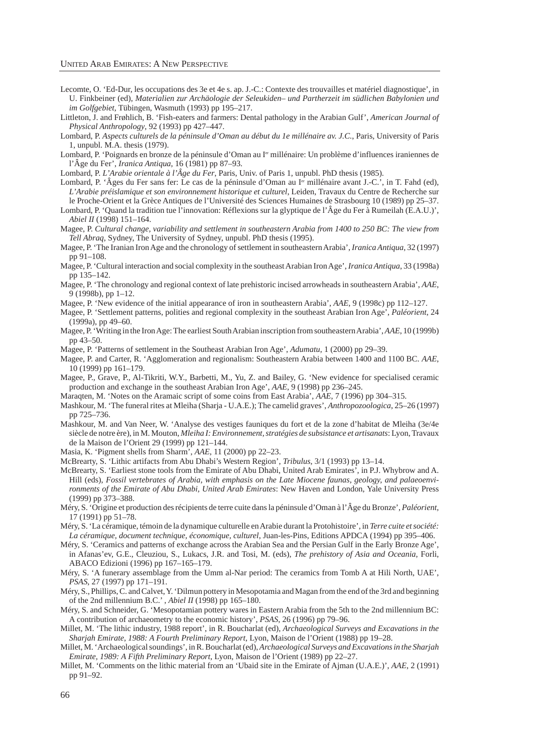- Lecomte, O. 'Ed-Dur, les occupations des 3e et 4e s. ap. J.-C.: Contexte des trouvailles et matériel diagnostique', in U. Finkbeiner (ed), *Materialien zur Archäologie der Seleukiden– und Partherzeit im südlichen Babylonien und im Golfgebiet*, Tübingen, Wasmuth (1993) pp 195–217.
- Littleton, J. and Frøhlich, B. 'Fish-eaters and farmers: Dental pathology in the Arabian Gulf', *American Journal of Physical Anthropology*, 92 (1993) pp 427–447.
- Lombard, P. *Aspects culturels de la péninsule d'Oman au début du 1e millénaire av. J.C.*, Paris, University of Paris 1, unpubl. M.A. thesis (1979).
- Lombard, P. 'Poignards en bronze de la péninsule d'Oman au I<sup>er</sup> millénaire: Un problème d'influences iraniennes de l'Âge du Fer', *Iranica Antiqua*, 16 (1981) pp 87–93.

Lombard, P. *L'Arabie orientale à l'Âge du Fer*, Paris, Univ. of Paris 1, unpubl. PhD thesis (1985).

- Lombard, P. 'Âges du Fer sans fer: Le cas de la péninsule d'Oman au I<sup>¤</sup> millénaire avant J.-C.', in T. Fahd (ed), *L'Arabie préislamique et son environnement historique et culturel*, Leiden, Travaux du Centre de Recherche sur le Proche-Orient et la Grèce Antiques de l'Université des Sciences Humaines de Strasbourg 10 (1989) pp 25–37.
- Lombard, P. 'Quand la tradition tue l'innovation: Réflexions sur la glyptique de l'Âge du Fer à Rumeilah (E.A.U.)', *Abiel II* (1998) 151–164.
- Magee, P. *Cultural change, variability and settlement in southeastern Arabia from 1400 to 250 BC: The view from Tell Abraq*, Sydney, The University of Sydney, unpubl. PhD thesis (1995).
- Magee, P. 'The Iranian Iron Age and the chronology of settlement in southeastern Arabia', *Iranica Antiqua*, 32 (1997) pp 91–108.
- Magee, P. 'Cultural interaction and social complexity in the southeast Arabian Iron Age', *Iranica Antiqua*, 33 (1998a) pp 135–142.
- Magee, P. 'The chronology and regional context of late prehistoric incised arrowheads in southeastern Arabia', *AAE*, 9 (1998b), pp 1–12.
- Magee, P. 'New evidence of the initial appearance of iron in southeastern Arabia', *AAE*, 9 (1998c) pp 112–127.
- Magee, P. 'Settlement patterns, polities and regional complexity in the southeast Arabian Iron Age', *Paléorient*, 24 (1999a), pp 49–60.
- Magee, P. 'Writing in the Iron Age: The earliest South Arabian inscription from southeastern Arabia', *AAE*, 10 (1999b) pp 43–50.
- Magee, P. 'Patterns of settlement in the Southeast Arabian Iron Age', *Adumatu*, 1 (2000) pp 29–39.
- Magee, P. and Carter, R. 'Agglomeration and regionalism: Southeastern Arabia between 1400 and 1100 BC. *AAE*, 10 (1999) pp 161–179.
- Magee, P., Grave, P., Al-Tikriti, W.Y., Barbetti, M., Yu, Z. and Bailey, G. 'New evidence for specialised ceramic production and exchange in the southeast Arabian Iron Age', *AAE*, 9 (1998) pp 236–245.
- Maraqten, M. 'Notes on the Aramaic script of some coins from East Arabia', *AAE*, 7 (1996) pp 304–315.
- Mashkour, M. 'The funeral rites at Mleiha (Sharja U.A.E.); The camelid graves', *Anthropozoologica*, 25–26 (1997) pp 725–736.
- Mashkour, M. and Van Neer, W. 'Analyse des vestiges fauniques du fort et de la zone d'habitat de Mleiha (3e/4e siècle de notre ère), in M. Mouton, *Mleiha I: Environnement, stratégies de subsistance et artisanats*: Lyon, Travaux de la Maison de l'Orient 29 (1999) pp 121–144.
- Masia, K. 'Pigment shells from Sharm', *AAE*, 11 (2000) pp 22–23.
- McBrearty, S. 'Lithic artifacts from Abu Dhabi's Western Region', *Tribulus*, 3/1 (1993) pp 13–14.
- McBrearty, S. 'Earliest stone tools from the Emirate of Abu Dhabi, United Arab Emirates', in P.J. Whybrow and A. Hill (eds), *Fossil vertebrates of Arabia, with emphasis on the Late Miocene faunas, geology, and palaeoenvironments of the Emirate of Abu Dhabi, United Arab Emirates*: New Haven and London, Yale University Press (1999) pp 373–388.
- Méry, S. 'Origine et production des récipients de terre cuite dans la péninsule d'Oman à l'Âge du Bronze', *Paléorient*, 17 (1991) pp 51–78.
- Méry, S. 'La céramique, témoin de la dynamique culturelle en Arabie durant la Protohistoire', in *Terre cuite et société: La céramique, document technique, économique, culturel*, Juan-les-Pins, Editions APDCA (1994) pp 395–406.
- Méry, S. 'Ceramics and patterns of exchange across the Arabian Sea and the Persian Gulf in the Early Bronze Age', in Afanas'ev, G.E., Cleuziou, S., Lukacs, J.R. and Tosi, M. (eds), *The prehistory of Asia and Oceania*, Forli, ABACO Edizioni (1996) pp 167–165–179.
- Méry, S. 'A funerary assemblage from the Umm al-Nar period: The ceramics from Tomb A at Hili North, UAE', *PSAS*, 27 (1997) pp 171–191.
- Méry, S., Phillips, C. and Calvet, Y. 'Dilmun pottery in Mesopotamia and Magan from the end of the 3rd and beginning of the 2nd millennium B.C.' , *Abiel II* (1998) pp 165–180.
- Méry, S. and Schneider, G. 'Mesopotamian pottery wares in Eastern Arabia from the 5th to the 2nd millennium BC: A contribution of archaeometry to the economic history', *PSAS*, 26 (1996) pp 79–96.
- Millet, M. 'The lithic industry, 1988 report', in R. Boucharlat (ed), *Archaeological Surveys and Excavations in the Sharjah Emirate, 1988: A Fourth Preliminary Report*, Lyon, Maison de l'Orient (1988) pp 19–28.
- Millet, M. 'Archaeological soundings', in R. Boucharlat (ed), *Archaeological Surveys and Excavations in the Sharjah Emirate, 1989: A Fifth Preliminary Report*, Lyon, Maison de l'Orient (1989) pp 22–27.
- Millet, M. 'Comments on the lithic material from an 'Ubaid site in the Emirate of Ajman (U.A.E.)', *AAE*, 2 (1991) pp 91–92.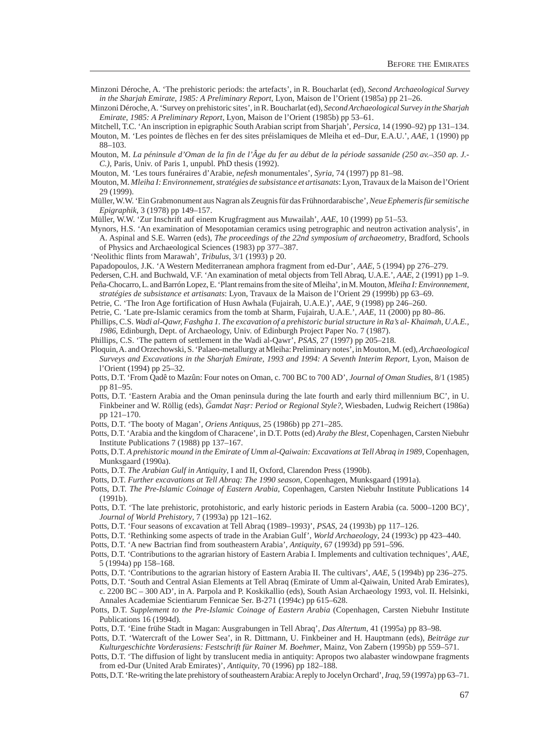- Minzoni Déroche, A. 'The prehistoric periods: the artefacts', in R. Boucharlat (ed), *Second Archaeological Survey in the Sharjah Emirate, 1985: A Preliminary Report*, Lyon, Maison de l'Orient (1985a) pp 21–26.
- Minzoni Déroche, A. 'Survey on prehistoric sites', in R. Boucharlat (ed), *Second Archaeological Survey in the Sharjah Emirate, 1985: A Preliminary Report*, Lyon, Maison de l'Orient (1985b) pp 53–61.
- Mitchell, T.C. 'An inscription in epigraphic South Arabian script from Sharjah', *Persica*, 14 (1990–92) pp 131–134.
- Mouton, M. 'Les pointes de flèches en fer des sites préislamiques de Mleiha et ed–Dur, E.A.U.', *AAE*, 1 (1990) pp 88–103.
- Mouton, M. *La péninsule d'Oman de la fin de l'Âge du fer au début de la période sassanide (250 av.–350 ap. J.- C.)*, Paris, Univ. of Paris 1, unpubl. PhD thesis (1992).
- Mouton, M. 'Les tours funéraires d'Arabie, *nefesh* monumentales', *Syria*, 74 (1997) pp 81–98.
- Mouton, M. *Mleiha I: Environnement, stratégies de subsistance et artisanats*: Lyon, Travaux de la Maison de l'Orient 29 (1999).
- Müller, W.W. 'Ein Grabmonument aus Nagran als Zeugnis für das Frühnordarabische', *Neue Ephemeris für semitische Epigraphik*, 3 (1978) pp 149–157.
- Müller, W.W. 'Zur Inschrift auf einem Krugfragment aus Muwailah', *AAE*, 10 (1999) pp 51–53.
- Mynors, H.S. 'An examination of Mesopotamian ceramics using petrographic and neutron activation analysis', in A. Aspinal and S.E. Warren (eds), *The proceedings of the 22nd symposium of archaeometry*, Bradford, Schools of Physics and Archaeological Sciences (1983) pp 377–387.
- 'Neolithic flints from Marawah', *Tribulus*, 3/1 (1993) p 20.
- Papadopoulos, J.K. 'A Western Mediterranean amphora fragment from ed-Dur', *AAE*, 5 (1994) pp 276–279.
- Pedersen, C.H. and Buchwald, V.F. 'An examination of metal objects from Tell Abraq, U.A.E.', *AAE*, 2 (1991) pp 1–9. Peña-Chocarro, L. and Barrón Lopez, E. 'Plant remains from the site of Mleiha', in M. Mouton, *Mleiha I: Environnement,*
- *stratégies de subsistance et artisanats*: Lyon, Travaux de la Maison de l'Orient 29 (1999b) pp 63–69.
- Petrie, C. 'The Iron Age fortification of Husn Awhala (Fujairah, U.A.E.)', *AAE*, 9 (1998) pp 246–260.
- Petrie, C. 'Late pre-Islamic ceramics from the tomb at Sharm, Fujairah, U.A.E.', *AAE*, 11 (2000) pp 80–86.
- Phillips, C.S. *Wadi al-Qawr, Fashgha 1. The excavation of a prehistoric burial structure in Ra's al- Khaimah, U.A.E., 1986*, Edinburgh, Dept. of Archaeology, Univ. of Edinburgh Project Paper No. 7 (1987).
- Phillips, C.S. 'The pattern of settlement in the Wadi al-Qawr', *PSAS*, 27 (1997) pp 205–218.
- Ploquin, A. and Orzechowski, S. 'Palaeo-metallurgy at Mleiha: Preliminary notes', in Mouton, M. (ed), *Archaeological Surveys and Excavations in the Sharjah Emirate, 1993 and 1994: A Seventh Interim Report*, Lyon, Maison de l'Orient (1994) pp 25–32.
- Potts, D.T. 'From Qadê to Mazûn: Four notes on Oman, c. 700 BC to 700 AD', *Journal of Oman Studies*, 8/1 (1985) pp 81–95.
- Potts, D.T. 'Eastern Arabia and the Oman peninsula during the late fourth and early third millennium BC', in U. Finkbeiner and W. Röllig (eds), *Gamdat Nasr: Period or Regional Style?*, Wiesbaden, Ludwig Reichert (1986a) ( •pp 121–170.
- Potts, D.T. 'The booty of Magan', *Oriens Antiquus*, 25 (1986b) pp 271–285.
- Potts, D.T. 'Arabia and the kingdom of Characene', in D.T. Potts (ed) *Araby the Blest*, Copenhagen, Carsten Niebuhr Institute Publications 7 (1988) pp 137–167.
- Potts, D.T. *A prehistoric mound in the Emirate of Umm al-Qaiwain: Excavations at Tell Abraq in 1989*, Copenhagen, Munksgaard (1990a).
- Potts, D.T. *The Arabian Gulf in Antiquity*, I and II, Oxford, Clarendon Press (1990b).
- Potts, D.T. *Further excavations at Tell Abraq: The 1990 season*, Copenhagen, Munksgaard (1991a).
- Potts, D.T. *The Pre-Islamic Coinage of Eastern Arabia*, Copenhagen, Carsten Niebuhr Institute Publications 14 (1991b).
- Potts, D.T. 'The late prehistoric, protohistoric, and early historic periods in Eastern Arabia (ca. 5000–1200 BC)', *Journal of World Prehistory*, 7 (1993a) pp 121–162.
- Potts, D.T. 'Four seasons of excavation at Tell Abraq (1989–1993)', *PSAS*, 24 (1993b) pp 117–126.
- Potts, D.T. 'Rethinking some aspects of trade in the Arabian Gulf', *World Archaeology*, 24 (1993c) pp 423–440.
- Potts, D.T. 'A new Bactrian find from southeastern Arabia', *Antiquity*, 67 (1993d) pp 591–596.
- Potts, D.T. 'Contributions to the agrarian history of Eastern Arabia I. Implements and cultivation techniques', *AAE*, 5 (1994a) pp 158–168.
- Potts, D.T. 'Contributions to the agrarian history of Eastern Arabia II. The cultivars', *AAE*, 5 (1994b) pp 236–275.
- Potts, D.T. 'South and Central Asian Elements at Tell Abraq (Emirate of Umm al-Qaiwain, United Arab Emirates), c. 2200 BC – 300 AD', in A. Parpola and P. Koskikallio (eds), South Asian Archaeology 1993, vol. II. Helsinki, Annales Academiae Scientiarum Fennicae Ser. B-271 (1994c) pp 615–628.
- Potts, D.T. *Supplement to the Pre-Islamic Coinage of Eastern Arabia* (Copenhagen, Carsten Niebuhr Institute Publications 16 (1994d).
- Potts, D.T. 'Eine frühe Stadt in Magan: Ausgrabungen in Tell Abraq', *Das Altertum*, 41 (1995a) pp 83–98.
- Potts, D.T. 'Watercraft of the Lower Sea', in R. Dittmann, U. Finkbeiner and H. Hauptmann (eds), *Beiträge zur Kulturgeschichte Vorderasiens: Festschrift für Rainer M. Boehmer*, Mainz, Von Zabern (1995b) pp 559–571.
- Potts, D.T. 'The diffusion of light by translucent media in antiquity: Apropos two alabaster windowpane fragments from ed-Dur (United Arab Emirates)', *Antiquity*, 70 (1996) pp 182–188.
- Potts, D.T. 'Re-writing the late prehistory of southeastern Arabia: Areply to Jocelyn Orchard', *Iraq*, 59 (1997a) pp 63–71.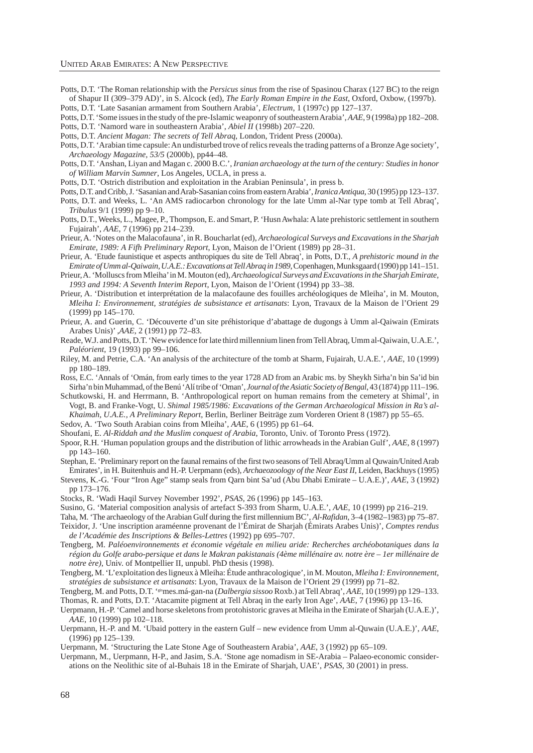- Potts, D.T. 'The Roman relationship with the *Persicus sinus* from the rise of Spasinou Charax (127 BC) to the reign of Shapur II (309–379 AD)', in S. Alcock (ed), *The Early Roman Empire in the East*, Oxford, Oxbow, (1997b). Potts, D.T. 'Late Sasanian armament from Southern Arabia', *Electrum*, 1 (1997c) pp 127–137.
- 
- Potts, D.T. 'Some issues in the study of the pre-Islamic weaponry of southeastern Arabia', *AAE*, 9 (1998a) pp 182–208. Potts, D.T. 'Namord ware in southeastern Arabia', *Abiel II* (1998b) 207–220.
- Potts, D.T. *Ancient Magan: The secrets of Tell Abraq*, London, Trident Press (2000a).
- Potts, D.T. 'Arabian time capsule: An undisturbed trove of relics reveals the trading patterns of a Bronze Age society', *Archaeology Magazine, 53/5* (2000b), pp44–48.
- Potts, D.T. 'Anshan, Liyan and Magan c. 2000 B.C.', *Iranian archaeology at the turn of the century: Studies in honor of William Marvin Sumner*, Los Angeles, UCLA, in press a.
- Potts, D.T. 'Ostrich distribution and exploitation in the Arabian Peninsula', in press b.
- Potts, D.T. and Cribb, J. 'Sasanian and Arab-Sasanian coins from eastern Arabia', *Iranica Antiqua*, 30 (1995) pp 123–137.
- Potts, D.T. and Weeks, L. 'An AMS radiocarbon chronology for the late Umm al-Nar type tomb at Tell Abraq', *Tribulus* 9/1 (1999) pp 9–10.
- Potts, D.T., Weeks, L., Magee, P., Thompson, E. and Smart, P. 'Husn Awhala: Alate prehistoric settlement in southern Fujairah', *AAE*, 7 (1996) pp 214–239.
- Prieur, A. 'Notes on the Malacofauna', in R. Boucharlat (ed), *Archaeological Surveys and Excavations in the Sharjah Emirate, 1989: A Fifh Preliminary Report*, Lyon, Maison de l'Orient (1989) pp 28–31.
- Prieur, A. 'Etude faunistique et aspects anthropiques du site de Tell Abraq', in Potts, D.T., *A prehistoric mound in the Emirate of Umm al-Qaiwain, U.A.E.: Excavations at Tell Abraq in 1989*, Copenhagen, Munksgaard (1990) pp 141–151.
- Prieur, A. 'Molluscs from Mleiha'in M. Mouton (ed), *Archaeological Surveys and Excavations in the Sharjah Emirate, 1993 and 1994: A Seventh Interim Report*, Lyon, Maison de l'Orient (1994) pp 33–38.
- Prieur, A. 'Distribution et interprétation de la malacofaune des fouilles archéologiques de Mleiha', in M. Mouton, *Mleiha I: Environnement, stratégies de subsistance et artisanats*: Lyon, Travaux de la Maison de l'Orient 29 (1999) pp 145–170.
- Prieur, A. and Guerin, C. 'Découverte d'un site préhistorique d'abattage de dugongs à Umm al-Qaiwain (Emirats Arabes Unis)' ,*AAE*, 2 (1991) pp 72–83.
- Reade, W.J. and Potts, D.T. 'New evidence for late third millennium linen from Tell Abraq, Umm al-Qaiwain, U.A.E.', *Paléorient*, 19 (1993) pp 99–106.
- Riley, M. and Petrie, C.A. 'An analysis of the architecture of the tomb at Sharm, Fujairah, U.A.E.', *AAE*, 10 (1999) pp 180–189.
- Ross, E.C. 'Annals of 'Omán, from early times to the year 1728 AD from an Arabic ms. by Sheykh Sirha'n bin Sa'id bin Sirha'n bin Muhammad, of the Benú 'Alí tribe of 'Oman', *Journal of the Asiatic Society of Bengal*, 43 (1874) pp 111–196.
- Schutkowski, H. and Herrmann, B. 'Anthropological report on human remains from the cemetery at Shimal', in Vogt, B. and Franke-Vogt, U. *Shimal 1985/1986: Excavations of the German Archaeological Mission in Ra's al-Khaimah, U.A.E., A Preliminary Report*, Berlin, Berliner Beiträge zum Vorderen Orient 8 (1987) pp 55–65. Sedov, A. 'Two South Arabian coins from Mleiha', *AAE*, 6 (1995) pp 61–64.
- 
- Shoufani, E. *Al-Riddah and the Muslim conquest of Arabia*, Toronto, Univ. of Toronto Press (1972).
- Spoor, R.H. 'Human population groups and the distribution of lithic arrowheads in the Arabian Gulf', *AAE*, 8 (1997) pp 143–160.
- Stephan, E. 'Preliminary report on the faunal remains of the first two seasons of Tell Abraq/Umm al Quwain/United Arab Emirates', in H. Buitenhuis and H.-P. Uerpmann (eds), *Archaeozoology of the Near East II*, Leiden, Backhuys (1995)
- Stevens, K.-G. 'Four "Iron Age" stamp seals from Qarn bint Sa'ud (Abu Dhabi Emirate U.A.E.)', *AAE*, 3 (1992) pp 173–176.
- Stocks, R. 'Wadi Haqil Survey November 1992', *PSAS*, 26 (1996) pp 145–163.
- Susino, G. 'Material composition analysis of artefact S-393 from Sharm, U.A.E.', *AAE*, 10 (1999) pp 216–219.
- Taha, M. 'The archaeology of the Arabian Gulf during the first millennium BC', *Al-Rafidan*, 3–4 (1982–1983) pp 75–87.
- Teixidor, J. 'Une inscription araméenne provenant de l'Émirat de Sharjah (Émirats Arabes Unis)', *Comptes rendus de l'Académie des Inscriptions & Belles-Lettres* (1992) pp 695–707.
- Tengberg, M. *Paléoenvironnements et économie végétale en milieu aride: Recherches archéobotaniques dans la région du Golfe arabo-persique et dans le Makran pakistanais (4ème millénaire av. notre ère – 1er millénaire de notre ère)*, Univ. of Montpellier II, unpubl. PhD thesis (1998).
- Tengberg, M. 'L'exploitation des ligneux à Mleiha: Étude anthracologique', in M. Mouton, *Mleiha I: Environnement, stratégies de subsistance et artisanats*: Lyon, Travaux de la Maison de l'Orient 29 (1999) pp 71–82.

Tengberg, M. and Potts, D.T. 'gismes.má-gan-na (*Dalbergia sissoo* Roxb.) at Tell Abraq', *AAE*, 10 (1999) pp 129–133. Thomas, R. and Potts, D.T. 'Atacamite pigment at Tell Abraq in the early Iron Age', *AAE*, 7 (1996) pp 13–16.

- Uerpmann, H.-P. 'Camel and horse skeletons from protohistoric graves at Mleiha in the Emirate of Sharjah (U.A.E.)', *AAE*, 10 (1999) pp 102–118.
- Uerpmann, H.-P. and M. 'Ubaid pottery in the eastern Gulf new evidence from Umm al-Quwain (U.A.E.)', *AAE*, (1996) pp 125–139.

Uerpmann, M. 'Structuring the Late Stone Age of Southeastern Arabia', *AAE*, 3 (1992) pp 65–109.

Uerpmann, M., Uerpmann, H-P., and Jasim, S.A. 'Stone age nomadism in SE-Arabia – Palaeo-economic considerations on the Neolithic site of al-Buhais 18 in the Emirate of Sharjah, UAE', *PSAS*, 30 (2001) in press.